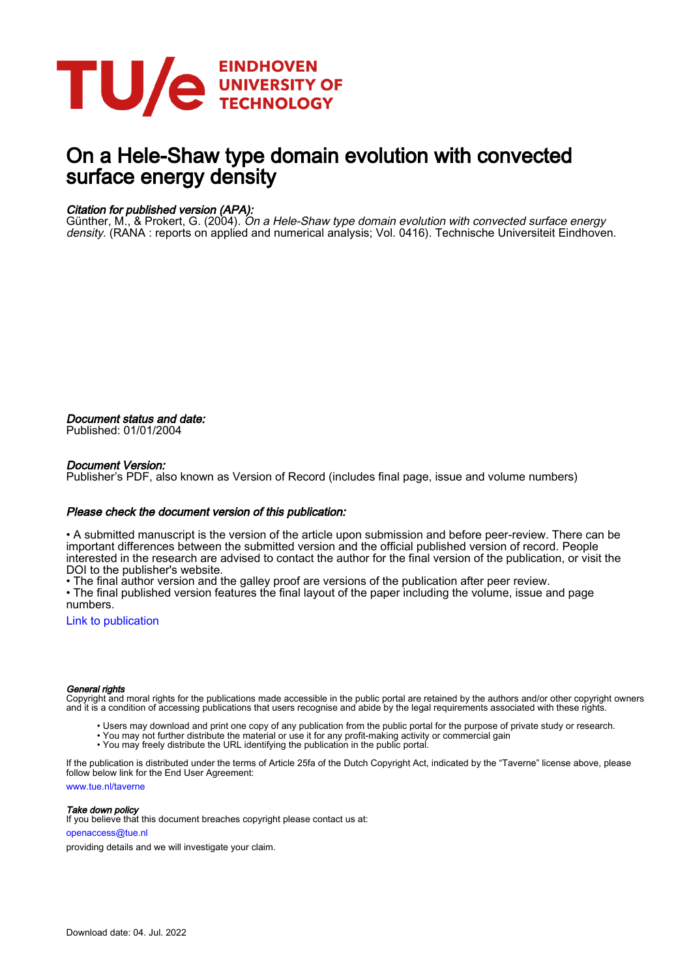

# On a Hele-Shaw type domain evolution with convected surface energy density

#### Citation for published version (APA):

Günther, M., & Prokert, G. (2004). On a Hele-Shaw type domain evolution with convected surface energy density. (RANA : reports on applied and numerical analysis; Vol. 0416). Technische Universiteit Eindhoven.

Document status and date: Published: 01/01/2004

#### Document Version:

Publisher's PDF, also known as Version of Record (includes final page, issue and volume numbers)

#### Please check the document version of this publication:

• A submitted manuscript is the version of the article upon submission and before peer-review. There can be important differences between the submitted version and the official published version of record. People interested in the research are advised to contact the author for the final version of the publication, or visit the DOI to the publisher's website.

• The final author version and the galley proof are versions of the publication after peer review.

• The final published version features the final layout of the paper including the volume, issue and page numbers.

[Link to publication](https://research.tue.nl/en/publications/64de3a2d-5a3f-40fc-b849-92fb8769094b)

#### General rights

Copyright and moral rights for the publications made accessible in the public portal are retained by the authors and/or other copyright owners and it is a condition of accessing publications that users recognise and abide by the legal requirements associated with these rights.

- Users may download and print one copy of any publication from the public portal for the purpose of private study or research.
- You may not further distribute the material or use it for any profit-making activity or commercial gain
- You may freely distribute the URL identifying the publication in the public portal.

If the publication is distributed under the terms of Article 25fa of the Dutch Copyright Act, indicated by the "Taverne" license above, please follow below link for the End User Agreement:

www.tue.nl/taverne

**Take down policy**<br>If you believe that this document breaches copyright please contact us at:

openaccess@tue.nl

providing details and we will investigate your claim.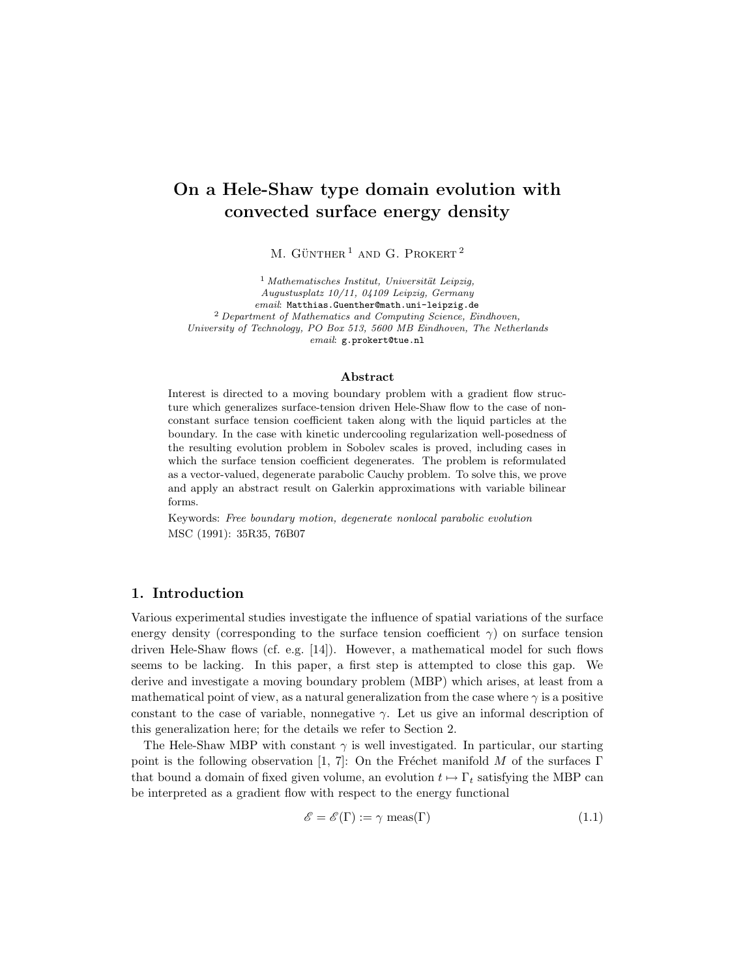## On a Hele-Shaw type domain evolution with convected surface energy density

M. GÜNTHER<sup>1</sup> AND G. PROKERT<sup>2</sup>

 $<sup>1</sup> Mathematics *h*en *Intauti*, *Universität Leipzig*,$ </sup> Augustusplatz 10/11, 04109 Leipzig, Germany email: Matthias.Guenther@math.uni-leipzig.de <sup>2</sup> Department of Mathematics and Computing Science, Eindhoven, University of Technology, PO Box 513, 5600 MB Eindhoven, The Netherlands email: g.prokert@tue.nl

#### Abstract

Interest is directed to a moving boundary problem with a gradient flow structure which generalizes surface-tension driven Hele-Shaw flow to the case of nonconstant surface tension coefficient taken along with the liquid particles at the boundary. In the case with kinetic undercooling regularization well-posedness of the resulting evolution problem in Sobolev scales is proved, including cases in which the surface tension coefficient degenerates. The problem is reformulated as a vector-valued, degenerate parabolic Cauchy problem. To solve this, we prove and apply an abstract result on Galerkin approximations with variable bilinear forms.

Keywords: Free boundary motion, degenerate nonlocal parabolic evolution MSC (1991): 35R35, 76B07

#### 1. Introduction

Various experimental studies investigate the influence of spatial variations of the surface energy density (corresponding to the surface tension coefficient  $\gamma$ ) on surface tension driven Hele-Shaw flows (cf. e.g. [14]). However, a mathematical model for such flows seems to be lacking. In this paper, a first step is attempted to close this gap. We derive and investigate a moving boundary problem (MBP) which arises, at least from a mathematical point of view, as a natural generalization from the case where  $\gamma$  is a positive constant to the case of variable, nonnegative  $\gamma$ . Let us give an informal description of this generalization here; for the details we refer to Section 2.

The Hele-Shaw MBP with constant  $\gamma$  is well investigated. In particular, our starting point is the following observation [1, 7]: On the Fréchet manifold M of the surfaces Γ that bound a domain of fixed given volume, an evolution  $t \mapsto \Gamma_t$  satisfying the MBP can be interpreted as a gradient flow with respect to the energy functional

$$
\mathcal{E} = \mathcal{E}(\Gamma) := \gamma \text{ meas}(\Gamma) \tag{1.1}
$$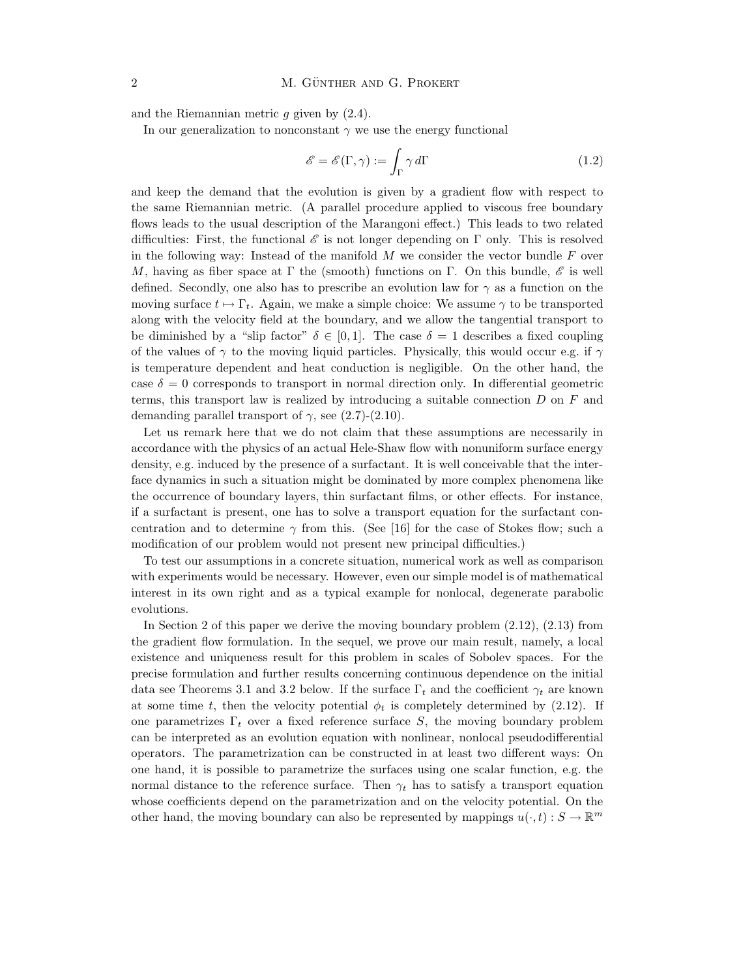and the Riemannian metric  $g$  given by  $(2.4)$ .

In our generalization to nonconstant  $\gamma$  we use the energy functional

$$
\mathscr{E} = \mathscr{E}(\Gamma, \gamma) := \int_{\Gamma} \gamma \, d\Gamma \tag{1.2}
$$

and keep the demand that the evolution is given by a gradient flow with respect to the same Riemannian metric. (A parallel procedure applied to viscous free boundary flows leads to the usual description of the Marangoni effect.) This leads to two related difficulties: First, the functional  $\mathscr E$  is not longer depending on  $\Gamma$  only. This is resolved in the following way: Instead of the manifold  $M$  we consider the vector bundle  $F$  over M, having as fiber space at  $\Gamma$  the (smooth) functions on  $\Gamma$ . On this bundle,  $\mathscr E$  is well defined. Secondly, one also has to prescribe an evolution law for  $\gamma$  as a function on the moving surface  $t \mapsto \Gamma_t$ . Again, we make a simple choice: We assume  $\gamma$  to be transported along with the velocity field at the boundary, and we allow the tangential transport to be diminished by a "slip factor"  $\delta \in [0, 1]$ . The case  $\delta = 1$  describes a fixed coupling of the values of  $\gamma$  to the moving liquid particles. Physically, this would occur e.g. if  $\gamma$ is temperature dependent and heat conduction is negligible. On the other hand, the case  $\delta = 0$  corresponds to transport in normal direction only. In differential geometric terms, this transport law is realized by introducing a suitable connection  $D$  on  $F$  and demanding parallel transport of  $\gamma$ , see (2.7)-(2.10).

Let us remark here that we do not claim that these assumptions are necessarily in accordance with the physics of an actual Hele-Shaw flow with nonuniform surface energy density, e.g. induced by the presence of a surfactant. It is well conceivable that the interface dynamics in such a situation might be dominated by more complex phenomena like the occurrence of boundary layers, thin surfactant films, or other effects. For instance, if a surfactant is present, one has to solve a transport equation for the surfactant concentration and to determine  $\gamma$  from this. (See [16] for the case of Stokes flow; such a modification of our problem would not present new principal difficulties.)

To test our assumptions in a concrete situation, numerical work as well as comparison with experiments would be necessary. However, even our simple model is of mathematical interest in its own right and as a typical example for nonlocal, degenerate parabolic evolutions.

In Section 2 of this paper we derive the moving boundary problem (2.12), (2.13) from the gradient flow formulation. In the sequel, we prove our main result, namely, a local existence and uniqueness result for this problem in scales of Sobolev spaces. For the precise formulation and further results concerning continuous dependence on the initial data see Theorems 3.1 and 3.2 below. If the surface  $\Gamma_t$  and the coefficient  $\gamma_t$  are known at some time t, then the velocity potential  $\phi_t$  is completely determined by (2.12). If one parametrizes  $\Gamma_t$  over a fixed reference surface S, the moving boundary problem can be interpreted as an evolution equation with nonlinear, nonlocal pseudodifferential operators. The parametrization can be constructed in at least two different ways: On one hand, it is possible to parametrize the surfaces using one scalar function, e.g. the normal distance to the reference surface. Then  $\gamma_t$  has to satisfy a transport equation whose coefficients depend on the parametrization and on the velocity potential. On the other hand, the moving boundary can also be represented by mappings  $u(\cdot,t):S\to\mathbb{R}^m$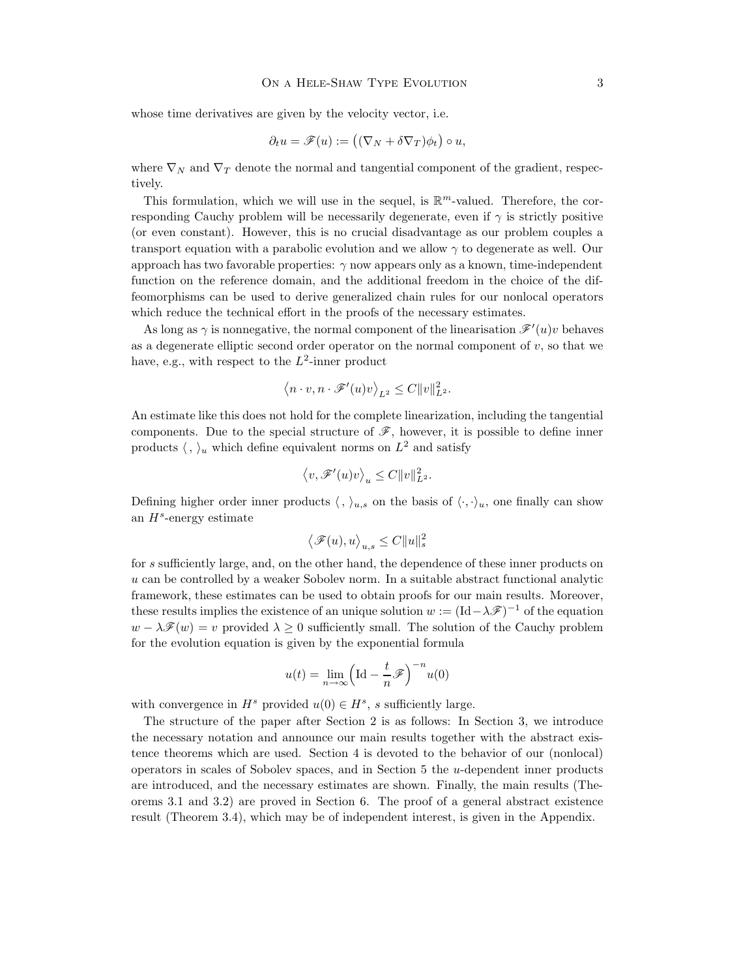whose time derivatives are given by the velocity vector, i.e.

$$
\partial_t u = \mathscr{F}(u) := ((\nabla_N + \delta \nabla_T)\phi_t) \circ u,
$$

where  $\nabla_N$  and  $\nabla_T$  denote the normal and tangential component of the gradient, respectively.

This formulation, which we will use in the sequel, is  $\mathbb{R}^m$ -valued. Therefore, the corresponding Cauchy problem will be necessarily degenerate, even if  $\gamma$  is strictly positive (or even constant). However, this is no crucial disadvantage as our problem couples a transport equation with a parabolic evolution and we allow  $\gamma$  to degenerate as well. Our approach has two favorable properties:  $\gamma$  now appears only as a known, time-independent function on the reference domain, and the additional freedom in the choice of the diffeomorphisms can be used to derive generalized chain rules for our nonlocal operators which reduce the technical effort in the proofs of the necessary estimates.

As long as  $\gamma$  is nonnegative, the normal component of the linearisation  $\mathscr{F}'(u)v$  behaves as a degenerate elliptic second order operator on the normal component of  $v$ , so that we have, e.g., with respect to the  $L^2$ -inner product

$$
\langle n \cdot v, n \cdot \mathscr{F}'(u)v \rangle_{L^2} \leq C ||v||_{L^2}^2.
$$

An estimate like this does not hold for the complete linearization, including the tangential components. Due to the special structure of  $\mathscr{F}$ , however, it is possible to define inner products  $\langle , \rangle_u$  which define equivalent norms on  $L^2$  and satisfy

$$
\langle v, \mathscr{F}'(u)v \rangle_u \leq C ||v||_{L^2}^2.
$$

Defining higher order inner products  $\langle , \rangle_{u,s}$  on the basis of  $\langle \cdot, \cdot \rangle_u$ , one finally can show an  $H^s$ -energy estimate

$$
\left\langle \mathscr{F}(u),u\right\rangle_{u,s}\leq C\|u\|_s^2
$$

for s sufficiently large, and, on the other hand, the dependence of these inner products on  $u$  can be controlled by a weaker Sobolev norm. In a suitable abstract functional analytic framework, these estimates can be used to obtain proofs for our main results. Moreover, these results implies the existence of an unique solution  $w := (\text{Id} - \lambda \mathscr{F})^{-1}$  of the equation  $w - \lambda \mathscr{F}(w) = v$  provided  $\lambda \geq 0$  sufficiently small. The solution of the Cauchy problem for the evolution equation is given by the exponential formula

$$
u(t) = \lim_{n \to \infty} \left( \text{Id} - \frac{t}{n} \mathcal{F} \right)^{-n} u(0)
$$

with convergence in  $H^s$  provided  $u(0) \in H^s$ , s sufficiently large.

The structure of the paper after Section 2 is as follows: In Section 3, we introduce the necessary notation and announce our main results together with the abstract existence theorems which are used. Section 4 is devoted to the behavior of our (nonlocal) operators in scales of Sobolev spaces, and in Section  $5$  the  $u$ -dependent inner products are introduced, and the necessary estimates are shown. Finally, the main results (Theorems 3.1 and 3.2) are proved in Section 6. The proof of a general abstract existence result (Theorem 3.4), which may be of independent interest, is given in the Appendix.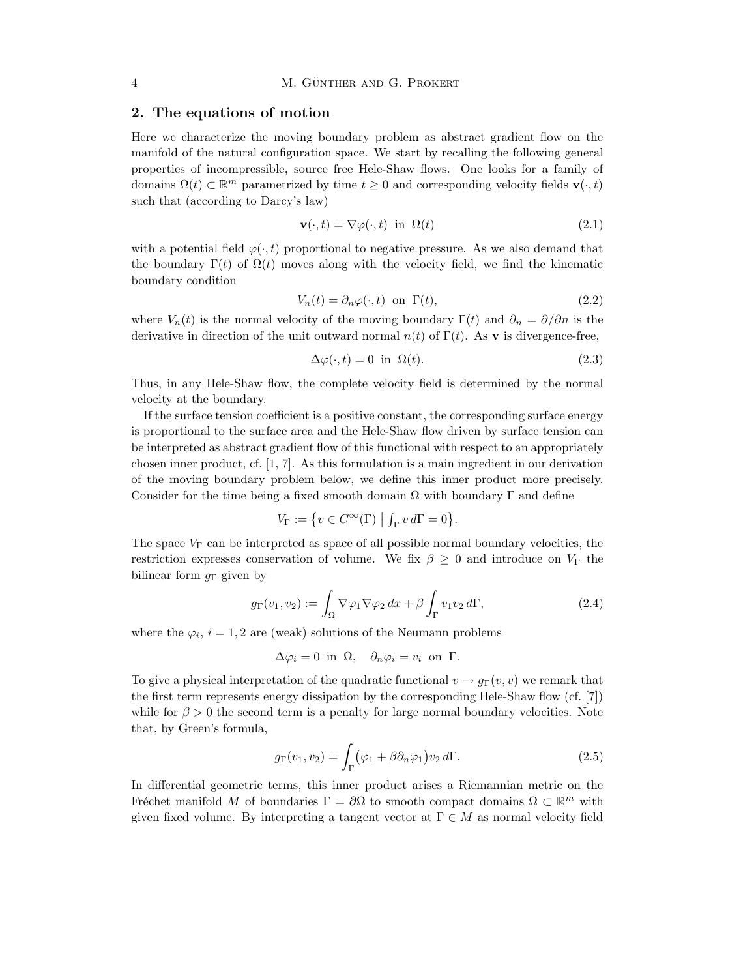#### 2. The equations of motion

Here we characterize the moving boundary problem as abstract gradient flow on the manifold of the natural configuration space. We start by recalling the following general properties of incompressible, source free Hele-Shaw flows. One looks for a family of domains  $\Omega(t) \subset \mathbb{R}^m$  parametrized by time  $t \geq 0$  and corresponding velocity fields  $\mathbf{v}(\cdot,t)$ such that (according to Darcy's law)

$$
\mathbf{v}(\cdot,t) = \nabla \varphi(\cdot,t) \quad \text{in} \quad \Omega(t) \tag{2.1}
$$

with a potential field  $\varphi(\cdot,t)$  proportional to negative pressure. As we also demand that the boundary  $\Gamma(t)$  of  $\Omega(t)$  moves along with the velocity field, we find the kinematic boundary condition

$$
V_n(t) = \partial_n \varphi(\cdot, t) \quad \text{on } \Gamma(t), \tag{2.2}
$$

where  $V_n(t)$  is the normal velocity of the moving boundary  $\Gamma(t)$  and  $\partial_n = \partial/\partial n$  is the derivative in direction of the unit outward normal  $n(t)$  of  $\Gamma(t)$ . As v is divergence-free,

$$
\Delta \varphi(\cdot, t) = 0 \text{ in } \Omega(t). \tag{2.3}
$$

Thus, in any Hele-Shaw flow, the complete velocity field is determined by the normal velocity at the boundary.

If the surface tension coefficient is a positive constant, the corresponding surface energy is proportional to the surface area and the Hele-Shaw flow driven by surface tension can be interpreted as abstract gradient flow of this functional with respect to an appropriately chosen inner product, cf. [1, 7]. As this formulation is a main ingredient in our derivation of the moving boundary problem below, we define this inner product more precisely. Consider for the time being a fixed smooth domain  $\Omega$  with boundary  $\Gamma$  and define

$$
V_{\Gamma} := \{ v \in C^{\infty}(\Gamma) \mid \int_{\Gamma} v d\Gamma = 0 \}.
$$

The space  $V_{\Gamma}$  can be interpreted as space of all possible normal boundary velocities, the restriction expresses conservation of volume. We fix  $\beta \geq 0$  and introduce on  $V_{\Gamma}$  the bilinear form  $q_{\Gamma}$  given by

$$
g_{\Gamma}(v_1, v_2) := \int_{\Omega} \nabla \varphi_1 \nabla \varphi_2 \, dx + \beta \int_{\Gamma} v_1 v_2 \, d\Gamma, \tag{2.4}
$$

where the  $\varphi_i$ ,  $i = 1, 2$  are (weak) solutions of the Neumann problems

$$
\Delta \varphi_i = 0 \text{ in } \Omega, \quad \partial_n \varphi_i = v_i \text{ on } \Gamma.
$$

To give a physical interpretation of the quadratic functional  $v \mapsto q_{\Gamma}(v, v)$  we remark that the first term represents energy dissipation by the corresponding Hele-Shaw flow (cf. [7]) while for  $\beta > 0$  the second term is a penalty for large normal boundary velocities. Note that, by Green's formula,

$$
g_{\Gamma}(v_1, v_2) = \int_{\Gamma} (\varphi_1 + \beta \partial_n \varphi_1) v_2 d\Gamma.
$$
 (2.5)

In differential geometric terms, this inner product arises a Riemannian metric on the Fréchet manifold M of boundaries  $\Gamma = \partial \Omega$  to smooth compact domains  $\Omega \subset \mathbb{R}^m$  with given fixed volume. By interpreting a tangent vector at  $\Gamma \in M$  as normal velocity field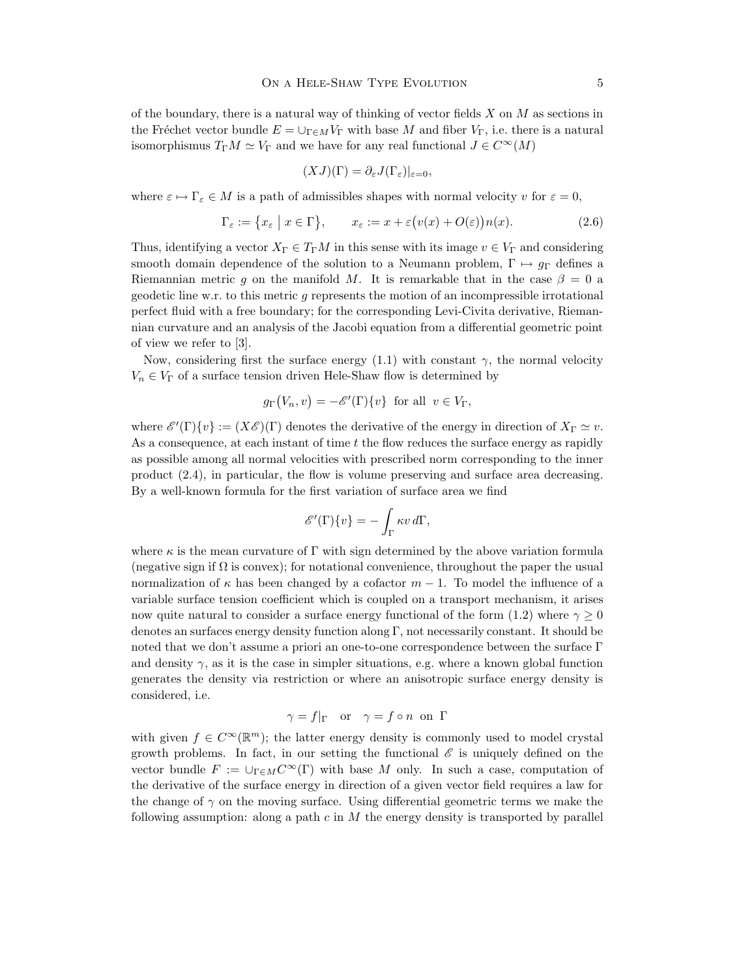of the boundary, there is a natural way of thinking of vector fields  $X$  on  $M$  as sections in the Fréchet vector bundle  $E = \bigcup_{\Gamma \in M} V_{\Gamma}$  with base M and fiber  $V_{\Gamma}$ , i.e. there is a natural isomorphismus  $T_{\Gamma}M \simeq V_{\Gamma}$  and we have for any real functional  $J \in C^{\infty}(M)$ 

$$
(XJ)(\Gamma) = \partial_{\varepsilon} J(\Gamma_{\varepsilon})|_{\varepsilon=0},
$$

where  $\varepsilon \mapsto \Gamma_{\varepsilon} \in M$  is a path of admissibles shapes with normal velocity v for  $\varepsilon = 0$ ,

$$
\Gamma_{\varepsilon} := \{ x_{\varepsilon} \mid x \in \Gamma \}, \qquad x_{\varepsilon} := x + \varepsilon \big( v(x) + O(\varepsilon) \big) n(x). \tag{2.6}
$$

Thus, identifying a vector  $X_{\Gamma} \in T_{\Gamma}M$  in this sense with its image  $v \in V_{\Gamma}$  and considering smooth domain dependence of the solution to a Neumann problem,  $\Gamma \mapsto g_{\Gamma}$  defines a Riemannian metric g on the manifold M. It is remarkable that in the case  $\beta = 0$  a geodetic line w.r. to this metric g represents the motion of an incompressible irrotational perfect fluid with a free boundary; for the corresponding Levi-Civita derivative, Riemannian curvature and an analysis of the Jacobi equation from a differential geometric point of view we refer to [3].

Now, considering first the surface energy  $(1.1)$  with constant  $\gamma$ , the normal velocity  $V_n \in V_\Gamma$  of a surface tension driven Hele-Shaw flow is determined by

$$
g_{\Gamma}(V_n, v) = -\mathscr{E}'(\Gamma)\{v\}
$$
 for all  $v \in V_{\Gamma}$ ,

where  $\mathscr{E}'(\Gamma)\{v\} := (X\mathscr{E})(\Gamma)$  denotes the derivative of the energy in direction of  $X_{\Gamma} \simeq v$ . As a consequence, at each instant of time  $t$  the flow reduces the surface energy as rapidly as possible among all normal velocities with prescribed norm corresponding to the inner product (2.4), in particular, the flow is volume preserving and surface area decreasing. By a well-known formula for the first variation of surface area we find

$$
\mathscr{E}'(\Gamma)\{v\} = -\int_{\Gamma} \kappa v \, d\Gamma,
$$

where  $\kappa$  is the mean curvature of Γ with sign determined by the above variation formula (negative sign if  $\Omega$  is convex); for notational convenience, throughout the paper the usual normalization of  $\kappa$  has been changed by a cofactor  $m-1$ . To model the influence of a variable surface tension coefficient which is coupled on a transport mechanism, it arises now quite natural to consider a surface energy functional of the form (1.2) where  $\gamma \geq 0$ denotes an surfaces energy density function along  $\Gamma$ , not necessarily constant. It should be noted that we don't assume a priori an one-to-one correspondence between the surface Γ and density  $\gamma$ , as it is the case in simpler situations, e.g. where a known global function generates the density via restriction or where an anisotropic surface energy density is considered, i.e.

$$
\gamma = f|_{\Gamma} \quad \text{or} \quad \gamma = f \circ n \text{ on } \Gamma
$$

with given  $f \in C^{\infty}(\mathbb{R}^m)$ ; the latter energy density is commonly used to model crystal growth problems. In fact, in our setting the functional  $\mathscr E$  is uniquely defined on the vector bundle  $F := \cup_{\Gamma \in M} C^{\infty}(\Gamma)$  with base M only. In such a case, computation of the derivative of the surface energy in direction of a given vector field requires a law for the change of  $\gamma$  on the moving surface. Using differential geometric terms we make the following assumption: along a path  $c$  in  $M$  the energy density is transported by parallel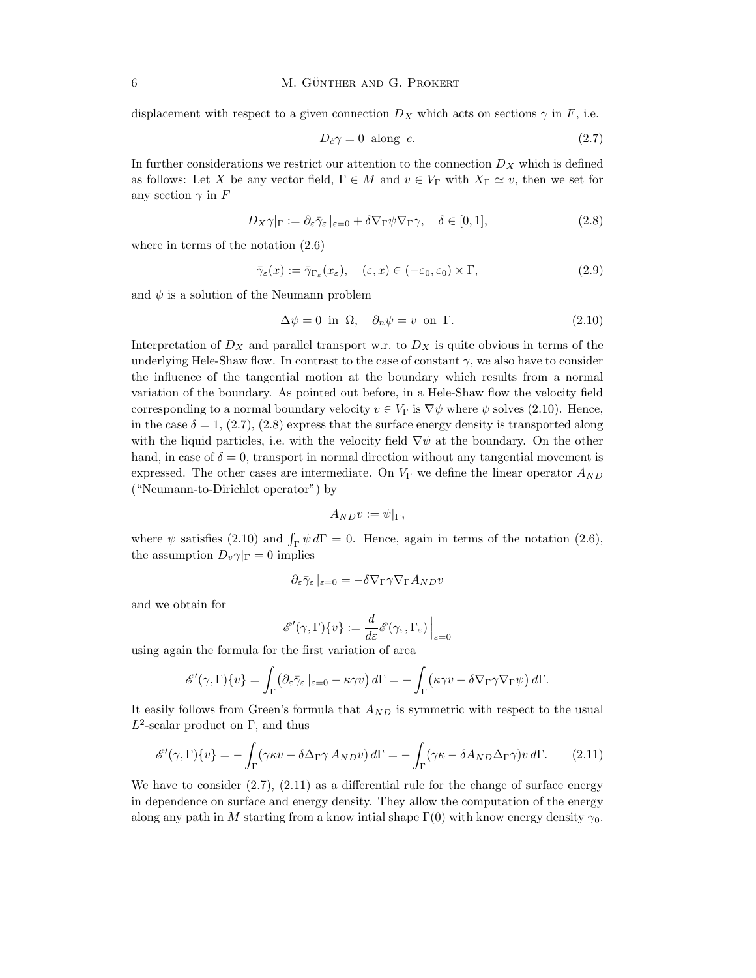displacement with respect to a given connection  $D_X$  which acts on sections  $\gamma$  in F, i.e.

$$
D_c \gamma = 0 \text{ along } c. \tag{2.7}
$$

In further considerations we restrict our attention to the connection  $D_X$  which is defined as follows: Let X be any vector field,  $\Gamma \in M$  and  $v \in V_{\Gamma}$  with  $X_{\Gamma} \simeq v$ , then we set for any section  $\gamma$  in F

$$
D_X \gamma|_{\Gamma} := \partial_{\varepsilon} \bar{\gamma}_{\varepsilon}|_{\varepsilon=0} + \delta \nabla_{\Gamma} \psi \nabla_{\Gamma} \gamma, \quad \delta \in [0, 1], \tag{2.8}
$$

where in terms of the notation (2.6)

$$
\bar{\gamma}_{\varepsilon}(x) := \bar{\gamma}_{\Gamma_{\varepsilon}}(x_{\varepsilon}), \quad (\varepsilon, x) \in (-\varepsilon_0, \varepsilon_0) \times \Gamma, \tag{2.9}
$$

and  $\psi$  is a solution of the Neumann problem

$$
\Delta \psi = 0 \text{ in } \Omega, \quad \partial_n \psi = v \text{ on } \Gamma. \tag{2.10}
$$

Interpretation of  $D_X$  and parallel transport w.r. to  $D_X$  is quite obvious in terms of the underlying Hele-Shaw flow. In contrast to the case of constant  $\gamma$ , we also have to consider the influence of the tangential motion at the boundary which results from a normal variation of the boundary. As pointed out before, in a Hele-Shaw flow the velocity field corresponding to a normal boundary velocity  $v \in V_\Gamma$  is  $\nabla \psi$  where  $\psi$  solves (2.10). Hence, in the case  $\delta = 1, (2.7), (2.8)$  express that the surface energy density is transported along with the liquid particles, i.e. with the velocity field  $\nabla \psi$  at the boundary. On the other hand, in case of  $\delta = 0$ , transport in normal direction without any tangential movement is expressed. The other cases are intermediate. On  $V_{\Gamma}$  we define the linear operator  $A_{ND}$ ("Neumann-to-Dirichlet operator") by

$$
A_{ND}v:=\psi|_{\Gamma},
$$

where  $\psi$  satisfies (2.10) and  $\int_{\Gamma} \psi d\Gamma = 0$ . Hence, again in terms of the notation (2.6), the assumption  $D_v \gamma|_{\Gamma} = 0$  implies

$$
\partial_{\varepsilon} \bar{\gamma}_{\varepsilon} |_{\varepsilon = 0} = -\delta \nabla_{\Gamma} \gamma \nabla_{\Gamma} A_{ND} v
$$

and we obtain for

$$
\mathscr{E}'(\gamma, \Gamma)\{v\} := \frac{d}{d\varepsilon} \mathscr{E}(\gamma_{\varepsilon}, \Gamma_{\varepsilon})\Big|_{\varepsilon=0}
$$

using again the formula for the first variation of area

$$
\mathscr{E}'(\gamma, \Gamma)\{v\} = \int_{\Gamma} \left( \partial_{\varepsilon} \bar{\gamma}_{\varepsilon} \left|_{\varepsilon=0} - \kappa \gamma v \right.\right) d\Gamma = - \int_{\Gamma} \left( \kappa \gamma v + \delta \nabla_{\Gamma} \gamma \nabla_{\Gamma} \psi \right) d\Gamma.
$$

It easily follows from Green's formula that  $A_{ND}$  is symmetric with respect to the usual  $L^2$ -scalar product on Γ, and thus

$$
\mathscr{E}'(\gamma, \Gamma)\{v\} = -\int_{\Gamma} (\gamma \kappa v - \delta \Delta_{\Gamma} \gamma A_{ND} v) d\Gamma = -\int_{\Gamma} (\gamma \kappa - \delta A_{ND} \Delta_{\Gamma} \gamma) v d\Gamma.
$$
 (2.11)

We have to consider  $(2.7), (2.11)$  as a differential rule for the change of surface energy in dependence on surface and energy density. They allow the computation of the energy along any path in M starting from a know intial shape  $\Gamma(0)$  with know energy density  $\gamma_0$ .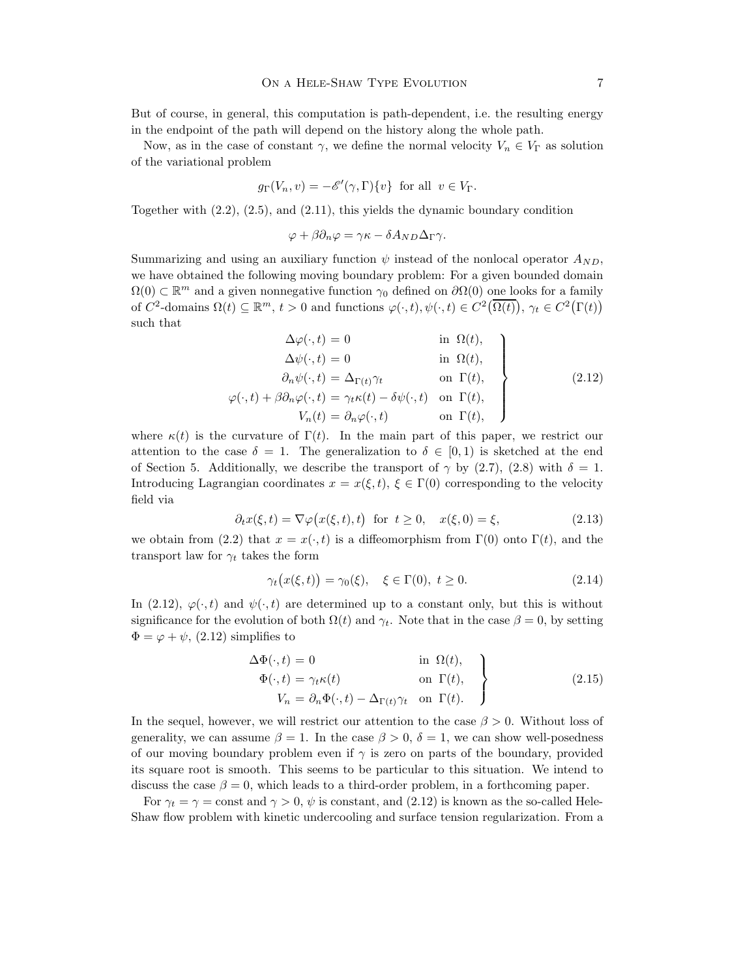But of course, in general, this computation is path-dependent, i.e. the resulting energy in the endpoint of the path will depend on the history along the whole path.

Now, as in the case of constant  $\gamma$ , we define the normal velocity  $V_n \in V_\Gamma$  as solution of the variational problem

$$
g_{\Gamma}(V_n, v) = -\mathscr{E}'(\gamma, \Gamma)\{v\}
$$
 for all  $v \in V_{\Gamma}$ .

Together with (2.2), (2.5), and (2.11), this yields the dynamic boundary condition

$$
\varphi + \beta \partial_n \varphi = \gamma \kappa - \delta A_{ND} \Delta_{\Gamma} \gamma.
$$

Summarizing and using an auxiliary function  $\psi$  instead of the nonlocal operator  $A_{ND}$ , we have obtained the following moving boundary problem: For a given bounded domain  $\Omega(0) \subset \mathbb{R}^m$  and a given nonnegative function  $\gamma_0$  defined on  $\partial\Omega(0)$  one looks for a family of  $C^2$ -domains  $\Omega(t) \subseteq \mathbb{R}^m$ ,  $t > 0$  and functions  $\varphi(\cdot,t), \psi(\cdot,t) \in C^2(\overline{\Omega(t)})$ ,  $\gamma_t \in C^2(\Gamma(t))$ such that

$$
\Delta \varphi(\cdot, t) = 0 \quad \text{in } \Omega(t),
$$
  
\n
$$
\Delta \psi(\cdot, t) = 0 \quad \text{in } \Omega(t),
$$
  
\n
$$
\partial_n \psi(\cdot, t) = \Delta_{\Gamma(t)} \gamma_t \quad \text{on } \Gamma(t),
$$
  
\n
$$
\varphi(\cdot, t) + \beta \partial_n \varphi(\cdot, t) = \gamma_t \kappa(t) - \delta \psi(\cdot, t) \quad \text{on } \Gamma(t),
$$
  
\n
$$
V_n(t) = \partial_n \varphi(\cdot, t) \quad \text{on } \Gamma(t),
$$
\n(2.12)

where  $\kappa(t)$  is the curvature of  $\Gamma(t)$ . In the main part of this paper, we restrict our attention to the case  $\delta = 1$ . The generalization to  $\delta \in [0,1)$  is sketched at the end of Section 5. Additionally, we describe the transport of  $\gamma$  by (2.7), (2.8) with  $\delta = 1$ . Introducing Lagrangian coordinates  $x = x(\xi, t)$ ,  $\xi \in \Gamma(0)$  corresponding to the velocity field via

$$
\partial_t x(\xi, t) = \nabla \varphi(x(\xi, t), t) \quad \text{for } t \ge 0, \quad x(\xi, 0) = \xi,
$$
\n(2.13)

we obtain from (2.2) that  $x = x(\cdot, t)$  is a diffeomorphism from  $\Gamma(0)$  onto  $\Gamma(t)$ , and the transport law for  $\gamma_t$  takes the form

$$
\gamma_t(x(\xi, t)) = \gamma_0(\xi), \quad \xi \in \Gamma(0), \ t \ge 0. \tag{2.14}
$$

In (2.12),  $\varphi(\cdot,t)$  and  $\psi(\cdot,t)$  are determined up to a constant only, but this is without significance for the evolution of both  $\Omega(t)$  and  $\gamma_t$ . Note that in the case  $\beta = 0$ , by setting  $\Phi = \varphi + \psi$ , (2.12) simplifies to

$$
\Delta \Phi(\cdot, t) = 0 \quad \text{in } \Omega(t),
$$
  
\n
$$
\Phi(\cdot, t) = \gamma_t \kappa(t) \quad \text{on } \Gamma(t),
$$
  
\n
$$
V_n = \partial_n \Phi(\cdot, t) - \Delta_{\Gamma(t)} \gamma_t \quad \text{on } \Gamma(t).
$$
\n(2.15)

In the sequel, however, we will restrict our attention to the case  $\beta > 0$ . Without loss of generality, we can assume  $\beta = 1$ . In the case  $\beta > 0$ ,  $\delta = 1$ , we can show well-posedness of our moving boundary problem even if  $\gamma$  is zero on parts of the boundary, provided its square root is smooth. This seems to be particular to this situation. We intend to discuss the case  $\beta = 0$ , which leads to a third-order problem, in a forthcoming paper.

For  $\gamma_t = \gamma = \text{const}$  and  $\gamma > 0$ ,  $\psi$  is constant, and (2.12) is known as the so-called Hele-Shaw flow problem with kinetic undercooling and surface tension regularization. From a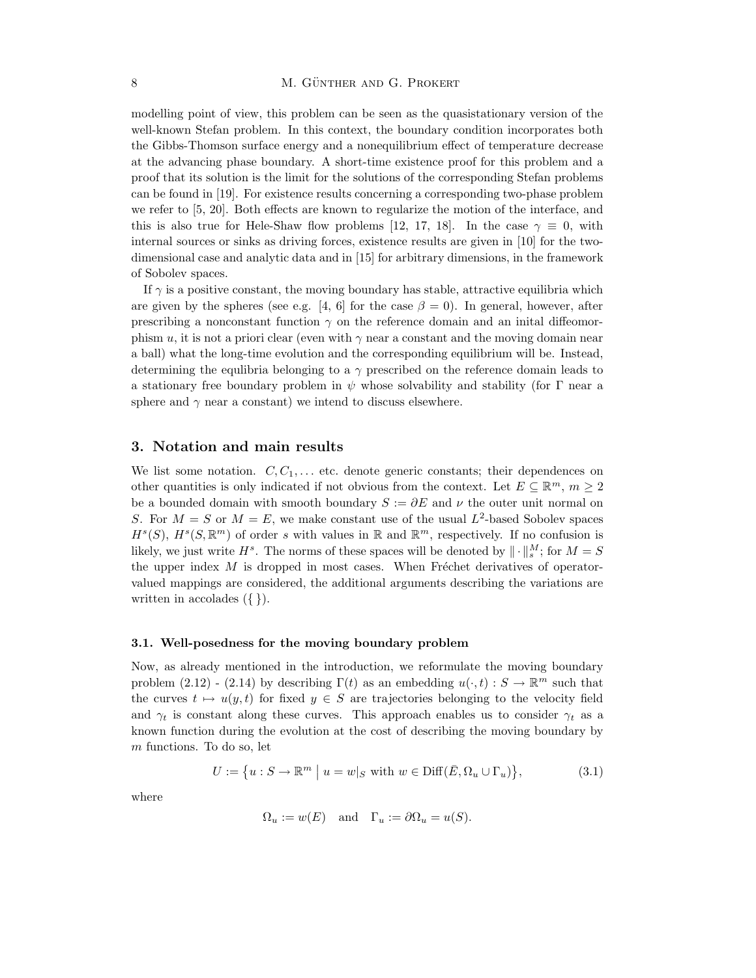modelling point of view, this problem can be seen as the quasistationary version of the well-known Stefan problem. In this context, the boundary condition incorporates both the Gibbs-Thomson surface energy and a nonequilibrium effect of temperature decrease at the advancing phase boundary. A short-time existence proof for this problem and a proof that its solution is the limit for the solutions of the corresponding Stefan problems can be found in [19]. For existence results concerning a corresponding two-phase problem we refer to [5, 20]. Both effects are known to regularize the motion of the interface, and this is also true for Hele-Shaw flow problems [12, 17, 18]. In the case  $\gamma \equiv 0$ , with internal sources or sinks as driving forces, existence results are given in [10] for the twodimensional case and analytic data and in [15] for arbitrary dimensions, in the framework of Sobolev spaces.

If  $\gamma$  is a positive constant, the moving boundary has stable, attractive equilibria which are given by the spheres (see e.g. [4, 6] for the case  $\beta = 0$ ). In general, however, after prescribing a nonconstant function  $\gamma$  on the reference domain and an initial diffeomorphism u, it is not a priori clear (even with  $\gamma$  near a constant and the moving domain near a ball) what the long-time evolution and the corresponding equilibrium will be. Instead, determining the equilibria belonging to a  $\gamma$  prescribed on the reference domain leads to a stationary free boundary problem in  $\psi$  whose solvability and stability (for  $\Gamma$  near a sphere and  $\gamma$  near a constant) we intend to discuss elsewhere.

#### 3. Notation and main results

We list some notation.  $C, C_1, \ldots$  etc. denote generic constants; their dependences on other quantities is only indicated if not obvious from the context. Let  $E \subseteq \mathbb{R}^m$ ,  $m \geq 2$ be a bounded domain with smooth boundary  $S := \partial E$  and  $\nu$  the outer unit normal on S. For  $M = S$  or  $M = E$ , we make constant use of the usual  $L^2$ -based Sobolev spaces  $H^s(S), H^s(S, \mathbb{R}^m)$  of order s with values in  $\mathbb{R}$  and  $\mathbb{R}^m$ , respectively. If no confusion is likely, we just write  $H^s$ . The norms of these spaces will be denoted by  $\|\cdot\|_s^M$ ; for  $M = S$ the upper index  $M$  is dropped in most cases. When Fréchet derivatives of operatorvalued mappings are considered, the additional arguments describing the variations are written in accolades  $({})$ .

#### 3.1. Well-posedness for the moving boundary problem

Now, as already mentioned in the introduction, we reformulate the moving boundary problem (2.12) - (2.14) by describing  $\Gamma(t)$  as an embedding  $u(\cdot,t): S \to \mathbb{R}^m$  such that the curves  $t \mapsto u(y,t)$  for fixed  $y \in S$  are trajectories belonging to the velocity field and  $\gamma_t$  is constant along these curves. This approach enables us to consider  $\gamma_t$  as a known function during the evolution at the cost of describing the moving boundary by m functions. To do so, let

$$
U := \{ u : S \to \mathbb{R}^m \mid u = w |_{S} \text{ with } w \in \text{Diff}(\bar{E}, \Omega_u \cup \Gamma_u) \},\tag{3.1}
$$

where

$$
\Omega_u := w(E)
$$
 and  $\Gamma_u := \partial \Omega_u = u(S)$ .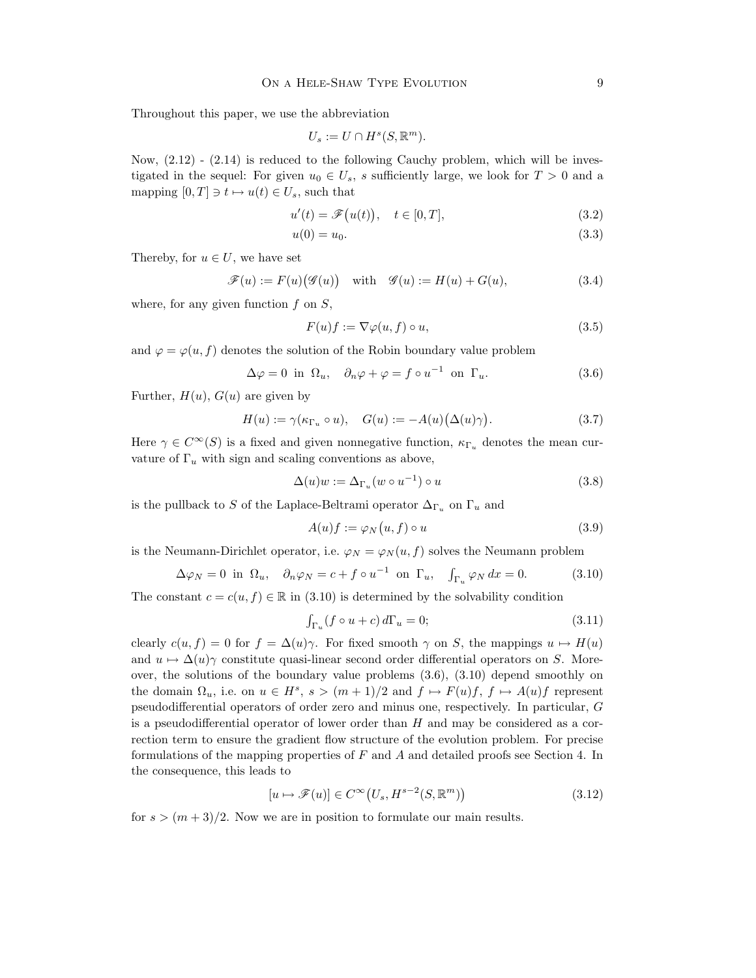Throughout this paper, we use the abbreviation

$$
U_s := U \cap H^s(S, \mathbb{R}^m).
$$

Now,  $(2.12)$  -  $(2.14)$  is reduced to the following Cauchy problem, which will be investigated in the sequel: For given  $u_0 \in U_s$ , s sufficiently large, we look for  $T > 0$  and a mapping  $[0, T] \ni t \mapsto u(t) \in U_s$ , such that

$$
u'(t) = \mathscr{F}\big(u(t)\big), \quad t \in [0, T], \tag{3.2}
$$

$$
u(0) = u_0. \t\t(3.3)
$$

Thereby, for  $u \in U$ , we have set

$$
\mathscr{F}(u) := F(u) \big( \mathscr{G}(u) \big) \quad \text{with} \quad \mathscr{G}(u) := H(u) + G(u), \tag{3.4}
$$

where, for any given function  $f$  on  $S$ ,

$$
F(u)f := \nabla \varphi(u, f) \circ u,\tag{3.5}
$$

and  $\varphi = \varphi(u, f)$  denotes the solution of the Robin boundary value problem

$$
\Delta \varphi = 0 \text{ in } \Omega_u, \quad \partial_n \varphi + \varphi = f \circ u^{-1} \text{ on } \Gamma_u. \tag{3.6}
$$

Further,  $H(u)$ ,  $G(u)$  are given by

$$
H(u) := \gamma(\kappa_{\Gamma_u} \circ u), \quad G(u) := -A(u)\big(\Delta(u)\gamma\big). \tag{3.7}
$$

Here  $\gamma \in C^{\infty}(S)$  is a fixed and given nonnegative function,  $\kappa_{\Gamma_{\nu}}$  denotes the mean curvature of  $\Gamma_u$  with sign and scaling conventions as above,

$$
\Delta(u)w := \Delta_{\Gamma_u}(w \circ u^{-1}) \circ u \tag{3.8}
$$

is the pullback to S of the Laplace-Beltrami operator  $\Delta_{\Gamma_u}$  on  $\Gamma_u$  and

$$
A(u)f := \varphi_N(u, f) \circ u \tag{3.9}
$$

is the Neumann-Dirichlet operator, i.e.  $\varphi_N = \varphi_N(u, f)$  solves the Neumann problem

$$
\Delta \varphi_N = 0 \text{ in } \Omega_u, \quad \partial_n \varphi_N = c + f \circ u^{-1} \text{ on } \Gamma_u, \quad \int_{\Gamma_u} \varphi_N dx = 0. \tag{3.10}
$$

The constant  $c = c(u, f) \in \mathbb{R}$  in (3.10) is determined by the solvability condition

$$
\int_{\Gamma_u} (f \circ u + c) d\Gamma_u = 0; \tag{3.11}
$$

clearly  $c(u, f) = 0$  for  $f = \Delta(u)\gamma$ . For fixed smooth  $\gamma$  on S, the mappings  $u \mapsto H(u)$ and  $u \mapsto \Delta(u)\gamma$  constitute quasi-linear second order differential operators on S. Moreover, the solutions of the boundary value problems  $(3.6)$ ,  $(3.10)$  depend smoothly on the domain  $\Omega_u$ , i.e. on  $u \in H^s$ ,  $s > (m+1)/2$  and  $f \mapsto F(u)f$ ,  $f \mapsto A(u)f$  represent pseudodifferential operators of order zero and minus one, respectively. In particular, G is a pseudodifferential operator of lower order than  $H$  and may be considered as a correction term to ensure the gradient flow structure of the evolution problem. For precise formulations of the mapping properties of  $F$  and  $A$  and detailed proofs see Section 4. In the consequence, this leads to

$$
[u \mapsto \mathcal{F}(u)] \in C^{\infty}(U_s, H^{s-2}(S, \mathbb{R}^m))
$$
\n(3.12)

for  $s > (m+3)/2$ . Now we are in position to formulate our main results.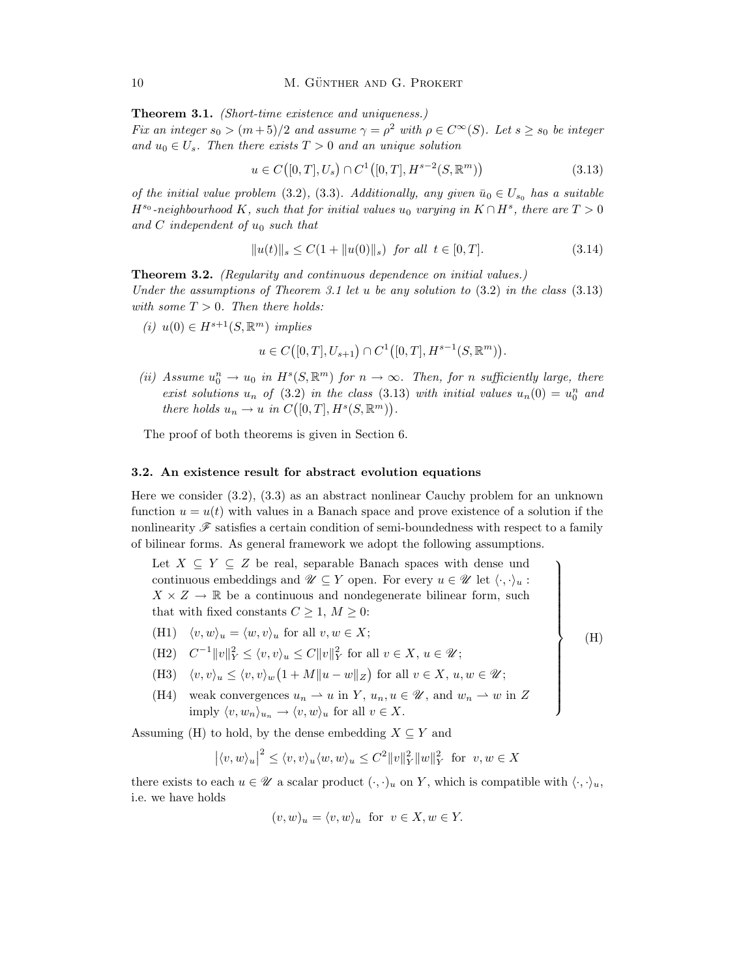Theorem 3.1. (Short-time existence and uniqueness.)

Fix an integer  $s_0 > (m+5)/2$  and assume  $\gamma = \rho^2$  with  $\rho \in C^{\infty}(S)$ . Let  $s \geq s_0$  be integer and  $u_0 \in U_s$ . Then there exists  $T > 0$  and an unique solution

$$
u \in C([0, T], U_s) \cap C^1([0, T], H^{s-2}(S, \mathbb{R}^m))
$$
\n(3.13)

of the initial value problem (3.2), (3.3). Additionally, any given  $\bar{u}_0 \in U_{s_0}$  has a suitable  $H^{s_0}$ -neighbourhood K, such that for initial values  $u_0$  varying in  $K \cap H^s$ , there are  $T > 0$ and C independent of  $u_0$  such that

$$
||u(t)||_{s} \le C(1 + ||u(0)||_{s}) \text{ for all } t \in [0, T].
$$
\n(3.14)

 $\mathbf{A}$ 

 $\begin{array}{c} \hline \end{array}$ 

(H)

 $\begin{array}{c} \hline \end{array}$ 

Theorem 3.2. (Regularity and continuous dependence on initial values.) Under the assumptions of Theorem 3.1 let u be any solution to  $(3.2)$  in the class  $(3.13)$ with some  $T > 0$ . Then there holds:

(i)  $u(0) \in H^{s+1}(S, \mathbb{R}^m)$  implies

$$
u\in C\big([0,T],U_{s+1}\big)\cap C^1\big([0,T],H^{s-1}(S,\mathbb{R}^m)\big).
$$

(ii) Assume  $u_0^n \to u_0$  in  $H^s(S, \mathbb{R}^m)$  for  $n \to \infty$ . Then, for n sufficiently large, there exist solutions  $u_n$  of (3.2) in the class (3.13) with initial values  $u_n(0) = u_0^n$  and there holds  $u_n \to u$  in  $C([0,T], H^s(S, \mathbb{R}^m))$ .

The proof of both theorems is given in Section 6.

#### 3.2. An existence result for abstract evolution equations

Here we consider (3.2), (3.3) as an abstract nonlinear Cauchy problem for an unknown function  $u = u(t)$  with values in a Banach space and prove existence of a solution if the nonlinearity  $\mathscr F$  satisfies a certain condition of semi-boundedness with respect to a family of bilinear forms. As general framework we adopt the following assumptions.

Let  $X \subseteq Y \subseteq Z$  be real, separable Banach spaces with dense und continuous embeddings and  $\mathscr{U} \subseteq Y$  open. For every  $u \in \mathscr{U}$  let  $\langle \cdot, \cdot \rangle_u$ :  $X \times Z \to \mathbb{R}$  be a continuous and nondegenerate bilinear form, such that with fixed constants  $C \geq 1, M \geq 0$ :

- (H1)  $\langle v, w \rangle_u = \langle w, v \rangle_u$  for all  $v, w \in X;$
- (H2)  $C^{-1} \|v\|_Y^2 \le \langle v, v \rangle_u \le C \|v\|_Y^2$  for all  $v \in X, u \in \mathcal{U}$ ;
- (H3)  $\langle v, v \rangle_u \leq \langle v, v \rangle_w \left(1 + M \|u w\|_Z\right)$  for all  $v \in X, u, w \in \mathcal{U}$ ;
- (H4) weak convergences  $u_n \rightharpoonup u$  in Y,  $u_n, u \in \mathcal{U}$ , and  $w_n \rightharpoonup w$  in Z imply  $\langle v, w_n \rangle_{u_n} \to \langle v, w \rangle_u$  for all  $v \in X$ .

Assuming (H) to hold, by the dense embedding  $X \subseteq Y$  and

$$
|\langle v, w \rangle_u|^2 \le \langle v, v \rangle_u \langle w, w \rangle_u \le C^2 ||v||_Y^2 ||w||_Y^2 \text{ for } v, w \in X
$$

there exists to each  $u \in \mathcal{U}$  a scalar product  $(\cdot, \cdot)_u$  on Y, which is compatible with  $\langle \cdot, \cdot \rangle_u$ , i.e. we have holds

$$
(v, w)_u = \langle v, w \rangle_u
$$
 for  $v \in X, w \in Y$ .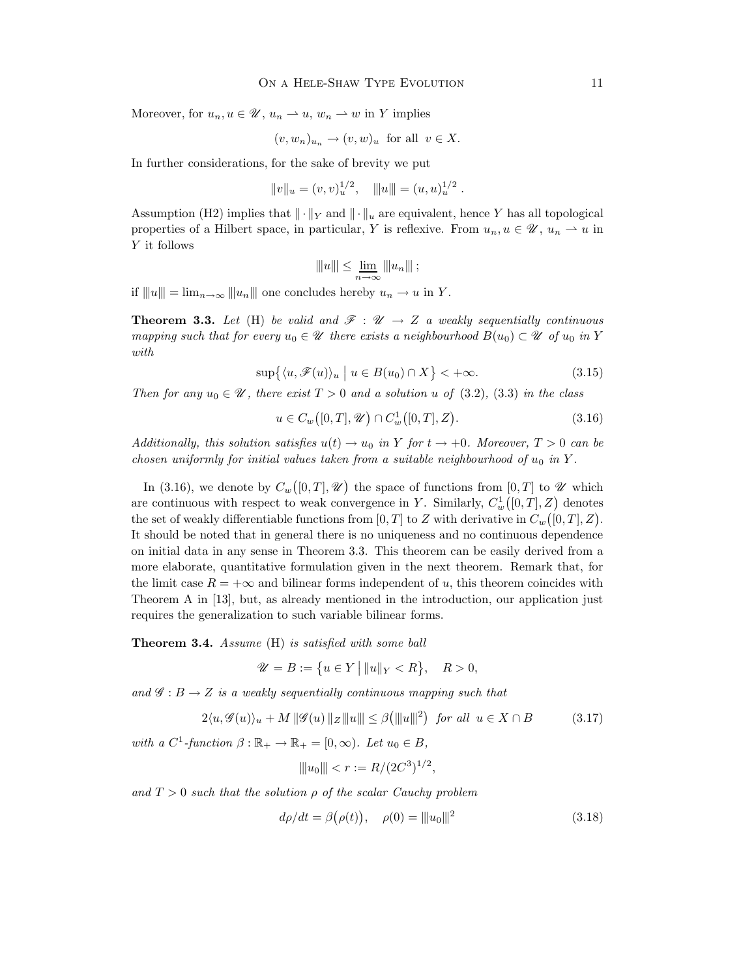Moreover, for  $u_n, u \in \mathcal{U}$ ,  $u_n \to u$ ,  $w_n \to w$  in Y implies

$$
(v, w_n)_{u_n} \to (v, w)_u
$$
 for all  $v \in X$ .

In further considerations, for the sake of brevity we put

$$
||v||_u = (v, v)_u^{1/2}, \quad |||u|| = (u, u)_u^{1/2}
$$

Assumption (H2) implies that  $\|\cdot\|_Y$  and  $\|\cdot\|_u$  are equivalent, hence Y has all topological properties of a Hilbert space, in particular, Y is reflexive. From  $u_n, u \in \mathcal{U}$ ,  $u_n \to u$  in Y it follows

$$
||u||| \le \underline{\lim}_{n \to \infty} |||u_n||| \ ;
$$

if  $||u|| = \lim_{n \to \infty} ||u_n||$  one concludes hereby  $u_n \to u$  in Y.

**Theorem 3.3.** Let (H) be valid and  $\mathcal{F} : \mathcal{U} \to Z$  a weakly sequentially continuous mapping such that for every  $u_0 \in \mathcal{U}$  there exists a neighbourhood  $B(u_0) \subset \mathcal{U}$  of  $u_0$  in Y with

$$
\sup\{\langle u, \mathcal{F}(u)\rangle_u \mid u \in B(u_0) \cap X\} < +\infty. \tag{3.15}
$$

Then for any  $u_0 \in \mathcal{U}$ , there exist  $T > 0$  and a solution u of (3.2), (3.3) in the class

$$
u \in C_w([0, T], \mathcal{U}) \cap C_w^1([0, T], Z). \tag{3.16}
$$

.

Additionally, this solution satisfies  $u(t) \to u_0$  in Y for  $t \to +0$ . Moreover,  $T > 0$  can be chosen uniformly for initial values taken from a suitable neighbourhood of  $u_0$  in Y.

In (3.16), we denote by  $C_w([0,T], \mathscr{U})$  the space of functions from  $[0,T]$  to  $\mathscr{U}$  which are continuous with respect to weak convergence in Y. Similarly,  $C_w^1([0,T], Z)$  denotes the set of weakly differentiable functions from  $[0,T]$  to Z with derivative in  $C_w([0,T],Z)$ . It should be noted that in general there is no uniqueness and no continuous dependence on initial data in any sense in Theorem 3.3. This theorem can be easily derived from a more elaborate, quantitative formulation given in the next theorem. Remark that, for the limit case  $R = +\infty$  and bilinear forms independent of u, this theorem coincides with Theorem A in [13], but, as already mentioned in the introduction, our application just requires the generalization to such variable bilinear forms.

Theorem 3.4. Assume (H) is satisfied with some ball

$$
\mathscr{U} = B := \{ u \in Y \, \big| \, \|u\|_Y < R \}, \quad R > 0,
$$

and  $\mathscr{G}:B\to Z$  is a weakly sequentially continuous mapping such that

$$
2\langle u, \mathcal{G}(u) \rangle_u + M \|\mathcal{G}(u)\|_Z \|\|u\| \le \beta \left(\| |u\| \right)^2 \text{ for all } u \in X \cap B \tag{3.17}
$$

with a  $C^1$ -function  $\beta : \mathbb{R}_+ \to \mathbb{R}_+ = [0, \infty)$ . Let  $u_0 \in B$ ,

$$
|\!|\!| u_0|\!|\!| < r := R/(2C^3)^{1/2},
$$

and  $T > 0$  such that the solution  $\rho$  of the scalar Cauchy problem

$$
d\rho/dt = \beta(\rho(t)), \quad \rho(0) = ||u_0||^2 \tag{3.18}
$$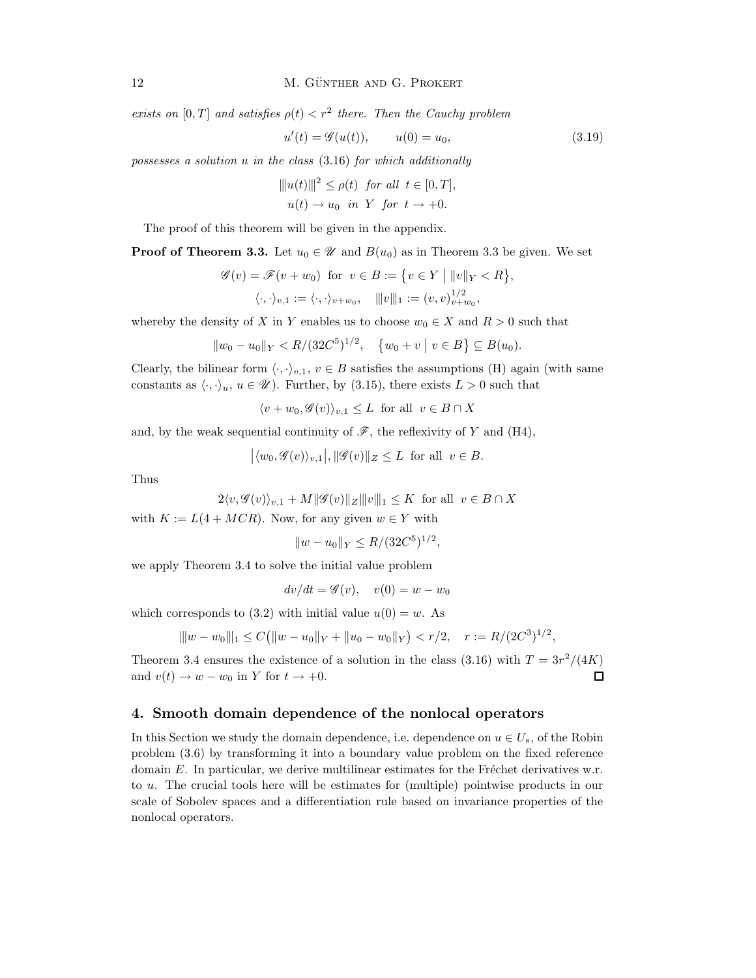exists on [0, T] and satisfies  $\rho(t) < r^2$  there. Then the Cauchy problem

$$
u'(t) = \mathcal{G}(u(t)), \qquad u(0) = u_0,
$$
\n(3.19)

possesses a solution u in the class (3.16) for which additionally

$$
||u(t)||^{2} \leq \rho(t) \text{ for all } t \in [0, T],
$$
  
 
$$
u(t) \to u_{0} \text{ in } Y \text{ for } t \to +0.
$$

The proof of this theorem will be given in the appendix.

**Proof of Theorem 3.3.** Let  $u_0 \in \mathcal{U}$  and  $B(u_0)$  as in Theorem 3.3 be given. We set

$$
\mathscr{G}(v) = \mathscr{F}(v + w_0) \text{ for } v \in B := \{v \in Y \mid ||v||_Y < R\},\
$$

$$
\langle \cdot, \cdot \rangle_{v,1} := \langle \cdot, \cdot \rangle_{v+w_0}, \quad |||v||_1 := (v, v)^{1/2}_{v+w_0},
$$

whereby the density of X in Y enables us to choose  $w_0 \in X$  and  $R > 0$  such that

$$
||w_0 - u_0||_Y < R/(32C^5)^{1/2}, \quad \{w_0 + v \mid v \in B\} \subseteq B(u_0).
$$

Clearly, the bilinear form  $\langle \cdot, \cdot \rangle_{v,1}, v \in B$  satisfies the assumptions (H) again (with same constants as  $\langle \cdot, \cdot \rangle_u$ ,  $u \in \mathcal{U}$ . Further, by (3.15), there exists  $L > 0$  such that

$$
\langle v + w_0, \mathcal{G}(v) \rangle_{v,1} \le L \text{ for all } v \in B \cap X
$$

and, by the weak sequential continuity of  $\mathscr{F}$ , the reflexivity of Y and (H4),

$$
|\langle w_0, \mathcal{G}(v) \rangle_{v,1}|, ||\mathcal{G}(v)||_Z \leq L
$$
 for all  $v \in B$ .

Thus

$$
2\langle v, \mathcal{G}(v)\rangle_{v,1} + M \|\mathcal{G}(v)\|_Z \|\|v\|_1 \le K \text{ for all } v \in B \cap X
$$

with  $K := L(4 + MCR)$ . Now, for any given  $w \in Y$  with

$$
||w - u_0||_Y \le R/(32C^5)^{1/2},
$$

we apply Theorem 3.4 to solve the initial value problem

 $dv/dt = \mathscr{G}(v)$ ,  $v(0) = w - w_0$ 

which corresponds to (3.2) with initial value  $u(0) = w$ . As

$$
\|w - w_0\|_1 \le C\big(\|w - u_0\|_Y + \|u_0 - w_0\|_Y\big) < r/2, \quad r := R/(2C^3)^{1/2},
$$

Theorem 3.4 ensures the existence of a solution in the class (3.16) with  $T = 3r^2/(4K)$ and  $v(t) \rightarrow w - w_0$  in Y for  $t \rightarrow +0$ .  $\Box$ 

#### 4. Smooth domain dependence of the nonlocal operators

In this Section we study the domain dependence, i.e. dependence on  $u \in U_s$ , of the Robin problem (3.6) by transforming it into a boundary value problem on the fixed reference domain  $E$ . In particular, we derive multilinear estimates for the Fréchet derivatives w.r. to u. The crucial tools here will be estimates for (multiple) pointwise products in our scale of Sobolev spaces and a differentiation rule based on invariance properties of the nonlocal operators.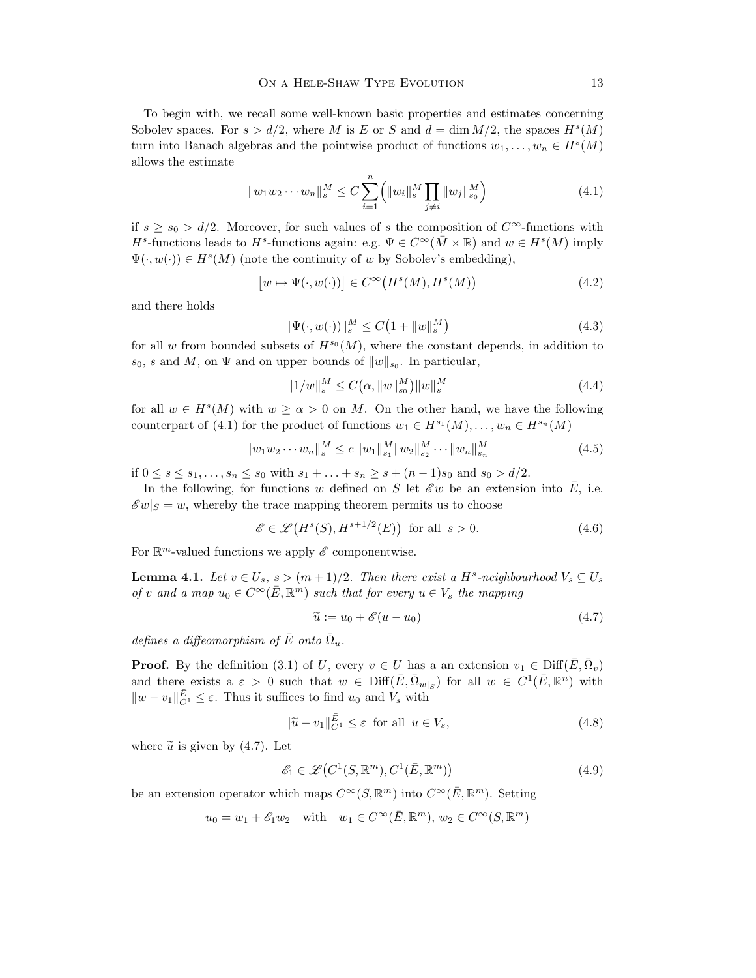To begin with, we recall some well-known basic properties and estimates concerning Sobolev spaces. For  $s > d/2$ , where M is E or S and  $d = \dim M/2$ , the spaces  $H<sup>s</sup>(M)$ turn into Banach algebras and the pointwise product of functions  $w_1, \ldots, w_n \in H^s(M)$ allows the estimate

$$
||w_1 w_2 \cdots w_n||_s^M \le C \sum_{i=1}^n (||w_i||_s^M \prod_{j \neq i} ||w_j||_{s_0}^M)
$$
\n(4.1)

if  $s \ge s_0 > d/2$ . Moreover, for such values of s the composition of  $C^{\infty}$ -functions with  $H^s$ -functions leads to  $H^s$ -functions again: e.g.  $\Psi \in C^\infty(\bar{M} \times \mathbb{R})$  and  $w \in H^s(M)$  imply  $\Psi(\cdot, w(\cdot)) \in H^s(M)$  (note the continuity of w by Sobolev's embedding),

$$
[w \mapsto \Psi(\cdot, w(\cdot))] \in C^{\infty}(H^s(M), H^s(M))
$$
\n(4.2)

and there holds

$$
\|\Psi(\cdot, w(\cdot))\|_{s}^{M} \le C\left(1 + \|w\|_{s}^{M}\right) \tag{4.3}
$$

for all w from bounded subsets of  $H^{s_0}(M)$ , where the constant depends, in addition to  $s_0$ , s and M, on  $\Psi$  and on upper bounds of  $||w||_{s_0}$ . In particular,

$$
||1/w||_{s}^{M} \le C(\alpha, ||w||_{s_{0}}^{M})||w||_{s}^{M}
$$
\n(4.4)

for all  $w \in H<sup>s</sup>(M)$  with  $w \ge \alpha > 0$  on M. On the other hand, we have the following counterpart of (4.1) for the product of functions  $w_1 \in H^{s_1}(M), \ldots, w_n \in H^{s_n}(M)$ 

$$
||w_1 w_2 \cdots w_n||_s^M \le c ||w_1||_{s_1}^M ||w_2||_{s_2}^M \cdots ||w_n||_{s_n}^M
$$
\n(4.5)

if  $0 \le s \le s_1, \ldots, s_n \le s_0$  with  $s_1 + \ldots + s_n \ge s + (n-1)s_0$  and  $s_0 > d/2$ .

In the following, for functions w defined on S let  $\mathscr{E}w$  be an extension into E, i.e.  $\mathscr{E} w|_S = w$ , whereby the trace mapping theorem permits us to choose

$$
\mathscr{E} \in \mathscr{L}\big(H^s(S), H^{s+1/2}(E)\big) \quad \text{for all} \quad s > 0. \tag{4.6}
$$

For  $\mathbb{R}^m$ -valued functions we apply  $\mathscr E$  componentwise.

**Lemma 4.1.** Let  $v \in U_s$ ,  $s > (m+1)/2$ . Then there exist a H<sup>s</sup>-neighbourhood  $V_s \subseteq U_s$ of v and a map  $u_0 \in C^\infty(\overline{E}, \mathbb{R}^m)$  such that for every  $u \in V_s$  the mapping

$$
\widetilde{u} := u_0 + \mathscr{E}(u - u_0) \tag{4.7}
$$

defines a diffeomorphism of  $\bar{E}$  onto  $\bar{\Omega}_u$ .

**Proof.** By the definition (3.1) of U, every  $v \in U$  has a an extension  $v_1 \in \text{Diff}(\bar{E}, \bar{\Omega}_v)$ and there exists a  $\varepsilon > 0$  such that  $w \in \text{Diff}(\bar{E}, \bar{\Omega}_{w|S})$  for all  $w \in C^1(\bar{E}, \mathbb{R}^n)$  with  $||w - v_1||_{C^1}^{\bar{E}} \leq \varepsilon$ . Thus it suffices to find  $u_0$  and  $V_s$  with

$$
\|\widetilde{u} - v_1\|_{C^1}^{\bar{E}} \le \varepsilon \text{ for all } u \in V_s,\tag{4.8}
$$

where  $\tilde{u}$  is given by (4.7). Let

$$
\mathcal{E}_1 \in \mathcal{L}\left(C^1(S, \mathbb{R}^m), C^1(\bar{E}, \mathbb{R}^m)\right) \tag{4.9}
$$

be an extension operator which maps  $C^{\infty}(S, \mathbb{R}^m)$  into  $C^{\infty}(\overline{E}, \mathbb{R}^m)$ . Setting

 $u_0 = w_1 + \mathscr{E}_1 w_2$  with  $w_1 \in C^\infty(\overline{E}, \mathbb{R}^m), w_2 \in C^\infty(S, \mathbb{R}^m)$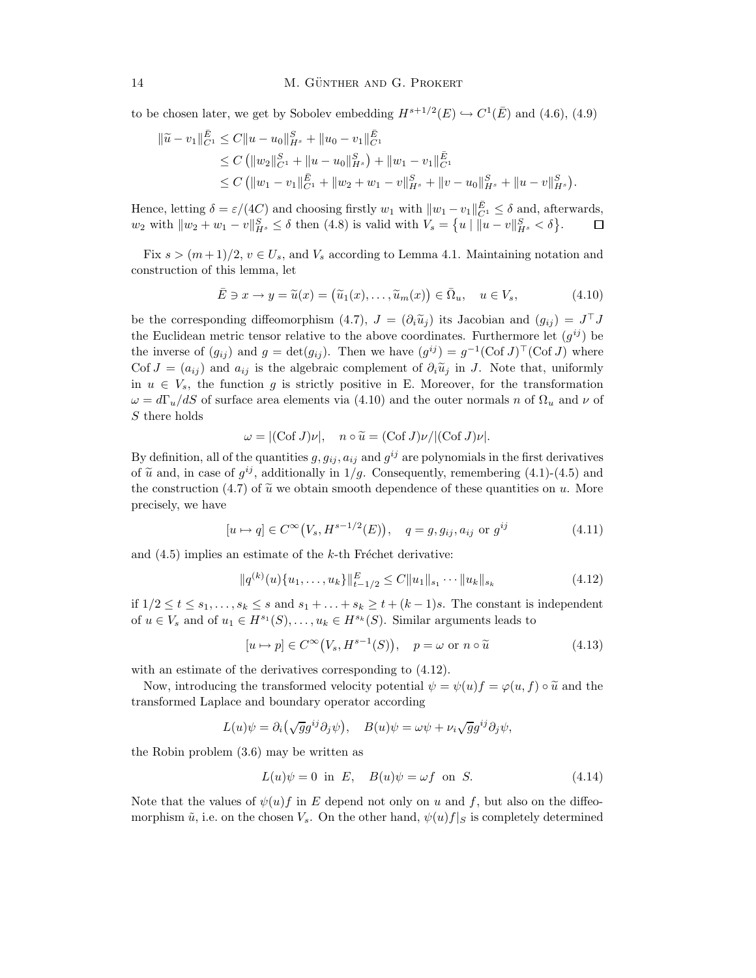to be chosen later, we get by Sobolev embedding  $H^{s+1/2}(E) \hookrightarrow C^1(\overline{E})$  and  $(4.6)$ ,  $(4.9)$ 

$$
\|\widetilde{u} - v_1\|_{C^1}^{\overline{E}} \le C \|u - u_0\|_{H^s}^S + \|u_0 - v_1\|_{C^1}^{\overline{E}} \n\le C ( \|w_2\|_{C^1}^S + \|u - u_0\|_{H^s}^S ) + \|w_1 - v_1\|_{C^1}^{\overline{E}} \n\le C ( \|w_1 - v_1\|_{C^1}^{\overline{E}} + \|w_2 + w_1 - v\|_{H^s}^S + \|v - u_0\|_{H^s}^S + \|u - v\|_{H^s}^{\overline{S}} ).
$$

Hence, letting  $\delta = \varepsilon/(4C)$  and choosing firstly  $w_1$  with  $||w_1 - v_1||_{C_1}^{\bar{E}} \leq \delta$  and, afterwards,  $w_2$  with  $||w_2 + w_1 - v||_{H^s}^S \le \delta$  then (4.8) is valid with  $V_s = \{u \mid ||u - v||_{H^s}^S < \delta\}.$ 

Fix  $s > (m+1)/2$ ,  $v \in U_s$ , and  $V_s$  according to Lemma 4.1. Maintaining notation and construction of this lemma, let

$$
\bar{E} \ni x \to y = \tilde{u}(x) = (\tilde{u}_1(x), \dots, \tilde{u}_m(x)) \in \bar{\Omega}_u, \quad u \in V_s,
$$
\n(4.10)

be the corresponding diffeomorphism  $(4.7)$ ,  $J = (\partial_i \tilde{u}_j)$  its Jacobian and  $(g_{ij}) = J^{\top} J$ the Euclidean metric tensor relative to the above coordinates. Furthermore let  $(g^{ij})$  be the inverse of  $(g_{ij})$  and  $g = det(g_{ij})$ . Then we have  $(g^{ij}) = g^{-1}(\text{Cof }J)^\top(\text{Cof }J)$  where Cof  $J = (a_{ij})$  and  $a_{ij}$  is the algebraic complement of  $\partial_i \tilde{u}_j$  in J. Note that, uniformly in  $u \in V_s$ , the function g is strictly positive in E. Moreover, for the transformation  $\omega = d\Gamma_u/dS$  of surface area elements via (4.10) and the outer normals n of  $\Omega_u$  and  $\nu$  of S there holds

$$
\omega = |(\mathrm{Cof}\, J)\nu|, \quad n \circ \widetilde{u} = (\mathrm{Cof}\, J)\nu/|(\mathrm{Cof}\, J)\nu|.
$$

By definition, all of the quantities  $g, g_{ij}, a_{ij}$  and  $g^{ij}$  are polynomials in the first derivatives of  $\tilde{u}$  and, in case of  $g^{ij}$ , additionally in 1/g. Consequently, remembering (4.1)-(4.5) and the construction (4.7) of  $\tilde{u}$  we obtain smooth dependence of these quantities on u. More precisely, we have

$$
[u \mapsto q] \in C^{\infty}(V_s, H^{s-1/2}(E)), \quad q = g, g_{ij}, a_{ij} \text{ or } g^{ij}
$$
 (4.11)

and  $(4.5)$  implies an estimate of the k-th Fréchet derivative:

$$
||q^{(k)}(u)\{u_1,\ldots,u_k\}||_{t-1/2}^E \leq C||u_1||_{s_1}\cdots||u_k||_{s_k}
$$
\n(4.12)

if  $1/2 \le t \le s_1, \ldots, s_k \le s$  and  $s_1 + \ldots + s_k \ge t + (k-1)s$ . The constant is independent of  $u \in V_s$  and of  $u_1 \in H^{s_1}(S), \ldots, u_k \in H^{s_k}(S)$ . Similar arguments leads to

$$
[u \mapsto p] \in C^{\infty}(V_s, H^{s-1}(S)), \quad p = \omega \text{ or } n \circ \tilde{u}
$$
\n(4.13)

with an estimate of the derivatives corresponding to (4.12).

Now, introducing the transformed velocity potential  $\psi = \psi(u) f = \varphi(u, f) \circ \tilde{u}$  and the transformed Laplace and boundary operator according

$$
L(u)\psi = \partial_i(\sqrt{g}g^{ij}\partial_j\psi), \quad B(u)\psi = \omega\psi + \nu_i\sqrt{g}g^{ij}\partial_j\psi,
$$

the Robin problem (3.6) may be written as

$$
L(u)\psi = 0 \text{ in } E, \quad B(u)\psi = \omega f \text{ on } S. \tag{4.14}
$$

Note that the values of  $\psi(u)f$  in E depend not only on u and f, but also on the diffeomorphism  $\tilde{u}$ , i.e. on the chosen  $V_s$ . On the other hand,  $\psi(u)f|_S$  is completely determined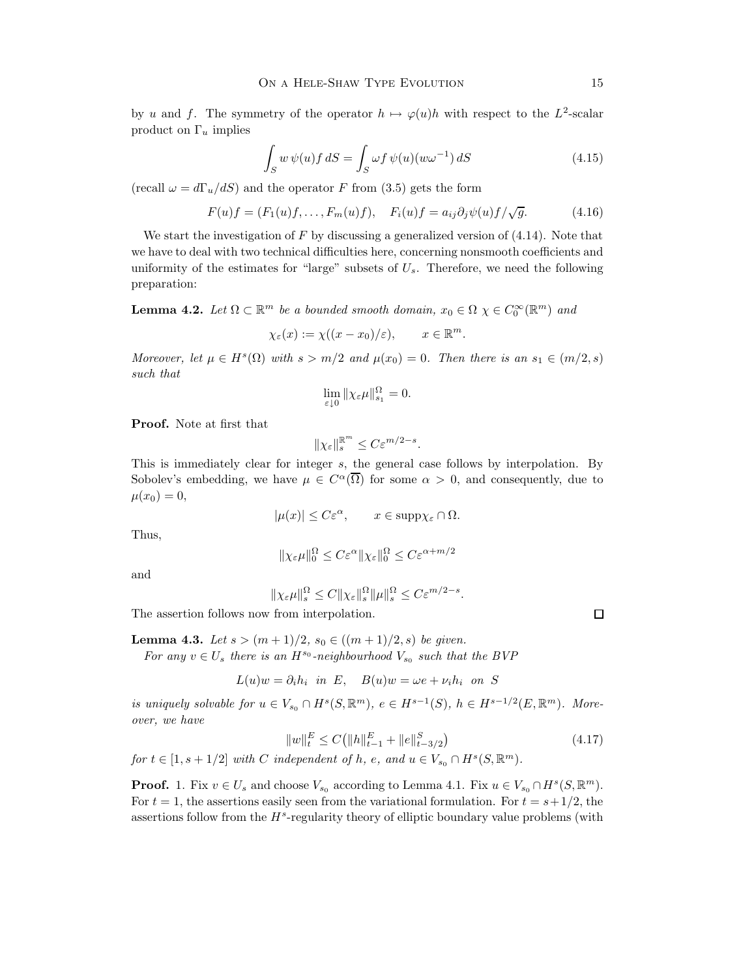by u and f. The symmetry of the operator  $h \mapsto \varphi(u)h$  with respect to the  $L^2$ -scalar product on  $\Gamma_u$  implies

$$
\int_{S} w \,\psi(u) f \,dS = \int_{S} \omega f \,\psi(u) (w\omega^{-1}) \,dS \tag{4.15}
$$

(recall  $\omega = d\Gamma_u/dS$ ) and the operator F from (3.5) gets the form

$$
F(u)f = (F_1(u)f, \dots, F_m(u)f), \quad F_i(u)f = a_{ij}\partial_j \psi(u)f/\sqrt{g}.
$$
 (4.16)

We start the investigation of  $F$  by discussing a generalized version of  $(4.14)$ . Note that we have to deal with two technical difficulties here, concerning nonsmooth coefficients and uniformity of the estimates for "large" subsets of  $U_s$ . Therefore, we need the following preparation:

**Lemma 4.2.** Let  $\Omega \subset \mathbb{R}^m$  be a bounded smooth domain,  $x_0 \in \Omega$   $\chi \in C_0^{\infty}(\mathbb{R}^m)$  and

$$
\chi_{\varepsilon}(x) := \chi((x - x_0)/\varepsilon), \qquad x \in \mathbb{R}^m.
$$

Moreover, let  $\mu \in H^s(\Omega)$  with  $s > m/2$  and  $\mu(x_0) = 0$ . Then there is an  $s_1 \in (m/2, s)$ such that

$$
\lim_{\varepsilon\downarrow 0}\|\chi_\varepsilon\mu\|^{\Omega}_{s_1}=0.
$$

Proof. Note at first that

$$
\|\chi_{\varepsilon}\|_{s}^{\mathbb{R}^m} \leq C \varepsilon^{m/2-s}.
$$

This is immediately clear for integer s, the general case follows by interpolation. By Sobolev's embedding, we have  $\mu \in C^{\alpha}(\overline{\Omega})$  for some  $\alpha > 0$ , and consequently, due to  $\mu(x_0) = 0,$ 

$$
|\mu(x)| \leq C\varepsilon^{\alpha}, \qquad x \in \text{supp}\chi_{\varepsilon} \cap \Omega.
$$

Thus,

$$
\|\chi_{\varepsilon}\mu\|_{0}^{\Omega} \le C\varepsilon^{\alpha}\|\chi_{\varepsilon}\|_{0}^{\Omega} \le C\varepsilon^{\alpha+m/2}
$$

and

 $\|\chi_{\varepsilon}\mu\|_{s}^{\Omega} \leq C \|\chi_{\varepsilon}\|_{s}^{\Omega} \|\mu\|_{s}^{\Omega} \leq C \varepsilon^{m/2-s}.$ 

The assertion follows now from interpolation.

**Lemma 4.3.** Let 
$$
s > (m+1)/2
$$
,  $s_0 \in ((m+1)/2, s)$  be given.  
For any  $v \in U_s$  there is an  $H^{s_0}$ -neighborhood  $V_{s_0}$  such that the BVP

$$
L(u)w = \partial_i h_i \text{ in } E, \quad B(u)w = \omega e + \nu_i h_i \text{ on } S
$$

is uniquely solvable for  $u \in V_{s_0} \cap H^s(S, \mathbb{R}^m)$ ,  $e \in H^{s-1}(S)$ ,  $h \in H^{s-1/2}(E, \mathbb{R}^m)$ . Moreover, we have

$$
||w||_{t}^{E} \le C(||h||_{t-1}^{E} + ||e||_{t-3/2}^{S})
$$
\n(4.17)

for  $t \in [1, s + 1/2]$  with C independent of h, e, and  $u \in V_{s_0} \cap H^s(S, \mathbb{R}^m)$ .

**Proof.** 1. Fix  $v \in U_s$  and choose  $V_{s_0}$  according to Lemma 4.1. Fix  $u \in V_{s_0} \cap H^s(S, \mathbb{R}^m)$ . For  $t = 1$ , the assertions easily seen from the variational formulation. For  $t = s + 1/2$ , the assertions follow from the  $H^s$ -regularity theory of elliptic boundary value problems (with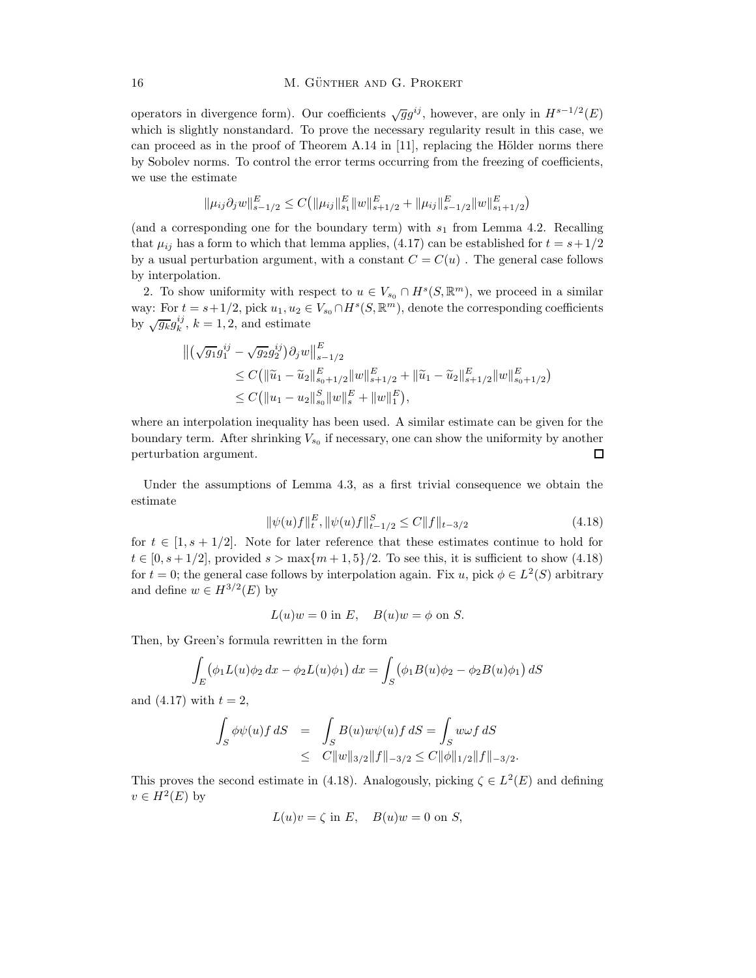operators in divergence form). Our coefficients  $\sqrt{g}g^{ij}$ , however, are only in  $H^{s-1/2}(E)$ which is slightly nonstandard. To prove the necessary regularity result in this case, we can proceed as in the proof of Theorem A.14 in  $[11]$ , replacing the Hölder norms there by Sobolev norms. To control the error terms occurring from the freezing of coefficients, we use the estimate

$$
\|\mu_{ij}\partial_j w\|_{s-1/2}^E \leq C\big(\|\mu_{ij}\|_{s_1}^E\|w\|_{s+1/2}^E + \|\mu_{ij}\|_{s-1/2}^E\|w\|_{s_1+1/2}^E\big)
$$

(and a corresponding one for the boundary term) with  $s_1$  from Lemma 4.2. Recalling that  $\mu_{ij}$  has a form to which that lemma applies, (4.17) can be established for  $t = s + 1/2$ by a usual perturbation argument, with a constant  $C = C(u)$ . The general case follows by interpolation.

2. To show uniformity with respect to  $u \in V_{s_0} \cap H^s(S, \mathbb{R}^m)$ , we proceed in a similar way: For  $t = s + 1/2$ , pick  $u_1, u_2 \in V_{s_0} \cap H^s(S, \mathbb{R}^m)$ , denote the corresponding coefficients by  $\sqrt{g_k}g_k^{ij}$ ,  $k=1,2$ , and estimate

$$
\begin{split} \left\| \left( \sqrt{g_1} g_1^{ij} - \sqrt{g_2} g_2^{ij} \right) \partial_j w \right\|_{s-1/2}^E \\ &\leq C \left( \|\widetilde{u}_1 - \widetilde{u}_2\|_{s_0+1/2}^E \|w\|_{s+1/2}^E + \|\widetilde{u}_1 - \widetilde{u}_2\|_{s+1/2}^E \|w\|_{s_0+1/2}^E \right) \\ &\leq C \left( \|u_1 - u_2\|_{s_0}^S \|w\|_s^E + \|w\|_1^E \right), \end{split}
$$

where an interpolation inequality has been used. A similar estimate can be given for the boundary term. After shrinking  $V_{s_0}$  if necessary, one can show the uniformity by another perturbation argument.  $\Box$ 

Under the assumptions of Lemma 4.3, as a first trivial consequence we obtain the estimate

$$
\|\psi(u)f\|_{t}^{E}, \|\psi(u)f\|_{t-1/2}^{S} \le C\|f\|_{t-3/2}
$$
\n(4.18)

for  $t \in [1, s + 1/2]$ . Note for later reference that these estimates continue to hold for  $t \in [0, s + 1/2]$ , provided  $s > \max\{m+1, 5\}/2$ . To see this, it is sufficient to show (4.18) for  $t = 0$ ; the general case follows by interpolation again. Fix u, pick  $\phi \in L^2(S)$  arbitrary and define  $w \in H^{3/2}(E)$  by

$$
L(u)w = 0
$$
 in E,  $B(u)w = \phi$  on S.

Then, by Green's formula rewritten in the form

$$
\int_{E} (\phi_1 L(u) \phi_2 dx - \phi_2 L(u) \phi_1) dx = \int_{S} (\phi_1 B(u) \phi_2 - \phi_2 B(u) \phi_1) dS
$$

and  $(4.17)$  with  $t = 2$ ,

$$
\begin{array}{lcl} \displaystyle\int_S \phi \psi (u) f\, dS & = & \displaystyle\int_S B(u) w \psi (u) f\, dS = \int_S w \omega f\, dS \\ & \leq & C \|w\|_{3/2} \|f\|_{-3/2} \leq C \| \phi \|_{1/2} \|f\|_{-3/2} . \end{array}
$$

This proves the second estimate in (4.18). Analogously, picking  $\zeta \in L^2(E)$  and defining  $v \in H^2(E)$  by

$$
L(u)v = \zeta \text{ in } E, \quad B(u)w = 0 \text{ on } S,
$$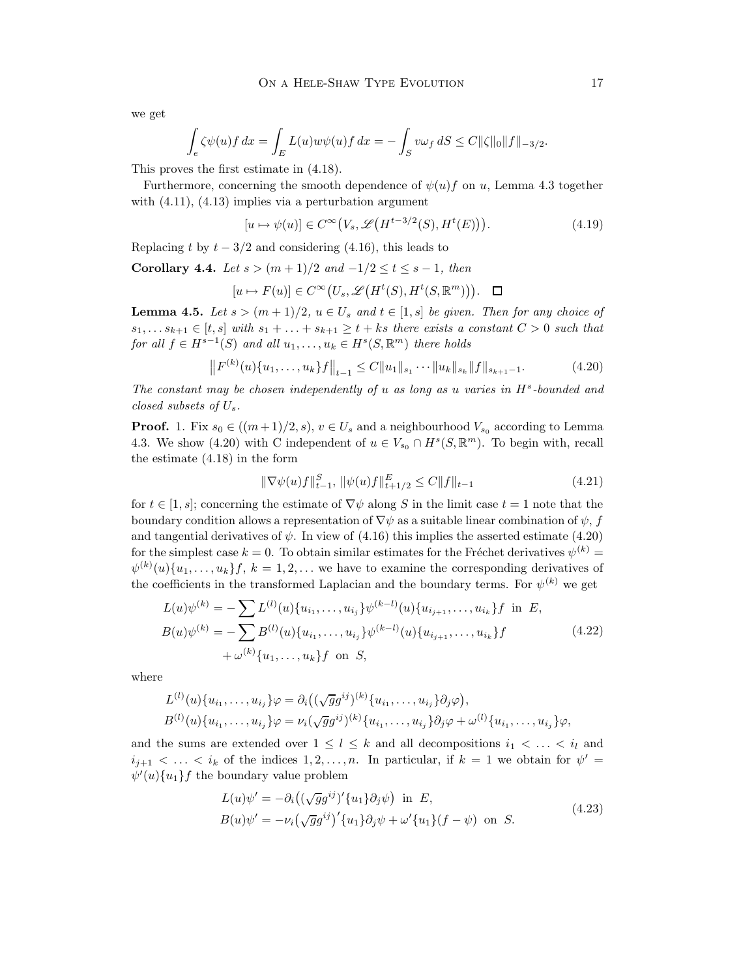we get

$$
\int_{\mathcal{C}} \zeta \psi(u) f \, dx = \int_{E} L(u) w \psi(u) f \, dx = - \int_{S} v \omega_{f} \, dS \leq C ||\zeta||_{0} ||f||_{-3/2}.
$$

This proves the first estimate in (4.18).

Furthermore, concerning the smooth dependence of  $\psi(u)$  on u, Lemma 4.3 together with  $(4.11)$ ,  $(4.13)$  implies via a perturbation argument

$$
[u \mapsto \psi(u)] \in C^{\infty}(V_s, \mathcal{L}(H^{t-3/2}(S), H^t(E))).
$$
\n(4.19)

Replacing t by  $t - 3/2$  and considering (4.16), this leads to

Corollary 4.4. Let  $s > (m+1)/2$  and  $-1/2 \le t \le s-1$ , then

$$
[u \mapsto F(u)] \in C^{\infty}(U_s, \mathscr{L}\big(H^t(S), H^t(S, \mathbb{R}^m)\big)\big). \quad \Box
$$

**Lemma 4.5.** Let  $s > (m+1)/2$ ,  $u \in U_s$  and  $t \in [1, s]$  be given. Then for any choice of  $s_1, \ldots s_{k+1} \in [t, s]$  with  $s_1 + \ldots + s_{k+1} \ge t + ks$  there exists a constant  $C > 0$  such that for all  $f \in H^{s-1}(S)$  and all  $u_1, \ldots, u_k \in H^s(S, \mathbb{R}^m)$  there holds

$$
\left\|F^{(k)}(u)\{u_1,\ldots,u_k\}f\right\|_{t-1} \leq C\|u_1\|_{s_1}\cdots\|u_k\|_{s_k}\|f\|_{s_{k+1}-1}.\tag{4.20}
$$

The constant may be chosen independently of  $u$  as long as  $u$  varies in  $H<sup>s</sup>$ -bounded and closed subsets of Us.

**Proof.** 1. Fix  $s_0 \in ((m+1)/2, s), v \in U_s$  and a neighbourhood  $V_{s_0}$  according to Lemma 4.3. We show (4.20) with C independent of  $u \in V_{s_0} \cap H^s(S, \mathbb{R}^m)$ . To begin with, recall the estimate (4.18) in the form

$$
\|\nabla \psi(u)f\|_{t-1}^S, \|\psi(u)f\|_{t+1/2}^E \le C \|f\|_{t-1}
$$
\n(4.21)

for  $t \in [1, s]$ ; concerning the estimate of  $\nabla \psi$  along S in the limit case  $t = 1$  note that the boundary condition allows a representation of  $\nabla \psi$  as a suitable linear combination of  $\psi$ , f and tangential derivatives of  $\psi$ . In view of (4.16) this implies the asserted estimate (4.20) for the simplest case  $k = 0$ . To obtain similar estimates for the Fréchet derivatives  $\psi^{(k)} =$  $\psi^{(k)}(u)\{u_1,\ldots,u_k\}$ ,  $k=1,2,\ldots$  we have to examine the corresponding derivatives of the coefficients in the transformed Laplacian and the boundary terms. For  $\psi^{(k)}$  we get

$$
L(u)\psi^{(k)} = -\sum L^{(l)}(u)\{u_{i_1}, \dots, u_{i_j}\}\psi^{(k-l)}(u)\{u_{i_{j+1}}, \dots, u_{i_k}\}f \text{ in } E,
$$
  
\n
$$
B(u)\psi^{(k)} = -\sum B^{(l)}(u)\{u_{i_1}, \dots, u_{i_j}\}\psi^{(k-l)}(u)\{u_{i_{j+1}}, \dots, u_{i_k}\}f
$$
  
\n
$$
+ \omega^{(k)}\{u_1, \dots, u_k\}f \text{ on } S,
$$
\n(4.22)

where

$$
L^{(l)}(u)\{u_{i_1},\ldots,u_{i_j}\}\varphi = \partial_i((\sqrt{g}g^{ij})^{(k)}\{u_{i_1},\ldots,u_{i_j}\}\partial_j\varphi),
$$
  

$$
B^{(l)}(u)\{u_{i_1},\ldots,u_{i_j}\}\varphi = \nu_i(\sqrt{g}g^{ij})^{(k)}\{u_{i_1},\ldots,u_{i_j}\}\partial_j\varphi + \omega^{(l)}\{u_{i_1},\ldots,u_{i_j}\}\varphi,
$$

and the sums are extended over  $1 \leq l \leq k$  and all decompositions  $i_1 < \ldots < i_l$  and  $i_{j+1} < \ldots < i_k$  of the indices  $1, 2, \ldots, n$ . In particular, if  $k = 1$  we obtain for  $\psi' =$  $\psi'(u)\{u_1\}f$  the boundary value problem

$$
L(u)\psi' = -\partial_i((\sqrt{g}g^{ij})'\{u_1\}\partial_j\psi) \text{ in } E,
$$
  
\n
$$
B(u)\psi' = -\nu_i(\sqrt{g}g^{ij})'\{u_1\}\partial_j\psi + \omega'\{u_1\}(f - \psi) \text{ on } S.
$$
\n(4.23)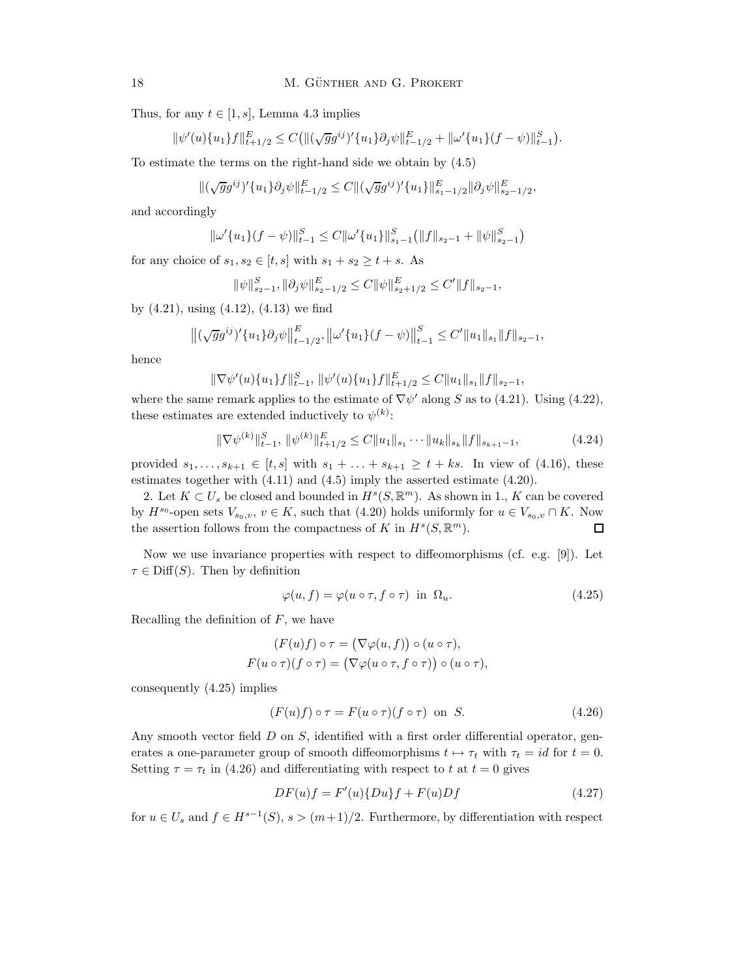Thus, for any  $t \in [1, s]$ , Lemma 4.3 implies

$$
\|\psi'(u)\{u_1\}f\|_{t+1/2}^E \leq C(\|(\sqrt{g}g^{ij})'\{u_1\}\partial_j\psi\|_{t-1/2}^E + \|\omega'\{u_1\}(f-\psi)\|_{t-1}^S).
$$

To estimate the terms on the right-hand side we obtain by (4.5)

$$
\|(\sqrt{g}g^{ij})'\{u_1\}\partial_j\psi\|_{t-1/2}^E\leq C\|(\sqrt{g}g^{ij})'\{u_1\}\|_{s_1-1/2}^E\|\partial_j\psi\|_{s_2-1/2}^E,
$$

and accordingly

$$
\|\omega'\{u_1\}(f-\psi)\|_{t-1}^S \le C\|\omega'\{u_1\}\|_{s_1-1}^S(\|f\|_{s_2-1} + \|\psi\|_{s_2-1}^S)
$$

for any choice of  $s_1, s_2 \in [t, s]$  with  $s_1 + s_2 \ge t + s$ . As

$$
\|\psi\|_{s_2-1}^S, \|\partial_j \psi\|_{s_2-1/2}^E \le C \|\psi\|_{s_2+1/2}^E \le C' \|f\|_{s_2-1},
$$

by (4.21), using (4.12), (4.13) we find

$$
\left\|(\sqrt{g}g^{ij})'\{u_1\}\partial_j\psi\right\|_{t-1/2}^E, \left\|\omega'\{u_1\}(f-\psi)\right\|_{t-1}^S \leq C'\|u_1\|_{s_1}\|f\|_{s_2-1},
$$

hence

$$
\|\nabla\psi'(u)\{u_1\}f\|_{t-1}^S, \|\psi'(u)\{u_1\}f\|_{t+1/2}^E \leq C\|u_1\|_{s_1}\|f\|_{s_2-1},
$$

where the same remark applies to the estimate of  $\nabla \psi'$  along S as to (4.21). Using (4.22), these estimates are extended inductively to  $\psi^{(k)}$ :

$$
\|\nabla \psi^{(k)}\|_{t-1}^{S}, \|\psi^{(k)}\|_{t+1/2}^{E} \le C \|u_1\|_{s_1} \cdots \|u_k\|_{s_k} \|f\|_{s_{k+1}-1}, \tag{4.24}
$$

provided  $s_1, \ldots, s_{k+1} \in [t, s]$  with  $s_1 + \ldots + s_{k+1} \geq t + ks$ . In view of (4.16), these estimates together with (4.11) and (4.5) imply the asserted estimate (4.20).

2. Let  $K \subset U_s$  be closed and bounded in  $H^s(S, \mathbb{R}^m)$ . As shown in 1., K can be covered by  $H^{s_0}$ -open sets  $V_{s_0,v}, v \in K$ , such that (4.20) holds uniformly for  $u \in V_{s_0,v} \cap K$ . Now the assertion follows from the compactness of K in  $H^s(S, \mathbb{R}^m)$ .

Now we use invariance properties with respect to diffeomorphisms (cf. e.g. [9]). Let  $\tau \in \text{Diff}(S)$ . Then by definition

$$
\varphi(u, f) = \varphi(u \circ \tau, f \circ \tau) \text{ in } \Omega_u. \tag{4.25}
$$

Recalling the definition of  $F$ , we have

$$
(F(u)f) \circ \tau = (\nabla \varphi(u, f)) \circ (u \circ \tau),
$$
  

$$
F(u \circ \tau)(f \circ \tau) = (\nabla \varphi(u \circ \tau, f \circ \tau)) \circ (u \circ \tau),
$$

consequently (4.25) implies

$$
(F(u)f) \circ \tau = F(u \circ \tau)(f \circ \tau) \text{ on } S. \tag{4.26}
$$

Any smooth vector field  $D$  on  $S$ , identified with a first order differential operator, generates a one-parameter group of smooth diffeomorphisms  $t \mapsto \tau_t$  with  $\tau_t = id$  for  $t = 0$ . Setting  $\tau = \tau_t$  in (4.26) and differentiating with respect to t at  $t = 0$  gives

$$
DF(u)f = F'(u)\{Du\}f + F(u)Df \qquad (4.27)
$$

for  $u \in U_s$  and  $f \in H^{s-1}(S)$ ,  $s > (m+1)/2$ . Furthermore, by differentiation with respect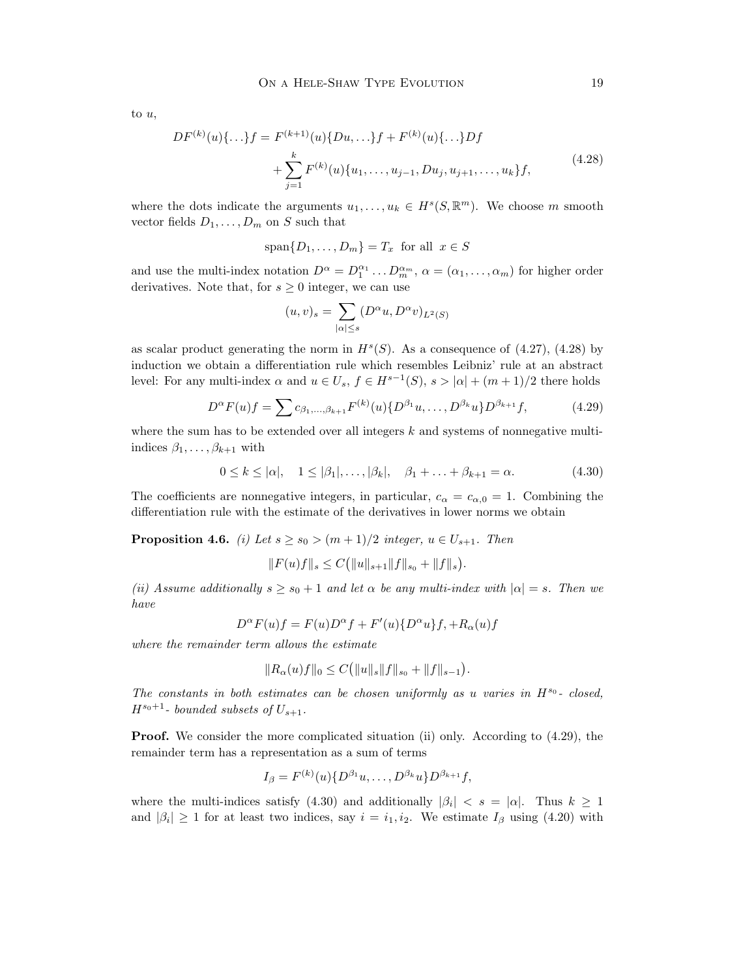to u,

$$
DF^{(k)}(u)\{\ldots\}f = F^{(k+1)}(u)\{Du,\ldots\}f + F^{(k)}(u)\{\ldots\}Df
$$
  
+ 
$$
\sum_{j=1}^{k} F^{(k)}(u)\{u_1,\ldots,u_{j-1},Du_j,u_{j+1},\ldots,u_k\}f,
$$
(4.28)

where the dots indicate the arguments  $u_1, \ldots, u_k \in H^s(S, \mathbb{R}^m)$ . We choose m smooth vector fields  $D_1, \ldots, D_m$  on S such that

$$
span\{D_1,\ldots,D_m\}=T_x \text{ for all } x\in S
$$

and use the multi-index notation  $D^{\alpha} = D_1^{\alpha_1} \dots D_m^{\alpha_m}$ ,  $\alpha = (\alpha_1, \dots, \alpha_m)$  for higher order derivatives. Note that, for  $s \geq 0$  integer, we can use

$$
(u,v)_s = \sum_{|\alpha| \le s} (D^{\alpha}u, D^{\alpha}v)_{L^2(S)}
$$

as scalar product generating the norm in  $H<sup>s</sup>(S)$ . As a consequence of (4.27), (4.28) by induction we obtain a differentiation rule which resembles Leibniz' rule at an abstract level: For any multi-index  $\alpha$  and  $u \in U_s$ ,  $f \in H^{s-1}(S)$ ,  $s > |\alpha| + (m+1)/2$  there holds

$$
D^{\alpha}F(u)f = \sum c_{\beta_1,\dots,\beta_{k+1}} F^{(k)}(u) \{ D^{\beta_1}u, \dots, D^{\beta_k}u \} D^{\beta_{k+1}}f, \tag{4.29}
$$

where the sum has to be extended over all integers  $k$  and systems of nonnegative multiindices  $\beta_1, \ldots, \beta_{k+1}$  with

$$
0 \le k \le |\alpha|, \quad 1 \le |\beta_1|, \ldots, |\beta_k|, \quad \beta_1 + \ldots + \beta_{k+1} = \alpha. \tag{4.30}
$$

The coefficients are nonnegative integers, in particular,  $c_{\alpha} = c_{\alpha,0} = 1$ . Combining the differentiation rule with the estimate of the derivatives in lower norms we obtain

**Proposition 4.6.** (i) Let  $s \ge s_0 > (m+1)/2$  integer,  $u \in U_{s+1}$ . Then

$$
||F(u)f||_s \leq C(||u||_{s+1}||f||_{s_0} + ||f||_s).
$$

(ii) Assume additionally  $s \geq s_0 + 1$  and let  $\alpha$  be any multi-index with  $|\alpha| = s$ . Then we have

$$
D^{\alpha}F(u)f = F(u)D^{\alpha}f + F'(u)\{D^{\alpha}u\}f, +R_{\alpha}(u)f
$$

where the remainder term allows the estimate

$$
||R_{\alpha}(u)f||_0 \leq C(||u||_s||f||_{s_0} + ||f||_{s-1}).
$$

The constants in both estimates can be chosen uniformly as u varies in  $H^{s_0}$ - closed,  $H^{s_0+1}$ - bounded subsets of  $U_{s+1}$ .

Proof. We consider the more complicated situation (ii) only. According to (4.29), the remainder term has a representation as a sum of terms

$$
I_{\beta} = F^{(k)}(u) \{D^{\beta_1}u, \ldots, D^{\beta_k}u\} D^{\beta_{k+1}}f,
$$

where the multi-indices satisfy (4.30) and additionally  $|\beta_i| < s = |\alpha|$ . Thus  $k \ge 1$ and  $|\beta_i| \geq 1$  for at least two indices, say  $i = i_1, i_2$ . We estimate  $I_\beta$  using (4.20) with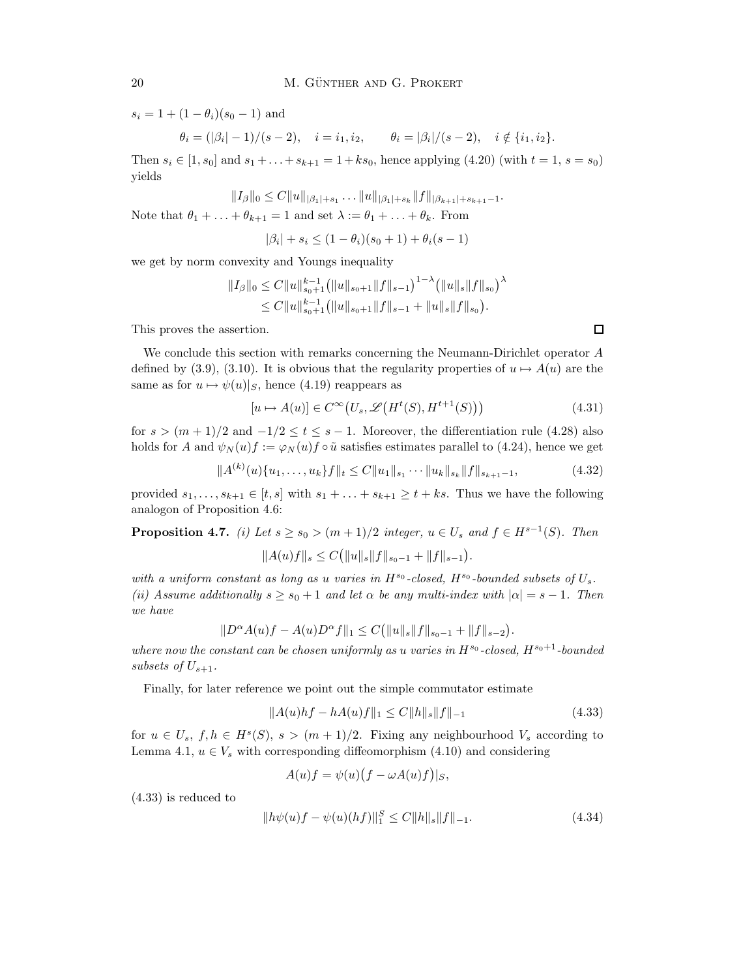$s_i = 1 + (1 - \theta_i)(s_0 - 1)$  and

 $\theta_i = (|\beta_i| - 1)/(s - 2), \quad i = i_1, i_2, \qquad \theta_i = |\beta_i|/(s - 2), \quad i \notin \{i_1, i_2\}.$ 

Then  $s_i \in [1, s_0]$  and  $s_1 + ... + s_{k+1} = 1 + ks_0$ , hence applying (4.20) (with  $t = 1$ ,  $s = s_0$ ) yields

 $||I_{\beta}||_0 \leq C ||u||_{|\beta_1|+s_1} \ldots ||u||_{|\beta_1|+s_k} ||f||_{|\beta_{k+1}|+s_{k+1}-1}.$ Note that  $\theta_1 + \ldots + \theta_{k+1} = 1$  and set  $\lambda := \theta_1 + \ldots + \theta_k$ . From

$$
|\beta_i|+s_i\leq (1-\theta_i)(s_0+1)+\theta_i(s-1)
$$

we get by norm convexity and Youngs inequality

$$
||I_{\beta}||_0 \leq C||u||_{s_0+1}^{k-1} (||u||_{s_0+1}||f||_{s-1})^{1-\lambda} (||u||_s||f||_{s_0})^{\lambda}
$$
  
\n
$$
\leq C||u||_{s_0+1}^{k-1} (||u||_{s_0+1}||f||_{s-1} + ||u||_s||f||_{s_0}).
$$

This proves the assertion.

We conclude this section with remarks concerning the Neumann-Dirichlet operator A defined by (3.9), (3.10). It is obvious that the regularity properties of  $u \mapsto A(u)$  are the same as for  $u \mapsto \psi(u)|_S$ , hence (4.19) reappears as

$$
[u \mapsto A(u)] \in C^{\infty}(U_s, \mathcal{L}\left(H^t(S), H^{t+1}(S))\right) \tag{4.31}
$$

for  $s > (m+1)/2$  and  $-1/2 \le t \le s-1$ . Moreover, the differentiation rule (4.28) also holds for A and  $\psi_N(u)f := \varphi_N(u)f \circ \tilde{u}$  satisfies estimates parallel to (4.24), hence we get

$$
||A^{(k)}(u)\{u_1,\ldots,u_k\}f||_t \leq C||u_1||_{s_1}\cdots||u_k||_{s_k}||f||_{s_{k+1}-1},
$$
\n(4.32)

provided  $s_1, \ldots, s_{k+1} \in [t, s]$  with  $s_1 + \ldots + s_{k+1} \geq t + ks$ . Thus we have the following analogon of Proposition 4.6:

**Proposition 4.7.** (i) Let  $s \ge s_0 > (m+1)/2$  integer,  $u \in U_s$  and  $f \in H^{s-1}(S)$ . Then

$$
||A(u)f||_s \leq C(||u||_s||f||_{s_0-1} + ||f||_{s-1}).
$$

with a uniform constant as long as u varies in  $H^{s_0}$ -closed,  $H^{s_0}$ -bounded subsets of  $U_s$ . (ii) Assume additionally  $s \geq s_0 + 1$  and let  $\alpha$  be any multi-index with  $|\alpha| = s - 1$ . Then we have

$$
||D^{\alpha}A(u)f - A(u)D^{\alpha}f||_1 \leq C(||u||_s||f||_{s_0-1} + ||f||_{s-2}).
$$

where now the constant can be chosen uniformly as u varies in  $H^{s_0}$ -closed,  $H^{s_0+1}$ -bounded subsets of  $U_{s+1}$ .

Finally, for later reference we point out the simple commutator estimate

$$
||A(u)hf - hA(u)f||_1 \le C||h||_s||f||_{-1}
$$
\n(4.33)

for  $u \in U_s$ ,  $f, h \in H^s(S)$ ,  $s > (m+1)/2$ . Fixing any neighbourhood  $V_s$  according to Lemma 4.1,  $u \in V_s$  with corresponding diffeomorphism (4.10) and considering

$$
A(u)f = \psi(u)\big(f - \omega A(u)f\big)|_S,
$$

(4.33) is reduced to

$$
||h\psi(u)f - \psi(u)(hf)||_1^S \le C||h||_s||f||_{-1}.
$$
\n(4.34)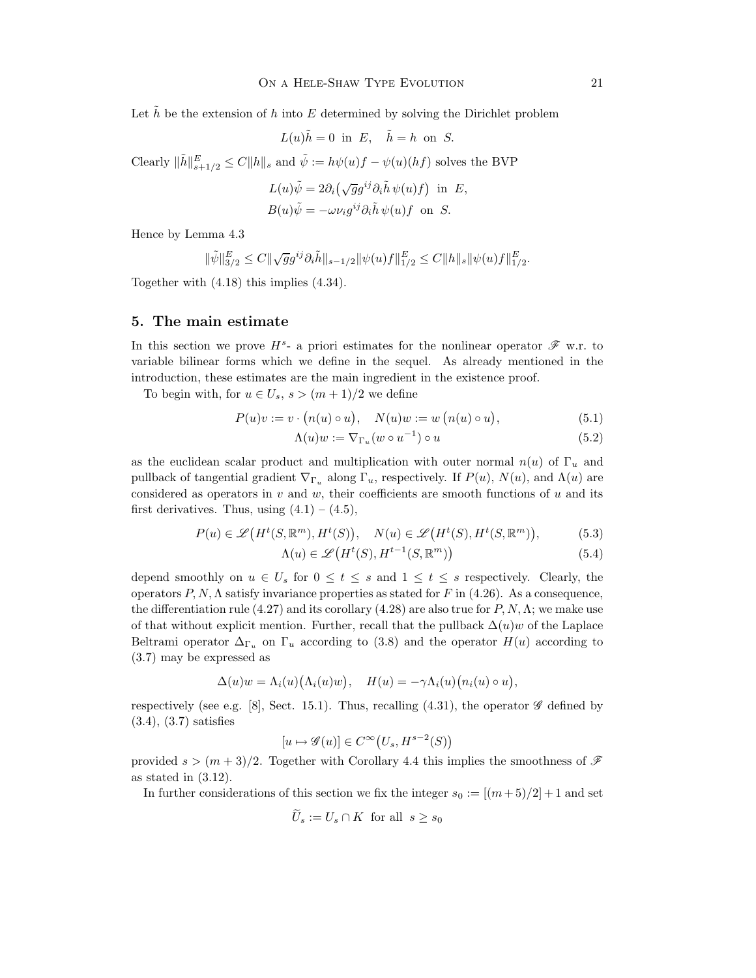Let h be the extension of h into E determined by solving the Dirichlet problem

$$
L(u)\tilde{h} = 0
$$
 in E,  $\tilde{h} = h$  on S.

Clearly  $\|\tilde{h}\|_{s+1/2}^E \leq C \|h\|_s$  and  $\tilde{\psi} := h\psi(u)f - \psi(u)(hf)$  solves the BVP

$$
L(u)\tilde{\psi} = 2\partial_i(\sqrt{g}g^{ij}\partial_i\tilde{h}\,\psi(u)f) \text{ in } E,
$$
  

$$
B(u)\tilde{\psi} = -\omega\nu_ig^{ij}\partial_i\tilde{h}\,\psi(u)f \text{ on } S.
$$

Hence by Lemma 4.3

$$
\|\tilde{\psi}\|_{3/2}^{E} \leq C \|\sqrt{g}g^{ij}\partial_i \tilde{h}\|_{s-1/2} \|\psi(u)f\|_{1/2}^{E} \leq C \|h\|_{s} \|\psi(u)f\|_{1/2}^{E}.
$$

Together with (4.18) this implies (4.34).

#### 5. The main estimate

In this section we prove  $H^s$ - a priori estimates for the nonlinear operator  $\mathscr F$  w.r. to variable bilinear forms which we define in the sequel. As already mentioned in the introduction, these estimates are the main ingredient in the existence proof.

To begin with, for  $u \in U_s$ ,  $s > (m+1)/2$  we define

$$
P(u)v := v \cdot (n(u) \circ u), \quad N(u)w := w (n(u) \circ u), \tag{5.1}
$$

$$
\Lambda(u)w := \nabla_{\Gamma_u}(w \circ u^{-1}) \circ u \tag{5.2}
$$

as the euclidean scalar product and multiplication with outer normal  $n(u)$  of  $\Gamma_u$  and pullback of tangential gradient  $\nabla_{\Gamma_u}$  along  $\Gamma_u$ , respectively. If  $P(u)$ ,  $N(u)$ , and  $\Lambda(u)$  are considered as operators in  $v$  and  $w$ , their coefficients are smooth functions of  $u$  and its first derivatives. Thus, using  $(4.1) - (4.5)$ ,

$$
P(u) \in \mathscr{L}\big(H^t(S, \mathbb{R}^m), H^t(S)\big), \quad N(u) \in \mathscr{L}\big(H^t(S), H^t(S, \mathbb{R}^m)\big),\tag{5.3}
$$

$$
\Lambda(u) \in \mathcal{L}\big(H^t(S), H^{t-1}(S, \mathbb{R}^m)\big) \tag{5.4}
$$

depend smoothly on  $u \in U_s$  for  $0 \leq t \leq s$  and  $1 \leq t \leq s$  respectively. Clearly, the operators  $P, N, \Lambda$  satisfy invariance properties as stated for F in (4.26). As a consequence, the differentiation rule (4.27) and its corollary (4.28) are also true for P, N,  $\Lambda$ ; we make use of that without explicit mention. Further, recall that the pullback  $\Delta(u)w$  of the Laplace Beltrami operator  $\Delta_{\Gamma_u}$  on  $\Gamma_u$  according to (3.8) and the operator  $H(u)$  according to (3.7) may be expressed as

$$
\Delta(u)w = \Lambda_i(u)\big(\Lambda_i(u)w\big), \quad H(u) = -\gamma \Lambda_i(u)\big(n_i(u)\circ u\big),
$$

respectively (see e.g. [8], Sect. 15.1). Thus, recalling (4.31), the operator  $\mathscr G$  defined by (3.4), (3.7) satisfies

$$
[u \mapsto \mathscr{G}(u)] \in C^{\infty}\big(U_s, H^{s-2}(S)\big)
$$

provided  $s > (m+3)/2$ . Together with Corollary 4.4 this implies the smoothness of  $\mathscr F$ as stated in (3.12).

In further considerations of this section we fix the integer  $s_0 := [(m+5)/2] + 1$  and set

$$
U_s := U_s \cap K \text{ for all } s \ge s_0
$$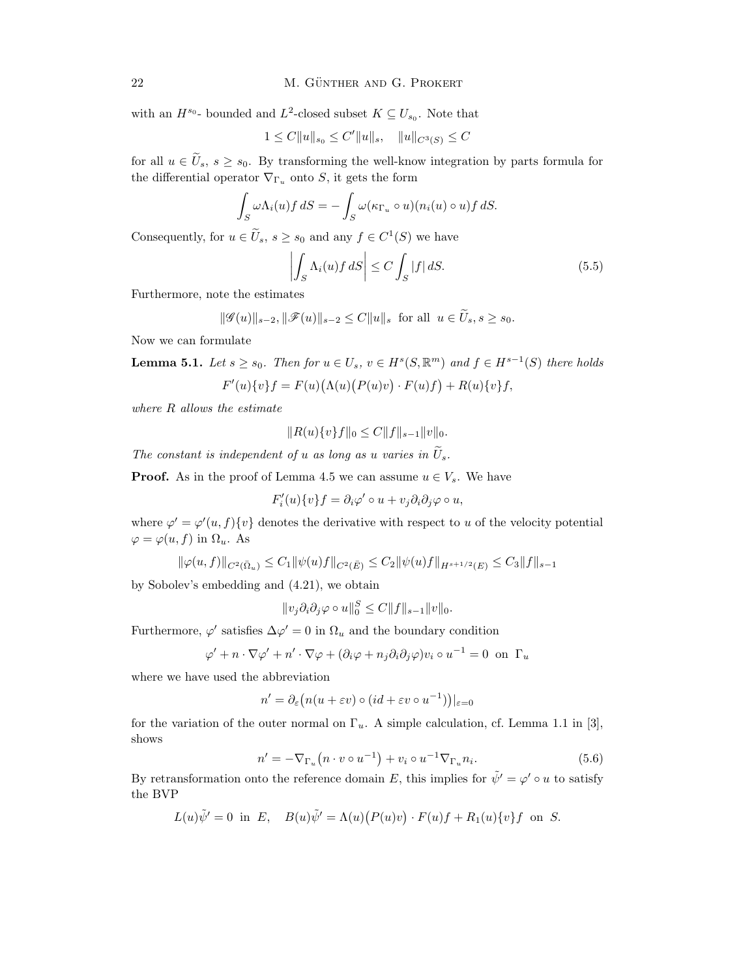with an  $H^{s_0}$ - bounded and  $L^2$ -closed subset  $K \subseteq U_{s_0}$ . Note that

$$
1 \le C \|u\|_{s_0} \le C' \|u\|_s, \quad \|u\|_{C^3(S)} \le C
$$

for all  $u \in \tilde{U}_s$ ,  $s \geq s_0$ . By transforming the well-know integration by parts formula for the differential operator  $\nabla_{\Gamma_u}$  onto S, it gets the form

$$
\int_{S} \omega \Lambda_i(u) f \, dS = - \int_{S} \omega(\kappa_{\Gamma_u} \circ u)(n_i(u) \circ u) f \, dS.
$$

Consequently, for  $u \in \tilde{U}_s$ ,  $s \geq s_0$  and any  $f \in C^1(S)$  we have

$$
\left| \int_{S} \Lambda_i(u) f \, dS \right| \le C \int_{S} |f| \, dS. \tag{5.5}
$$

Furthermore, note the estimates

$$
\|\mathscr{G}(u)\|_{s-2}, \|\mathscr{F}(u)\|_{s-2} \leq C \|u\|_{s}
$$
 for all  $u \in \tilde{U}_{s}, s \geq s_{0}$ .

Now we can formulate

**Lemma 5.1.** Let  $s \geq s_0$ . Then for  $u \in U_s$ ,  $v \in H^s(S, \mathbb{R}^m)$  and  $f \in H^{s-1}(S)$  there holds  $F'(u)\{v\}f = F(u)(\Lambda(u)(P(u)v) \cdot F(u)f) + R(u)\{v\}f,$ 

where R allows the estimate

$$
||R(u)\{v\}f||_0 \leq C||f||_{s-1}||v||_0.
$$

The constant is independent of u as long as u varies in  $\tilde{U}_s$ .

**Proof.** As in the proof of Lemma 4.5 we can assume  $u \in V_s$ . We have

$$
F_i'(u)\{v\}f = \partial_i\varphi' \circ u + v_j\partial_i\partial_j\varphi \circ u,
$$

where  $\varphi' = \varphi'(u, f) \{v\}$  denotes the derivative with respect to u of the velocity potential  $\varphi = \varphi(u, f)$  in  $\Omega_u$ . As

$$
\|\varphi(u,f)\|_{C^2(\bar{\Omega}_u)} \le C_1 \|\psi(u)f\|_{C^2(\bar{E})} \le C_2 \|\psi(u)f\|_{H^{s+1/2}(E)} \le C_3 \|f\|_{s-1}
$$

by Sobolev's embedding and (4.21), we obtain

$$
||v_j \partial_i \partial_j \varphi \circ u||_0^S \leq C ||f||_{s-1} ||v||_0.
$$

Furthermore,  $\varphi'$  satisfies  $\Delta \varphi' = 0$  in  $\Omega_u$  and the boundary condition

$$
\varphi' + n \cdot \nabla \varphi' + n' \cdot \nabla \varphi + (\partial_i \varphi + n_j \partial_i \partial_j \varphi) v_i \circ u^{-1} = 0 \text{ on } \Gamma_u
$$

where we have used the abbreviation

$$
n' = \partial_{\varepsilon} \big( n(u + \varepsilon v) \circ (id + \varepsilon v \circ u^{-1}) \big) |_{\varepsilon = 0}
$$

for the variation of the outer normal on  $\Gamma_u$ . A simple calculation, cf. Lemma 1.1 in [3], shows

$$
n' = -\nabla_{\Gamma_u}\left(n \cdot v \circ u^{-1}\right) + v_i \circ u^{-1}\nabla_{\Gamma_u} n_i.
$$
\n(5.6)

By retransformation onto the reference domain E, this implies for  $\tilde{\psi}' = \varphi' \circ u$  to satisfy the BVP

$$
L(u)\tilde{\psi}' = 0
$$
 in E,  $B(u)\tilde{\psi}' = \Lambda(u)(P(u)v) \cdot F(u)f + R_1(u)\{v\}f$  on S.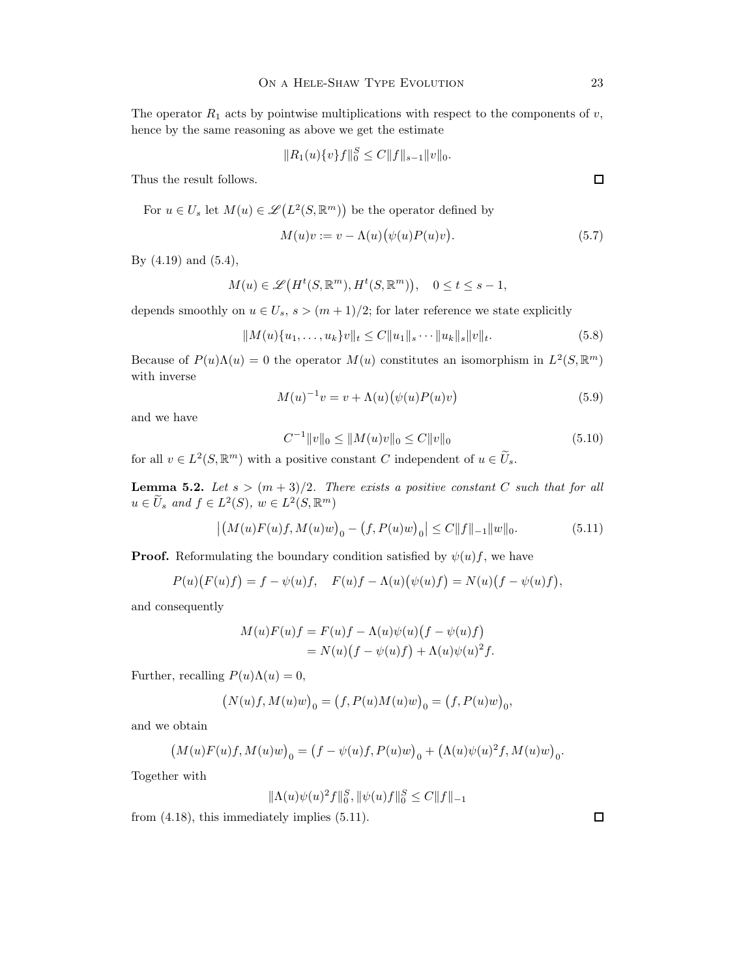The operator  $R_1$  acts by pointwise multiplications with respect to the components of v, hence by the same reasoning as above we get the estimate

$$
||R_1(u)\{v\}f||_0^S \leq C||f||_{s-1}||v||_0.
$$

Thus the result follows.

For 
$$
u \in U_s
$$
 let  $M(u) \in \mathcal{L}(L^2(S, \mathbb{R}^m))$  be the operator defined by

$$
M(u)v := v - \Lambda(u)\big(\psi(u)P(u)v\big). \tag{5.7}
$$

By (4.19) and (5.4),

$$
M(u) \in \mathscr{L}\big(H^t(S, \mathbb{R}^m), H^t(S, \mathbb{R}^m)\big), \quad 0 \le t \le s - 1,
$$

depends smoothly on  $u \in U_s$ ,  $s > (m+1)/2$ ; for later reference we state explicitly

$$
||M(u)\{u_1,\ldots,u_k\}v||_t \leq C||u_1||_s\cdots||u_k||_s||v||_t.
$$
\n(5.8)

Because of  $P(u)\Lambda(u) = 0$  the operator  $M(u)$  constitutes an isomorphism in  $L^2(S, \mathbb{R}^m)$ with inverse

$$
M(u)^{-1}v = v + \Lambda(u)\big(\psi(u)P(u)v\big) \tag{5.9}
$$

and we have

$$
C^{-1}||v||_0 \le ||M(u)v||_0 \le C||v||_0 \tag{5.10}
$$

for all  $v \in L^2(S, \mathbb{R}^m)$  with a positive constant C independent of  $u \in \widetilde{U}_s$ .

**Lemma 5.2.** Let  $s > (m+3)/2$ . There exists a positive constant C such that for all  $u \in \widetilde{U}_s$  and  $f \in L^2(S)$ ,  $w \in L^2(S, \mathbb{R}^m)$ 

$$
\left| \left( M(u)F(u)f, M(u)w \right)_{0} - \left( f, P(u)w \right)_{0} \right| \leq C \|f\|_{-1} \|w\|_{0}.
$$
 (5.11)

**Proof.** Reformulating the boundary condition satisfied by  $\psi(u)f$ , we have

$$
P(u)(F(u)f) = f - \psi(u)f, \quad F(u)f - \Lambda(u)(\psi(u)f) = N(u)(f - \psi(u)f),
$$

and consequently

$$
M(u)F(u)f = F(u)f - \Lambda(u)\psi(u)(f - \psi(u)f)
$$
  
=  $N(u)(f - \psi(u)f) + \Lambda(u)\psi(u)^2f$ .

Further, recalling  $P(u)\Lambda(u) = 0$ ,

$$
\left(N(u)f,M(u)w\right)_0=\left(f,P(u)M(u)w\right)_0=\left(f,P(u)w\right)_0,
$$

and we obtain

$$
\bigl(M(u)F(u)f,M(u)w\bigr)_0=\bigl(f-\psi(u)f,P(u)w\bigr)_0+\bigl(\Lambda(u)\psi(u)^2f,M(u)w\bigr)_0.
$$

Together with

$$
\|\Lambda(u)\psi(u)^2f\|_0^S, \|\psi(u)f\|_0^S \le C\|f\|_{-1}
$$

from (4.18), this immediately implies (5.11).

 $\Box$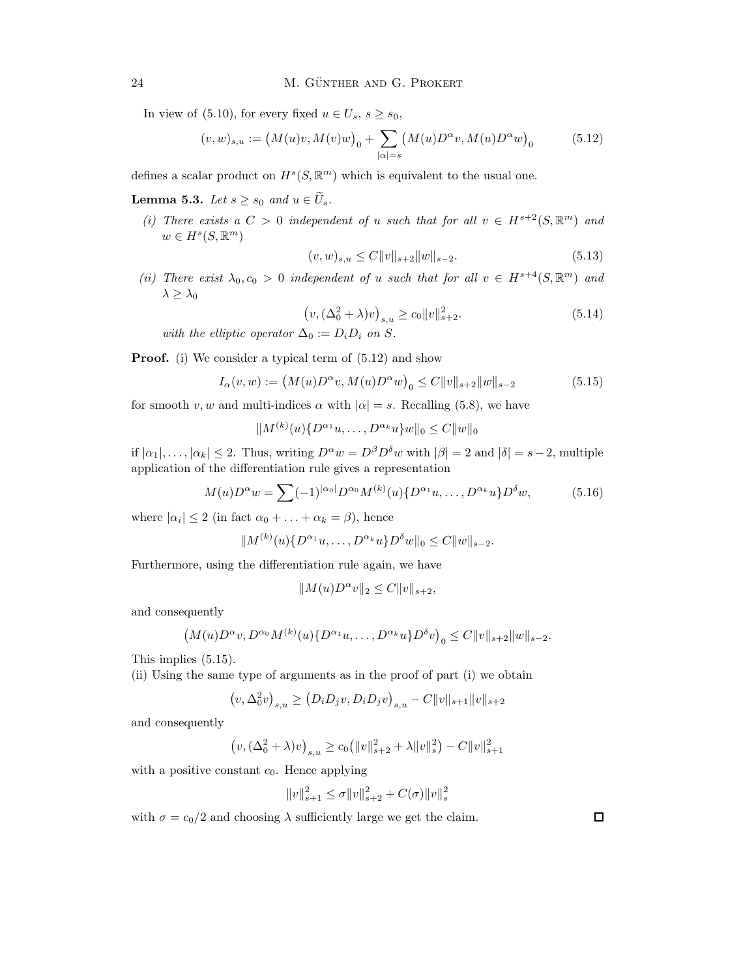In view of (5.10), for every fixed  $u \in U_s$ ,  $s \geq s_0$ ,

$$
(v, w)_{s,u} := (M(u)v, M(v)w)_0 + \sum_{|\alpha| = s} (M(u)D^{\alpha}v, M(u)D^{\alpha}w)_0
$$
 (5.12)

defines a scalar product on  $H^s(S, \mathbb{R}^m)$  which is equivalent to the usual one.

**Lemma 5.3.** Let  $s \geq s_0$  and  $u \in \widetilde{U}_s$ .

(i) There exists a  $C > 0$  independent of u such that for all  $v \in H^{s+2}(S, \mathbb{R}^m)$  and  $w \in H^s(S, \mathbb{R}^m)$ 

$$
(v, w)_{s,u} \le C \|v\|_{s+2} \|w\|_{s-2}.
$$
\n(5.13)

(ii) There exist  $\lambda_0, c_0 > 0$  independent of u such that for all  $v \in H^{s+4}(S, \mathbb{R}^m)$  and  $\lambda \geq \lambda_0$ 

$$
\left(v, (\Delta_0^2 + \lambda)v\right)_{s,u} \ge c_0 \|v\|_{s+2}^2. \tag{5.14}
$$

with the elliptic operator  $\Delta_0 := D_i D_i$  on S.

**Proof.** (i) We consider a typical term of  $(5.12)$  and show

$$
I_{\alpha}(v, w) := (M(u)D^{\alpha}v, M(u)D^{\alpha}w)_0 \le C ||v||_{s+2} ||w||_{s-2}
$$
\n(5.15)

for smooth v, w and multi-indices  $\alpha$  with  $|\alpha| = s$ . Recalling (5.8), we have

$$
||M^{(k)}(u)\{D^{\alpha_1}u,\ldots,D^{\alpha_k}u\}w||_0 \leq C||w||_0
$$

if  $|\alpha_1|, \ldots, |\alpha_k| \leq 2$ . Thus, writing  $D^{\alpha}w = D^{\beta}D^{\delta}w$  with  $|\beta| = 2$  and  $|\delta| = s-2$ , multiple application of the differentiation rule gives a representation

$$
M(u)D^{\alpha}w = \sum_{n=1}^{\infty} (-1)^{|\alpha_0|} D^{\alpha_0} M^{(k)}(u) \{D^{\alpha_1}u, \dots, D^{\alpha_k}u\} D^{\delta}w,
$$
 (5.16)

where  $|\alpha_i| \leq 2$  (in fact  $\alpha_0 + \ldots + \alpha_k = \beta$ ), hence

$$
||M^{(k)}(u)\{D^{\alpha_1}u,\ldots,D^{\alpha_k}u\}D^{\delta}w||_0 \leq C||w||_{s-2}.
$$

Furthermore, using the differentiation rule again, we have

$$
||M(u)D^{\alpha}v||_2 \leq C||v||_{s+2},
$$

and consequently

$$
(M(u)D^{\alpha}v, D^{\alpha_0}M^{(k)}(u)\{D^{\alpha_1}u, \ldots, D^{\alpha_k}u\}D^{\delta}v)_0 \leq C||v||_{s+2}||w||_{s-2}.
$$

This implies (5.15).

(ii) Using the same type of arguments as in the proof of part (i) we obtain

$$
\left(v,\Delta_0^2 v\right)_{s,u} \geq \left(D_i D_j v,D_i D_j v\right)_{s,u} - C \|v\|_{s+1} \|v\|_{s+2}
$$

and consequently

$$
(v, (\Delta_0^2 + \lambda)v)_{s,u} \ge c_0 (||v||_{s+2}^2 + \lambda ||v||_s^2) - C||v||_{s+1}^2
$$

with a positive constant  $c_0$ . Hence applying

$$
||v||_{s+1}^{2} \le \sigma ||v||_{s+2}^{2} + C(\sigma)||v||_{s}^{2}
$$

with  $\sigma = c_0/2$  and choosing  $\lambda$  sufficiently large we get the claim.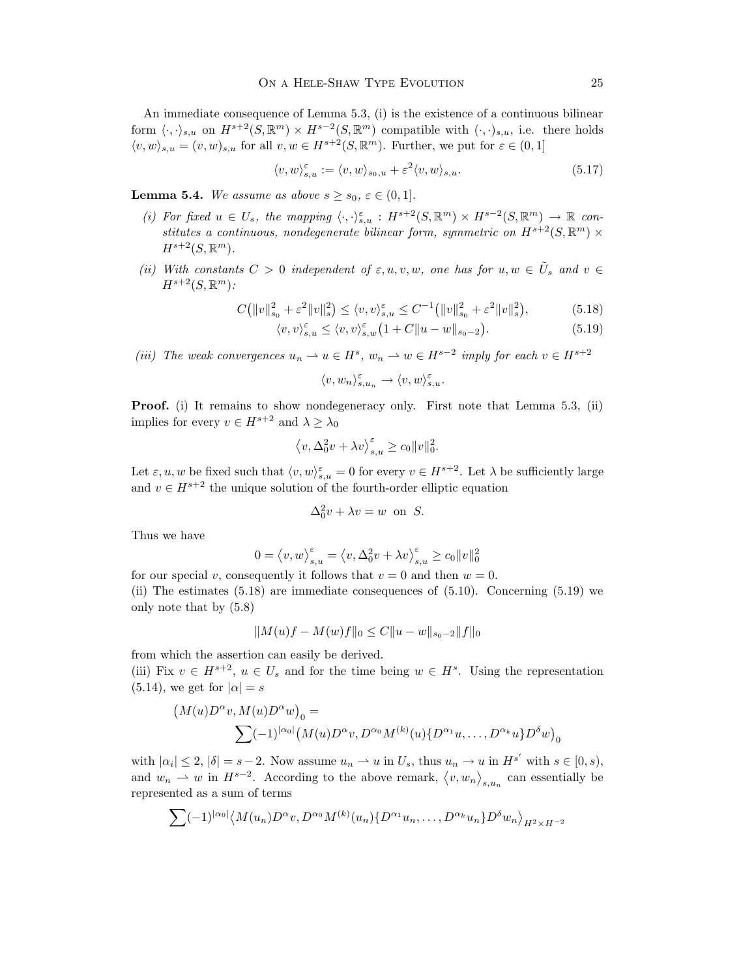An immediate consequence of Lemma 5.3, (i) is the existence of a continuous bilinear form  $\langle \cdot, \cdot \rangle_{s,u}$  on  $H^{s+2}(S, \mathbb{R}^m) \times H^{s-2}(S, \mathbb{R}^m)$  compatible with  $(\cdot, \cdot)_{s,u}$ , i.e. there holds  $\langle v, w \rangle_{s,u} = (v, w)_{s,u}$  for all  $v, w \in H^{s+2}(S, \mathbb{R}^m)$ . Further, we put for  $\varepsilon \in (0, 1]$ 

$$
\langle v, w \rangle_{s,u}^{\varepsilon} := \langle v, w \rangle_{s_0, u} + \varepsilon^2 \langle v, w \rangle_{s,u}.
$$
\n(5.17)

**Lemma 5.4.** We assume as above  $s \geq s_0$ ,  $\varepsilon \in (0,1]$ .

- (i) For fixed  $u \in U_s$ , the mapping  $\langle \cdot, \cdot \rangle_{s,u}^{\varepsilon}: H^{s+2}(S, \mathbb{R}^m) \times H^{s-2}(S, \mathbb{R}^m) \to \mathbb{R}$  constitutes a continuous, nondegenerate bilinear form, symmetric on  $H^{s+2}(S, \mathbb{R}^m) \times$  $H^{s+2}(S,\mathbb{R}^m)$ .
- (ii) With constants  $C > 0$  independent of  $\varepsilon, u, v, w$ , one has for  $u, w \in \tilde{U}_s$  and  $v \in$  $H^{s+2}(S,\mathbb{R}^m)$ :

$$
C(||v||_{s_0}^2 + \varepsilon^2 ||v||_s^2) \le \langle v, v \rangle_{s,u}^{\varepsilon} \le C^{-1} (||v||_{s_0}^2 + \varepsilon^2 ||v||_s^2), \tag{5.18}
$$

$$
\langle v, v \rangle_{s,u}^{\varepsilon} \le \langle v, v \rangle_{s,w}^{\varepsilon} (1 + C \|u - w\|_{s_0 - 2}). \tag{5.19}
$$

(iii) The weak convergences  $u_n \rightharpoonup u \in H^s$ ,  $w_n \rightharpoonup w \in H^{s-2}$  imply for each  $v \in H^{s+2}$ 

$$
\langle v,w_n\rangle_{s,u_n}^\varepsilon\to \langle v,w\rangle_{s,u}^\varepsilon.
$$

Proof. (i) It remains to show nondegeneracy only. First note that Lemma 5.3, (ii) implies for every  $v \in H^{s+2}$  and  $\lambda \geq \lambda_0$ 

$$
\left\langle v, \Delta_0^2 v + \lambda v \right\rangle_{s,u}^{\varepsilon} \ge c_0 \|v\|_0^2.
$$

Let  $\varepsilon, u, w$  be fixed such that  $\langle v, w \rangle_{s,u}^{\varepsilon} = 0$  for every  $v \in H^{s+2}$ . Let  $\lambda$  be sufficiently large and  $v \in H^{s+2}$  the unique solution of the fourth-order elliptic equation

$$
\Delta_0^2 v + \lambda v = w
$$
 on *S*.

Thus we have

$$
0 = \langle v, w \rangle_{s,u}^{\varepsilon} = \langle v, \Delta_0^2 v + \lambda v \rangle_{s,u}^{\varepsilon} \ge c_0 ||v||_0^2
$$

for our special v, consequently it follows that  $v = 0$  and then  $w = 0$ . (ii) The estimates (5.18) are immediate consequences of (5.10). Concerning (5.19) we only note that by (5.8)

$$
||M(u)f - M(w)f||_0 \leq C||u - w||_{s_0 - 2}||f||_0
$$

from which the assertion can easily be derived.

(iii) Fix  $v \in H^{s+2}$ ,  $u \in U_s$  and for the time being  $w \in H^s$ . Using the representation  $(5.14)$ , we get for  $|\alpha| = s$ 

$$
(M(u)D^{\alpha}v, M(u)D^{\alpha}w)_{0} =
$$
  

$$
\sum (-1)^{|\alpha_{0}|} (M(u)D^{\alpha}v, D^{\alpha_{0}}M^{(k)}(u)\{D^{\alpha_{1}}u, \ldots, D^{\alpha_{k}}u\}D^{\delta}w)_{0}
$$

with  $|\alpha_i| \leq 2$ ,  $|\delta| = s - 2$ . Now assume  $u_n \rightharpoonup u$  in  $U_s$ , thus  $u_n \rightharpoonup u$  in  $H^{s'}$  with  $s \in [0, s)$ , and  $w_n \rightharpoonup w$  in  $H^{s-2}$ . According to the above remark,  $\langle v, w_n \rangle_{s,u_n}$  can essentially be represented as a sum of terms

$$
\sum_{n=1}^{\infty} (-1)^{|\alpha_0|} \langle M(u_n) D^{\alpha} v, D^{\alpha_0} M^{(k)}(u_n) \{D^{\alpha_1} u_n, \dots, D^{\alpha_k} u_n\} D^{\delta} w_n \rangle_{H^2 \times H^{-2}}
$$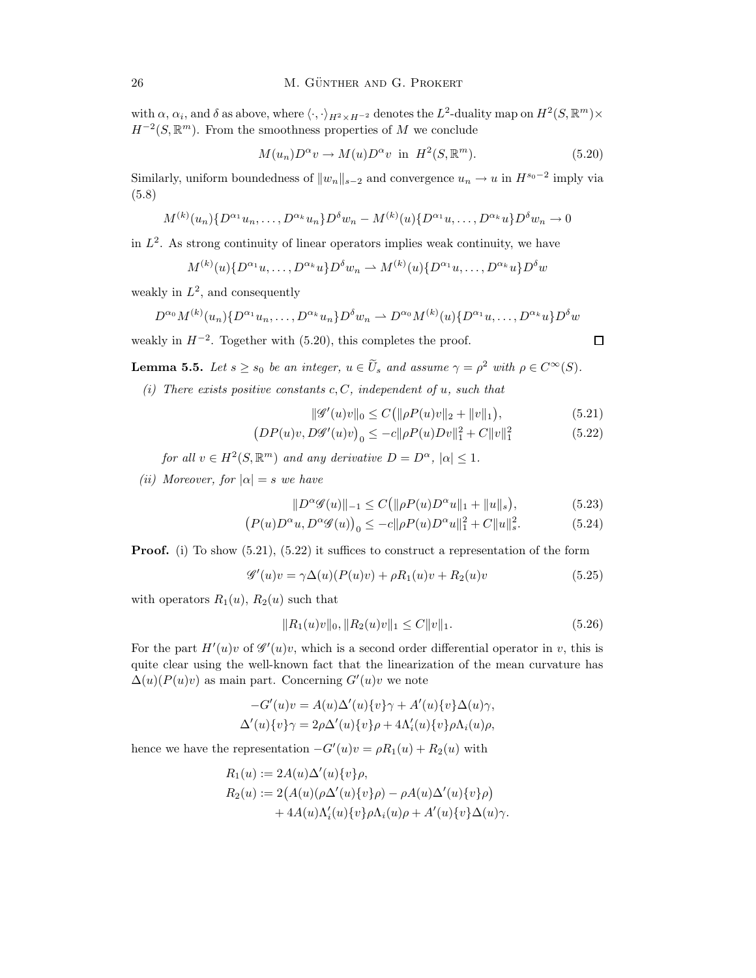with  $\alpha$ ,  $\alpha_i$ , and  $\delta$  as above, where  $\langle \cdot, \cdot \rangle_{H^2 \times H^{-2}}$  denotes the  $L^2$ -duality map on  $H^2(S, \mathbb{R}^m) \times$  $H^{-2}(S, \mathbb{R}^m)$ . From the smoothness properties of M we conclude

$$
M(u_n)D^{\alpha}v \to M(u)D^{\alpha}v \text{ in } H^2(S, \mathbb{R}^m). \tag{5.20}
$$

Similarly, uniform boundedness of  $||w_n||_{s-2}$  and convergence  $u_n \to u$  in  $H^{s_0-2}$  imply via (5.8)

$$
M^{(k)}(u_n)\{D^{\alpha_1}u_n, \dots, D^{\alpha_k}u_n\}D^{\delta}w_n - M^{(k)}(u)\{D^{\alpha_1}u, \dots, D^{\alpha_k}u\}D^{\delta}w_n \to 0
$$

in  $L^2$ . As strong continuity of linear operators implies weak continuity, we have

$$
M^{(k)}(u)\{D^{\alpha_1}u, \ldots, D^{\alpha_k}u\}D^{\delta}w_n \to M^{(k)}(u)\{D^{\alpha_1}u, \ldots, D^{\alpha_k}u\}D^{\delta}w
$$

weakly in  $L^2$ , and consequently

$$
D^{\alpha_0} M^{(k)}(u_n) \{ D^{\alpha_1} u_n, \dots, D^{\alpha_k} u_n \} D^{\delta} w_n \rightharpoonup D^{\alpha_0} M^{(k)}(u) \{ D^{\alpha_1} u, \dots, D^{\alpha_k} u \} D^{\delta} w
$$

weakly in  $H^{-2}$ . Together with (5.20), this completes the proof.

**Lemma 5.5.** Let  $s \geq s_0$  be an integer,  $u \in \tilde{U}_s$  and assume  $\gamma = \rho^2$  with  $\rho \in C^{\infty}(S)$ .

(i) There exists positive constants  $c, C$ , independent of u, such that

$$
\|\mathscr{G}'(u)v\|_{0} \le C(\|\rho P(u)v\|_{2} + \|v\|_{1}),\tag{5.21}
$$

$$
(DP(u)v, D\mathscr{G}'(u)v)_0 \le -c||\rho P(u)Dv||_1^2 + C||v||_1^2 \tag{5.22}
$$

for all  $v \in H^2(S, \mathbb{R}^m)$  and any derivative  $D = D^{\alpha}$ ,  $|\alpha| \leq 1$ .

(ii) Moreover, for  $|\alpha| = s$  we have

$$
||D^{\alpha}\mathscr{G}(u)||_{-1} \le C (||\rho P(u)D^{\alpha}u||_{1} + ||u||_{s}), \qquad (5.23)
$$

$$
(P(u)D^{\alpha}u, D^{\alpha}\mathscr{G}(u))_0 \le -c||\rho P(u)D^{\alpha}u||_1^2 + C||u||_s^2. \tag{5.24}
$$

**Proof.** (i) To show  $(5.21)$ ,  $(5.22)$  it suffices to construct a representation of the form

$$
\mathscr{G}'(u)v = \gamma \Delta(u)(P(u)v) + \rho R_1(u)v + R_2(u)v \tag{5.25}
$$

with operators  $R_1(u)$ ,  $R_2(u)$  such that

$$
||R_1(u)v||_0, ||R_2(u)v||_1 \le C||v||_1.
$$
\n(5.26)

For the part  $H'(u)v$  of  $\mathscr{G}'(u)v$ , which is a second order differential operator in v, this is quite clear using the well-known fact that the linearization of the mean curvature has  $\Delta(u)(P(u)v)$  as main part. Concerning  $G'(u)v$  we note

$$
-G'(u)v = A(u)\Delta'(u)\{v\}\gamma + A'(u)\{v\}\Delta(u)\gamma,
$$
  

$$
\Delta'(u)\{v\}\gamma = 2\rho\Delta'(u)\{v\}\rho + 4\Lambda'_i(u)\{v\}\rho\Lambda_i(u)\rho,
$$

hence we have the representation  $-G'(u)v = \rho R_1(u) + R_2(u)$  with

$$
R_1(u) := 2A(u)\Delta'(u)\{v\}\rho,
$$
  
\n
$$
R_2(u) := 2(A(u)(\rho\Delta'(u)\{v\}\rho) - \rho A(u)\Delta'(u)\{v\}\rho) + 4A(u)\Lambda'_i(u)\{v\}\rho\Lambda_i(u)\rho + A'(u)\{v\}\Delta(u)\gamma.
$$

$$
\qquad \qquad \Box
$$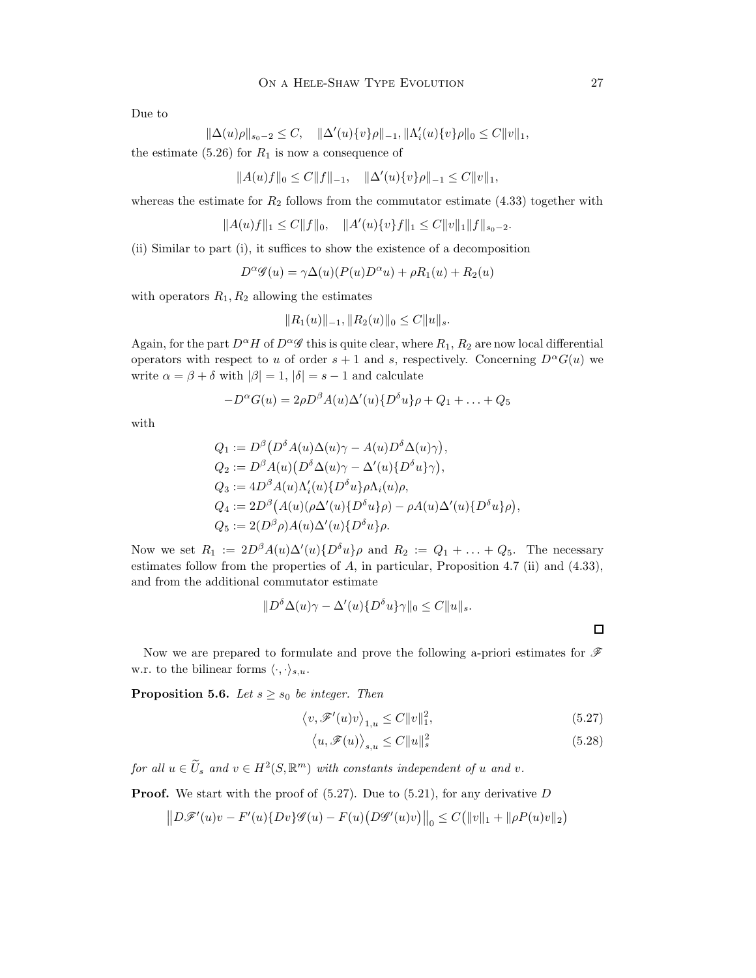Due to

$$
\|\Delta(u)\rho\|_{s_0-2} \leq C, \quad \|\Delta'(u)\{v\}\rho\|_{-1}, \|\Lambda'_i(u)\{v\}\rho\|_0 \leq C\|v\|_1,
$$

the estimate  $(5.26)$  for  $R_1$  is now a consequence of

$$
||A(u)f||_0 \le C||f||_{-1}, \quad ||\Delta'(u)\{v\}\rho||_{-1} \le C||v||_1,
$$

whereas the estimate for  $R_2$  follows from the commutator estimate (4.33) together with

$$
||A(u)f||_1 \leq C||f||_0, \quad ||A'(u)\{v\}f||_1 \leq C||v||_1||f||_{s_0-2}.
$$

(ii) Similar to part (i), it suffices to show the existence of a decomposition

$$
D^{\alpha}\mathscr{G}(u) = \gamma \Delta(u)(P(u)D^{\alpha}u) + \rho R_1(u) + R_2(u)
$$

with operators  $R_1, R_2$  allowing the estimates

$$
||R_1(u)||_{-1}, ||R_2(u)||_0 \leq C||u||_s.
$$

Again, for the part  $D^{\alpha}H$  of  $D^{\alpha}\mathscr{G}$  this is quite clear, where  $R_1, R_2$  are now local differential operators with respect to u of order  $s + 1$  and s, respectively. Concerning  $D^{\alpha}G(u)$  we write  $\alpha = \beta + \delta$  with  $|\beta| = 1$ ,  $|\delta| = s - 1$  and calculate

$$
-D^{\alpha}G(u) = 2\rho D^{\beta}A(u)\Delta'(u)\{D^{\delta}u\}\rho + Q_1 + \ldots + Q_5
$$

with

$$
Q_1 := D^{\beta} (D^{\delta} A(u) \Delta(u) \gamma - A(u) D^{\delta} \Delta(u) \gamma),
$$
  
\n
$$
Q_2 := D^{\beta} A(u) (D^{\delta} \Delta(u) \gamma - \Delta'(u) \{D^{\delta} u\} \gamma),
$$
  
\n
$$
Q_3 := 4D^{\beta} A(u) \Lambda'_i(u) \{D^{\delta} u\} \rho \Lambda_i(u) \rho,
$$
  
\n
$$
Q_4 := 2D^{\beta} (A(u) (\rho \Delta'(u) \{D^{\delta} u\} \rho) - \rho A(u) \Delta'(u) \{D^{\delta} u\} \rho),
$$
  
\n
$$
Q_5 := 2(D^{\beta} \rho) A(u) \Delta'(u) \{D^{\delta} u\} \rho.
$$

Now we set  $R_1 := 2D^{\beta}A(u)\Delta'(u)\{D^{\delta}u\}\rho$  and  $R_2 := Q_1 + \ldots + Q_5$ . The necessary estimates follow from the properties of A, in particular, Proposition 4.7 (ii) and (4.33), and from the additional commutator estimate

$$
||D^{\delta}\Delta(u)\gamma - \Delta'(u)\{D^{\delta}u\}\gamma||_0 \leq C||u||_s.
$$

Now we are prepared to formulate and prove the following a-priori estimates for  $\mathscr F$ w.r. to the bilinear forms  $\langle \cdot, \cdot \rangle_{s,u}$ .

**Proposition 5.6.** Let  $s \geq s_0$  be integer. Then

$$
\langle v, \mathcal{F}'(u)v \rangle_{1,u} \le C ||v||_1^2,
$$
\n(5.27)

$$
\langle u, \mathcal{F}(u) \rangle_{s,u} \le C \|u\|_{s}^{2}
$$
\n(5.28)

for all  $u \in \widetilde{U}_s$  and  $v \in H^2(S, \mathbb{R}^m)$  with constants independent of u and v.

**Proof.** We start with the proof of  $(5.27)$ . Due to  $(5.21)$ , for any derivative D

$$
||D\mathscr{F}'(u)v - F'(u)\{Dv\}\mathscr{G}(u) - F(u)\{D\mathscr{G}'(u)v\}||_0 \leq C(||v||_1 + ||\rho P(u)v||_2)
$$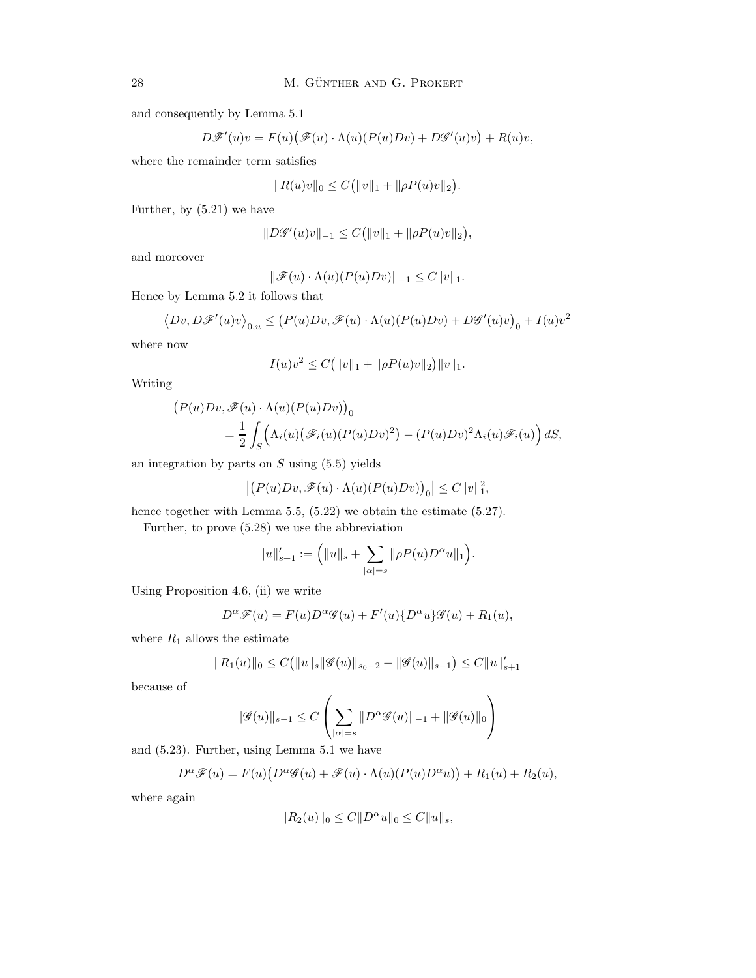and consequently by Lemma 5.1

$$
D\mathscr{F}'(u)v = F(u)\big(\mathscr{F}(u)\cdot \Lambda(u)(P(u)Dv)+D\mathscr{G}'(u)v\big)+R(u)v,
$$

where the remainder term satisfies

$$
||R(u)v||_0 \leq C(||v||_1 + ||\rho P(u)v||_2).
$$

Further, by (5.21) we have

$$
||D\mathscr{G}'(u)v||_{-1} \leq C(||v||_1 + ||\rho P(u)v||_2),
$$

and moreover

$$
\|\mathscr{F}(u)\cdot\Lambda(u)(P(u)Dv)\|_{-1}\leq C\|v\|_1.
$$

Hence by Lemma 5.2 it follows that

$$
\big\langle Dv, D\mathscr{F}'(u)v\big\rangle_{0,u}\leq \big(P(u)Dv,\mathscr{F}(u)\cdot\Lambda(u)(P(u)Dv)+D\mathscr{G}'(u)v\big)_0+I(u)v^2
$$

where now

$$
I(u)v^{2} \leq C(||v||_{1} + ||\rho P(u)v||_{2})||v||_{1}.
$$

Writing

$$
(P(u)Dv, \mathscr{F}(u) \cdot \Lambda(u)(P(u)Dv))_0
$$
  
=  $\frac{1}{2} \int_S (\Lambda_i(u) (\mathscr{F}_i(u)(P(u)Dv)^2) - (P(u)Dv)^2 \Lambda_i(u) \mathscr{F}_i(u)) dS,$ 

an integration by parts on  $S$  using  $(5.5)$  yields

$$
\left|\left(P(u)D v, \mathscr{F}(u)\cdot \Lambda(u)(P(u)D v)\right)_0\right|\leq C\|v\|_1^2,
$$

hence together with Lemma 5.5,  $(5.22)$  we obtain the estimate  $(5.27)$ .

Further, to prove (5.28) we use the abbreviation

$$
||u||'_{s+1} := (||u||_s + \sum_{|\alpha|=s} ||\rho P(u)D^{\alpha}u||_1).
$$

Using Proposition 4.6, (ii) we write

$$
D^{\alpha} \mathscr{F}(u) = F(u)D^{\alpha} \mathscr{G}(u) + F'(u)\{D^{\alpha}u\} \mathscr{G}(u) + R_1(u),
$$

where  $R_1$  allows the estimate

$$
||R_1(u)||_0 \leq C(||u||_s||\mathcal{G}(u)||_{s_0-2} + ||\mathcal{G}(u)||_{s-1}) \leq C||u||'_{s+1}
$$

because of

$$
\|\mathscr{G}(u)\|_{s-1} \leq C \left( \sum_{|\alpha|=s} \|D^{\alpha} \mathscr{G}(u)\|_{-1} + \|\mathscr{G}(u)\|_{0} \right)
$$

and (5.23). Further, using Lemma 5.1 we have

$$
D^{\alpha} \mathscr{F}(u) = F(u) \big( D^{\alpha} \mathscr{G}(u) + \mathscr{F}(u) \cdot \Lambda(u) (P(u) D^{\alpha} u) \big) + R_1(u) + R_2(u),
$$

where again

$$
||R_2(u)||_0 \le C||D^{\alpha}u||_0 \le C||u||_s,
$$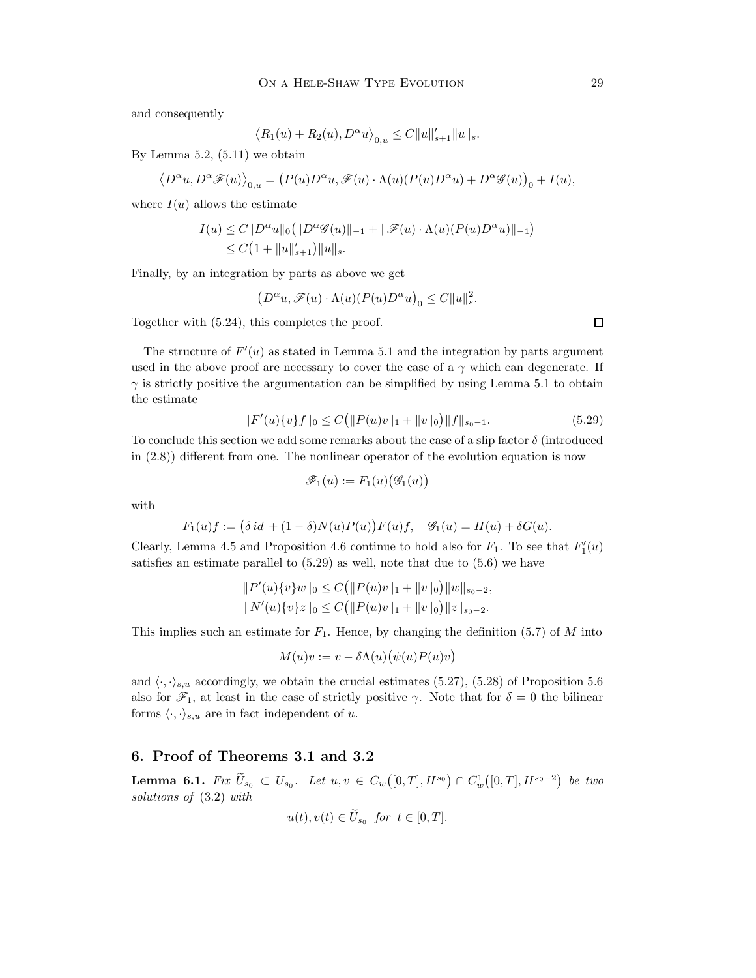and consequently

$$
\langle R_1(u) + R_2(u), D^{\alpha}u \rangle_{0,u} \le C ||u||'_{s+1} ||u||_s.
$$

By Lemma 5.2,  $(5.11)$  we obtain

$$
\big\langle D^{\alpha}u, D^{\alpha}\mathscr{F}(u)\big\rangle_{0,u}=\big(P(u)D^{\alpha}u,\mathscr{F}(u)\cdot\Lambda(u)(P(u)D^{\alpha}u)+D^{\alpha}\mathscr{G}(u)\big)_0+I(u),
$$

where  $I(u)$  allows the estimate

$$
I(u) \le C \|D^{\alpha}u\|_0 (\|D^{\alpha} \mathcal{G}(u)\|_{-1} + \|\mathcal{F}(u) \cdot \Lambda(u)(P(u)D^{\alpha}u)\|_{-1})
$$
  
\n
$$
\le C\left(1 + \|u\|_{s+1}'\right) \|u\|_{s}.
$$

Finally, by an integration by parts as above we get

$$
\left(D^\alpha u,\mathscr{F}(u)\cdot\Lambda(u)(P(u)D^\alpha u\right)_0\leq C\|u\|_s^2.
$$

Together with (5.24), this completes the proof.

The structure of  $F'(u)$  as stated in Lemma 5.1 and the integration by parts argument used in the above proof are necessary to cover the case of a  $\gamma$  which can degenerate. If  $\gamma$  is strictly positive the argumentation can be simplified by using Lemma 5.1 to obtain the estimate

$$
||F'(u)\{v\}f||_0 \le C(||P(u)v||_1 + ||v||_0)||f||_{s_0 - 1}.
$$
\n(5.29)

To conclude this section we add some remarks about the case of a slip factor  $\delta$  (introduced in (2.8)) different from one. The nonlinear operator of the evolution equation is now

$$
\mathscr{F}_1(u) := F_1(u)\big(\mathscr{G}_1(u)\big)
$$

with

$$
F_1(u)f := (\delta id + (1 - \delta)N(u)P(u))F(u)f, \quad \mathcal{G}_1(u) = H(u) + \delta G(u).
$$

Clearly, Lemma 4.5 and Proposition 4.6 continue to hold also for  $F_1$ . To see that  $F'_1(u)$ satisfies an estimate parallel to (5.29) as well, note that due to (5.6) we have

$$
||P'(u)\{v\}w||_0 \le C(||P(u)v||_1 + ||v||_0)||w||_{s_0-2},
$$
  

$$
||N'(u)\{v\}z||_0 \le C(||P(u)v||_1 + ||v||_0)||z||_{s_0-2}.
$$

This implies such an estimate for  $F_1$ . Hence, by changing the definition (5.7) of M into

$$
M(u)v:=v-\delta\Lambda(u)\bigl(\psi(u)P(u)v\bigr)
$$

and  $\langle \cdot, \cdot \rangle_{s,u}$  accordingly, we obtain the crucial estimates (5.27), (5.28) of Proposition 5.6 also for  $\mathscr{F}_1$ , at least in the case of strictly positive  $\gamma$ . Note that for  $\delta = 0$  the bilinear forms  $\langle \cdot, \cdot \rangle_{s,u}$  are in fact independent of u.

### 6. Proof of Theorems 3.1 and 3.2

**Lemma 6.1.** Fix  $\widetilde{U}_{s_0} \subset U_{s_0}$ . Let  $u, v \in C_w([0,T], H^{s_0}) \cap C_w^1([0,T], H^{s_0-2})$  be two solutions of (3.2) with

$$
u(t), v(t) \in U_{s_0} \text{ for } t \in [0, T].
$$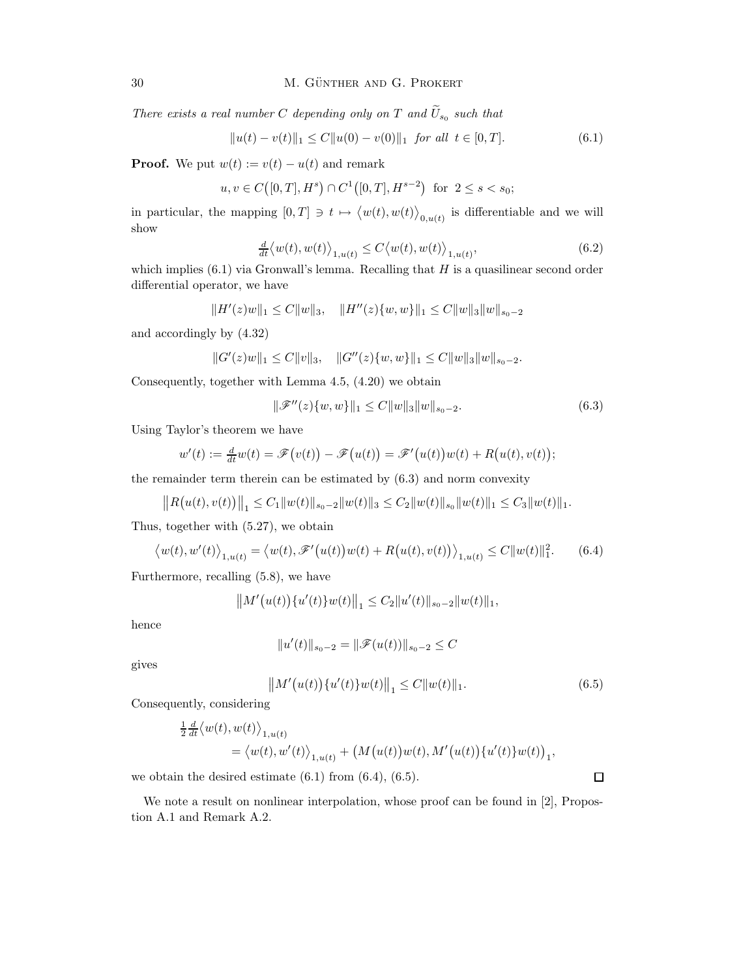There exists a real number C depending only on T and  $U_{s_0}$  such that

$$
||u(t) - v(t)||_1 \le C||u(0) - v(0)||_1 \text{ for all } t \in [0, T].
$$
\n(6.1)

**Proof.** We put  $w(t) := v(t) - u(t)$  and remark

$$
u, v \in C([0, T], H^s) \cap C^1([0, T], H^{s-2})
$$
 for  $2 \le s < s_0$ ;

in particular, the mapping  $[0,T] \ni t \mapsto \langle w(t), w(t) \rangle_{0,u(t)}$  is differentiable and we will show

$$
\frac{d}{dt} \langle w(t), w(t) \rangle_{1, u(t)} \le C \langle w(t), w(t) \rangle_{1, u(t)}, \tag{6.2}
$$

which implies  $(6.1)$  via Gronwall's lemma. Recalling that  $H$  is a quasilinear second order differential operator, we have

$$
||H'(z)w||_1 \leq C||w||_3, \quad ||H''(z)\{w,w\}||_1 \leq C||w||_3||w||_{s_0-2}
$$

and accordingly by (4.32)

$$
||G'(z)w||_1 \leq C||v||_3, \quad ||G''(z)\{w,w\}||_1 \leq C||w||_3||w||_{s_0-2}.
$$

Consequently, together with Lemma 4.5, (4.20) we obtain

$$
\|\mathscr{F}''(z)\{w,w\}\|_1 \le C \|w\|_3 \|w\|_{s_0 - 2}.\tag{6.3}
$$

Using Taylor's theorem we have

$$
w'(t) := \frac{d}{dt}w(t) = \mathscr{F}(v(t)) - \mathscr{F}(u(t)) = \mathscr{F}'(u(t))w(t) + R(u(t), v(t));
$$

the remainder term therein can be estimated by (6.3) and norm convexity

$$
||R(u(t),v(t))||_1 \leq C_1||w(t)||_{s_0-2}||w(t)||_3 \leq C_2||w(t)||_{s_0}||w(t)||_1 \leq C_3||w(t)||_1.
$$

Thus, together with (5.27), we obtain

$$
\langle w(t), w'(t) \rangle_{1, u(t)} = \langle w(t), \mathscr{F}'(u(t))w(t) + R(u(t), v(t)) \rangle_{1, u(t)} \le C ||w(t)||_1^2.
$$
 (6.4)

Furthermore, recalling (5.8), we have

$$
||M'(u(t))\{u'(t)\}w(t)||_1 \leq C_2||u'(t)||_{s_0-2}||w(t)||_1,
$$

hence

$$
||u'(t)||_{s_0-2} = ||\mathscr{F}(u(t))||_{s_0-2} \leq C
$$

gives

$$
||M'(u(t))\{u'(t)\}w(t)||_1 \leq C||w(t)||_1.
$$
\n(6.5)

Consequently, considering

$$
\begin{split} &\tfrac{1}{2}\tfrac{d}{dt}\big\langle w(t),w(t)\big\rangle_{1,u(t)}\\ &=\big\langle w(t),w'(t)\big\rangle_{1,u(t)}+\big(M\big(u(t)\big)w(t),M'\big(u(t)\big)\{u'(t)\}w(t)\big)_1, \end{split}
$$

we obtain the desired estimate  $(6.1)$  from  $(6.4)$ ,  $(6.5)$ .

 $\Box$ 

We note a result on nonlinear interpolation, whose proof can be found in [2], Propostion A.1 and Remark A.2.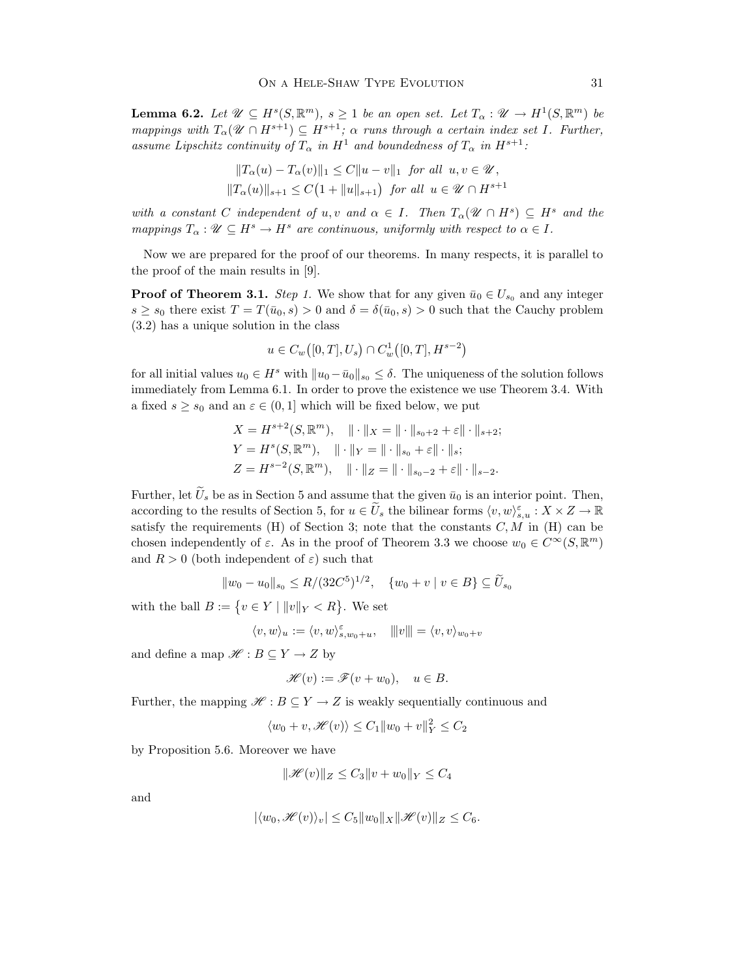**Lemma 6.2.** Let  $\mathscr{U} \subseteq H^s(S, \mathbb{R}^m)$ ,  $s \geq 1$  be an open set. Let  $T_\alpha : \mathscr{U} \to H^1(S, \mathbb{R}^m)$  be mappings with  $T_{\alpha}(\mathcal{U} \cap H^{s+1}) \subseteq H^{s+1}$ ;  $\alpha$  runs through a certain index set I. Further, assume Lipschitz continuity of  $T_{\alpha}$  in  $H^1$  and boundedness of  $T_{\alpha}$  in  $H^{s+1}$ :

$$
||T_{\alpha}(u) - T_{\alpha}(v)||_1 \le C||u - v||_1 \text{ for all } u, v \in \mathcal{U},
$$
  

$$
||T_{\alpha}(u)||_{s+1} \le C(1 + ||u||_{s+1}) \text{ for all } u \in \mathcal{U} \cap H^{s+1}
$$

with a constant C independent of u, v and  $\alpha \in I$ . Then  $T_{\alpha}(\mathcal{U} \cap H^s) \subseteq H^s$  and the mappings  $T_{\alpha}: \mathscr{U} \subseteq H^s \to H^s$  are continuous, uniformly with respect to  $\alpha \in I$ .

Now we are prepared for the proof of our theorems. In many respects, it is parallel to the proof of the main results in [9].

**Proof of Theorem 3.1.** Step 1. We show that for any given  $\bar{u}_0 \in U_{s_0}$  and any integer  $s \geq s_0$  there exist  $T = T(\bar{u}_0, s) > 0$  and  $\delta = \delta(\bar{u}_0, s) > 0$  such that the Cauchy problem (3.2) has a unique solution in the class

$$
u \in C_w([0,T],U_s) \cap C_w^1([0,T],H^{s-2})
$$

for all initial values  $u_0 \in H^s$  with  $||u_0 - \bar{u}_0||_{s_0} \leq \delta$ . The uniqueness of the solution follows immediately from Lemma 6.1. In order to prove the existence we use Theorem 3.4. With a fixed  $s \geq s_0$  and an  $\varepsilon \in (0,1]$  which will be fixed below, we put

$$
X = H^{s+2}(S, \mathbb{R}^m), \quad || \cdot ||_X = || \cdot ||_{s_0+2} + \varepsilon || \cdot ||_{s+2};
$$
  
\n
$$
Y = H^s(S, \mathbb{R}^m), \quad || \cdot ||_Y = || \cdot ||_{s_0} + \varepsilon || \cdot ||_s;
$$
  
\n
$$
Z = H^{s-2}(S, \mathbb{R}^m), \quad || \cdot ||_Z = || \cdot ||_{s_0-2} + \varepsilon || \cdot ||_{s-2}.
$$

Further, let  $\tilde{U}_s$  be as in Section 5 and assume that the given  $\bar{u}_0$  is an interior point. Then, according to the results of Section 5, for  $u \in \widetilde{U}_s$  the bilinear forms  $\langle v, w \rangle_{s,u}^{\varepsilon} : X \times Z \to \mathbb{R}$ satisfy the requirements (H) of Section 3; note that the constants  $C, M$  in (H) can be chosen independently of  $\varepsilon$ . As in the proof of Theorem 3.3 we choose  $w_0 \in C^{\infty}(S, \mathbb{R}^m)$ and  $R > 0$  (both independent of  $\varepsilon$ ) such that

$$
||w_0 - u_0||_{s_0} \le R/(32C^5)^{1/2}, \quad \{w_0 + v \mid v \in B\} \subseteq \widetilde{U}_{s_0}
$$

with the ball  $B := \{ v \in Y \mid ||v||_Y < R \}$ . We set

$$
\langle v, w \rangle_u := \langle v, w \rangle_{s, w_0 + u}^{\varepsilon}, \quad |||v||| = \langle v, v \rangle_{w_0 + v}
$$

and define a map  $\mathscr{H} : B \subseteq Y \to Z$  by

$$
\mathscr{H}(v) := \mathscr{F}(v+w_0), \quad u \in B.
$$

Further, the mapping  $\mathscr{H} : B \subseteq Y \to Z$  is weakly sequentially continuous and

$$
\langle w_0 + v, \mathcal{H}(v) \rangle \le C_1 \|w_0 + v\|_Y^2 \le C_2
$$

by Proposition 5.6. Moreover we have

$$
\|\mathcal{H}(v)\|_Z \leq C_3 \|v + w_0\|_Y \leq C_4
$$

and

$$
|\langle w_0, \mathcal{H}(v) \rangle_v| \le C_5 \|w_0\|_X \|\mathcal{H}(v)\|_Z \le C_6.
$$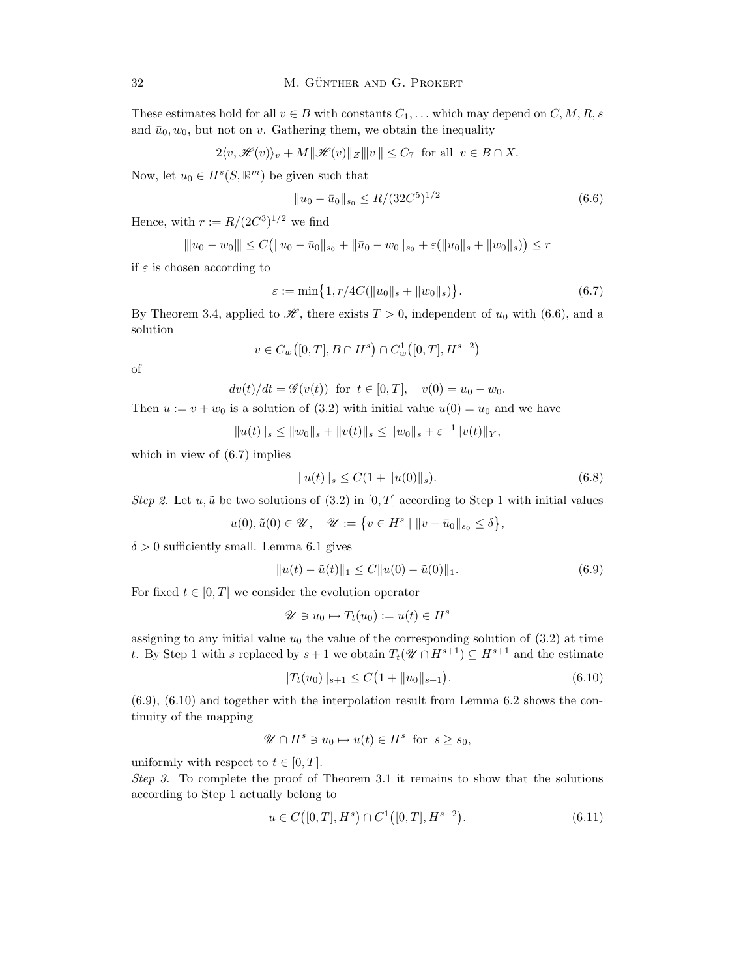These estimates hold for all  $v \in B$  with constants  $C_1, \ldots$  which may depend on  $C, M, R, s$ and  $\bar{u}_0, w_0$ , but not on v. Gathering them, we obtain the inequality

$$
2\langle v, \mathcal{H}(v)\rangle_v + M\|\mathcal{H}(v)\|_Z \|v\| \le C_7 \text{ for all } v \in B \cap X.
$$

Now, let  $u_0 \in H^s(S, \mathbb{R}^m)$  be given such that

$$
||u_0 - \bar{u}_0||_{s_0} \le R/(32C^5)^{1/2}
$$
\n(6.6)

Hence, with  $r := R/(2C^3)^{1/2}$  we find

$$
\|u_0 - w_0\| \le C\big(\|u_0 - \bar{u}_0\|_{s_0} + \|\bar{u}_0 - w_0\|_{s_0} + \varepsilon(\|u_0\|_{s} + \|w_0\|_{s})\big) \le r
$$

if  $\varepsilon$  is chosen according to

$$
\varepsilon := \min\big\{1, r/4C(||u_0||_s + ||w_0||_s)\big\}.
$$
\n(6.7)

By Theorem 3.4, applied to  $\mathscr{H}$ , there exists  $T > 0$ , independent of  $u_0$  with (6.6), and a solution

$$
v\in C_w\big([0,T],B\cap H^s\big)\cap C_w^1\big([0,T],H^{s-2}\big)
$$

of

$$
dv(t)/dt = \mathscr{G}(v(t))
$$
 for  $t \in [0, T]$ ,  $v(0) = u_0 - w_0$ .

Then  $u := v + w_0$  is a solution of (3.2) with initial value  $u(0) = u_0$  and we have

 $||u(t)||_s \leq ||w_0||_s + ||v(t)||_s \leq ||w_0||_s + \varepsilon^{-1} ||v(t)||_Y,$ 

which in view of (6.7) implies

$$
||u(t)||_s \le C(1 + ||u(0)||_s). \tag{6.8}
$$

Step 2. Let u,  $\tilde{u}$  be two solutions of (3.2) in [0, T] according to Step 1 with initial values

$$
u(0), \tilde{u}(0) \in \mathcal{U}, \quad \mathcal{U} := \{ v \in H^s \mid ||v - \bar{u}_0||_{s_0} \le \delta \},
$$

 $\delta > 0$  sufficiently small. Lemma 6.1 gives

$$
||u(t) - \tilde{u}(t)||_1 \le C||u(0) - \tilde{u}(0)||_1.
$$
\n(6.9)

For fixed  $t \in [0, T]$  we consider the evolution operator

$$
\mathscr{U} \ni u_0 \mapsto T_t(u_0) := u(t) \in H^s
$$

assigning to any initial value  $u_0$  the value of the corresponding solution of (3.2) at time t. By Step 1 with s replaced by  $s + 1$  we obtain  $T_t(\mathcal{U} \cap H^{s+1}) \subseteq H^{s+1}$  and the estimate

$$
||T_t(u_0)||_{s+1} \le C\big(1 + ||u_0||_{s+1}\big). \tag{6.10}
$$

(6.9), (6.10) and together with the interpolation result from Lemma 6.2 shows the continuity of the mapping

$$
\mathscr{U} \cap H^s \ni u_0 \mapsto u(t) \in H^s \text{ for } s \ge s_0,
$$

uniformly with respect to  $t \in [0, T]$ .

Step 3. To complete the proof of Theorem 3.1 it remains to show that the solutions according to Step 1 actually belong to

$$
u \in C([0, T], H^s) \cap C^1([0, T], H^{s-2}).
$$
\n(6.11)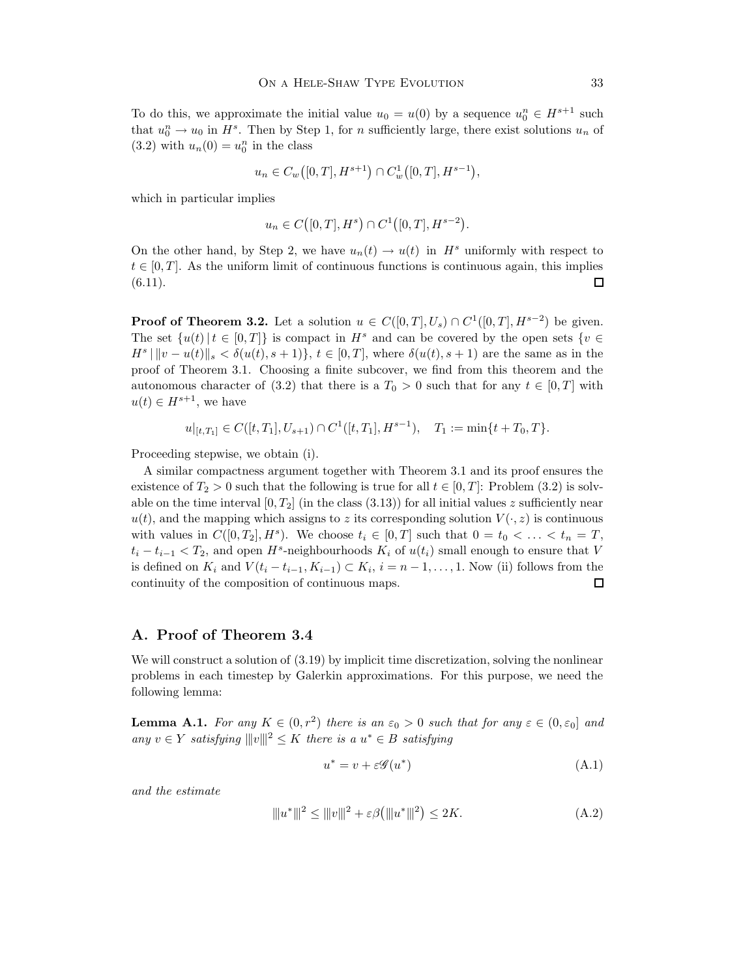To do this, we approximate the initial value  $u_0 = u(0)$  by a sequence  $u_0^n \in H^{s+1}$  such that  $u_0^n \to u_0$  in  $H^s$ . Then by Step 1, for *n* sufficiently large, there exist solutions  $u_n$  of  $(3.2)$  with  $u_n(0) = u_0^n$  in the class

$$
u_n \in C_w([0,T], H^{s+1}) \cap C_w^1([0,T], H^{s-1}),
$$

which in particular implies

$$
u_n \in C([0,T],H^s) \cap C^1([0,T],H^{s-2}).
$$

On the other hand, by Step 2, we have  $u_n(t) \to u(t)$  in  $H^s$  uniformly with respect to  $t \in [0, T]$ . As the uniform limit of continuous functions is continuous again, this implies (6.11).  $(6.11).$ 

**Proof of Theorem 3.2.** Let a solution  $u \in C([0,T],U_s) \cap C^1([0,T],H^{s-2})$  be given. The set  $\{u(t)|t \in [0,T]\}$  is compact in  $H^s$  and can be covered by the open sets  $\{v \in$  $H^s \,|\, \|v - u(t)\|_{s} < \delta(u(t), s + 1)\}, t \in [0, T],$  where  $\delta(u(t), s + 1)$  are the same as in the proof of Theorem 3.1. Choosing a finite subcover, we find from this theorem and the autonomous character of (3.2) that there is a  $T_0 > 0$  such that for any  $t \in [0, T]$  with  $u(t) \in H^{s+1}$ , we have

 $u|_{[t,T_1]} \in C([t,T_1],U_{s+1}) \cap C^1([t,T_1],H^{s-1}), \quad T_1 := \min\{t+T_0,T\}.$ 

Proceeding stepwise, we obtain (i).

A similar compactness argument together with Theorem 3.1 and its proof ensures the existence of  $T_2 > 0$  such that the following is true for all  $t \in [0, T]$ : Problem (3.2) is solvable on the time interval  $[0, T_2]$  (in the class  $(3.13)$ ) for all initial values z sufficiently near  $u(t)$ , and the mapping which assigns to z its corresponding solution  $V(\cdot, z)$  is continuous with values in  $C([0, T_2], H^s)$ . We choose  $t_i \in [0, T]$  such that  $0 = t_0 < \ldots < t_n = T$ ,  $t_i - t_{i-1} < T_2$ , and open  $H^s$ -neighbourhoods  $K_i$  of  $u(t_i)$  small enough to ensure that V is defined on  $K_i$  and  $V(t_i - t_{i-1}, K_{i-1}) \subset K_i$ ,  $i = n - 1, ..., 1$ . Now (ii) follows from the continuity of the composition of continuous maps. □

### A. Proof of Theorem 3.4

We will construct a solution of  $(3.19)$  by implicit time discretization, solving the nonlinear problems in each timestep by Galerkin approximations. For this purpose, we need the following lemma:

**Lemma A.1.** For any  $K \in (0, r^2)$  there is an  $\varepsilon_0 > 0$  such that for any  $\varepsilon \in (0, \varepsilon_0]$  and any  $v \in Y$  satisfying  $|||v||^2 \leq K$  there is a  $u^* \in B$  satisfying

$$
u^* = v + \varepsilon \mathcal{G}(u^*)
$$
\n(A.1)

and the estimate

$$
|||u^*|||^2 \le |||v|||^2 + \varepsilon \beta (|||u^*|||^2) \le 2K. \tag{A.2}
$$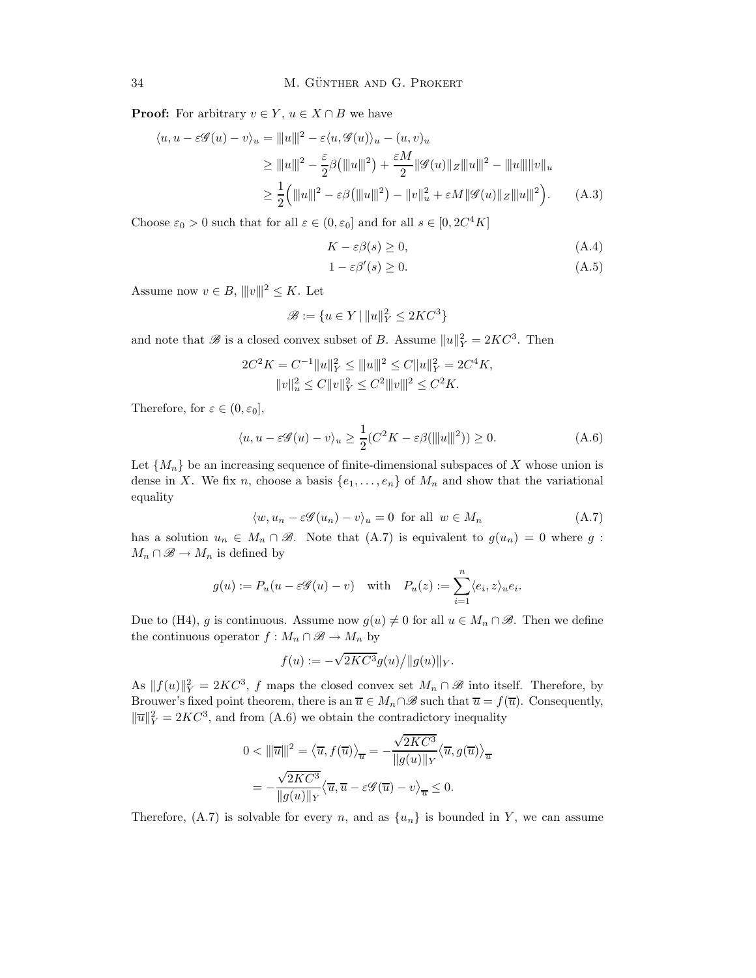**Proof:** For arbitrary  $v \in Y$ ,  $u \in X \cap B$  we have

$$
\langle u, u - \varepsilon \mathcal{G}(u) - v \rangle_u = |||u|||^2 - \varepsilon \langle u, \mathcal{G}(u) \rangle_u - (u, v)_u
$$
  
\n
$$
\geq |||u|||^2 - \frac{\varepsilon}{2} \beta (|||u|||^2) + \frac{\varepsilon M}{2} ||\mathcal{G}(u)||_Z |||u|||^2 - |||u|| |||v||_u
$$
  
\n
$$
\geq \frac{1}{2} (|||u|||^2 - \varepsilon \beta (|||u|||^2) - ||v||_u^2 + \varepsilon M ||\mathcal{G}(u)||_Z |||u|||^2).
$$
 (A.3)

Choose  $\varepsilon_0 > 0$  such that for all  $\varepsilon \in (0, \varepsilon_0]$  and for all  $s \in [0, 2C^4K]$ 

$$
K - \varepsilon \beta(s) \ge 0,\tag{A.4}
$$

$$
1 - \varepsilon \beta'(s) \ge 0. \tag{A.5}
$$

Assume now  $v \in B$ ,  $|||v|||^2 \leq K$ . Let

$$
\mathcal{B} := \{ u \in Y \mid ||u||_Y^2 \le 2KC^3 \}
$$

and note that  $\mathscr{B}$  is a closed convex subset of B. Assume  $||u||_Y^2 = 2KC^3$ . Then

$$
2C^2K = C^{-1}||u||_Y^2 \le ||u|||^2 \le C||u||_Y^2 = 2C^4K,
$$
  

$$
||v||_u^2 \le C||v||_Y^2 \le C^2||v||^2 \le C^2K.
$$

Therefore, for  $\varepsilon \in (0, \varepsilon_0]$ ,

$$
\langle u, u - \varepsilon \mathcal{G}(u) - v \rangle_u \ge \frac{1}{2} (C^2 K - \varepsilon \beta(\|u\|^2)) \ge 0.
$$
 (A.6)

Let  $\{M_n\}$  be an increasing sequence of finite-dimensional subspaces of X whose union is dense in X. We fix n, choose a basis  $\{e_1, \ldots, e_n\}$  of  $M_n$  and show that the variational equality

$$
\langle w, u_n - \varepsilon \mathscr{G}(u_n) - v \rangle_u = 0 \text{ for all } w \in M_n \tag{A.7}
$$

has a solution  $u_n \in M_n \cap \mathcal{B}$ . Note that  $(A.\tau)$  is equivalent to  $g(u_n) = 0$  where g:  $M_n \cap \mathscr{B} \to M_n$  is defined by

$$
g(u) := P_u(u - \varepsilon \mathscr{G}(u) - v)
$$
 with  $P_u(z) := \sum_{i=1}^n \langle e_i, z \rangle_u e_i$ .

Due to (H4), g is continuous. Assume now  $g(u) \neq 0$  for all  $u \in M_n \cap \mathscr{B}$ . Then we define the continuous operator  $f : M_n \cap \mathcal{B} \to M_n$  by

$$
f(u) := -\sqrt{2KC^3}g(u) / ||g(u)||_Y.
$$

As  $||f(u)||_Y^2 = 2KC^3$ , f maps the closed convex set  $M_n \cap \mathscr{B}$  into itself. Therefore, by Brouwer's fixed point theorem, there is an  $\overline{u} \in M_n \cap \mathscr{B}$  such that  $\overline{u} = f(\overline{u})$ . Consequently,  $\|\overline{u}\|_{Y}^{2} = 2KC^{3}$ , and from (A.6) we obtain the contradictory inequality

$$
0 < \|\|\overline{u}\|^2 = \langle \overline{u}, f(\overline{u}) \rangle_{\overline{u}} = -\frac{\sqrt{2KC^3}}{\|g(u)\|_Y} \langle \overline{u}, g(\overline{u}) \rangle_{\overline{u}}
$$
\n
$$
= -\frac{\sqrt{2KC^3}}{\|g(u)\|_Y} \langle \overline{u}, \overline{u} - \varepsilon \mathscr{G}(\overline{u}) - v \rangle_{\overline{u}} \le 0.
$$

Therefore, (A.7) is solvable for every n, and as  $\{u_n\}$  is bounded in Y, we can assume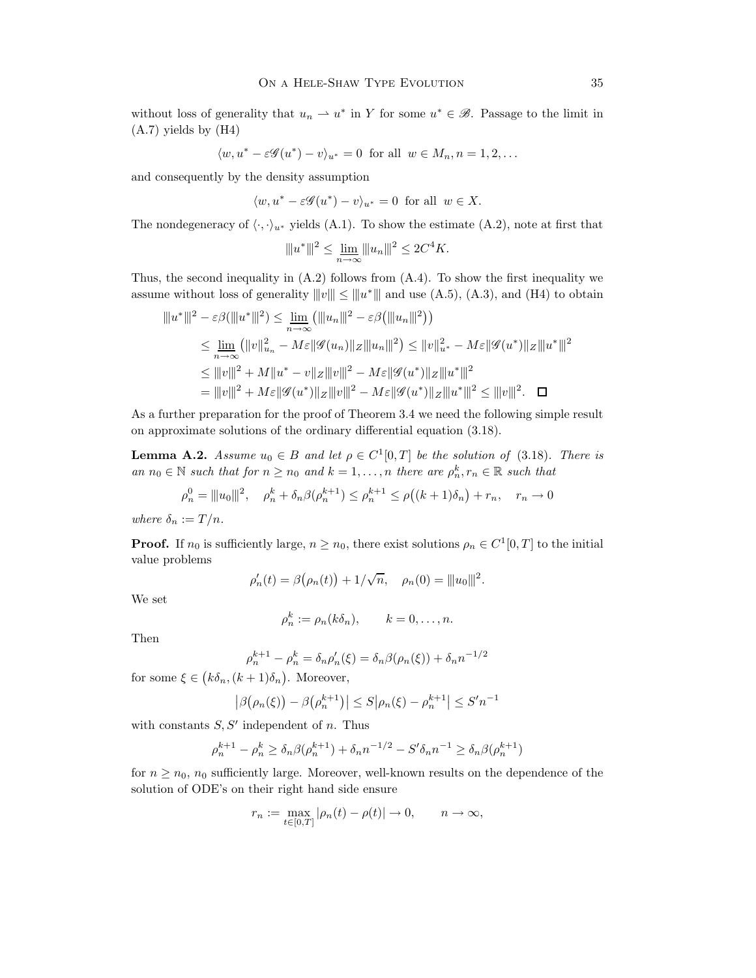without loss of generality that  $u_n \rightharpoonup u^*$  in Y for some  $u^* \in \mathcal{B}$ . Passage to the limit in (A.7) yields by (H4)

$$
\langle w, u^* - \varepsilon \mathscr{G}(u^*) - v \rangle_{u^*} = 0 \text{ for all } w \in M_n, n = 1, 2, \dots
$$

and consequently by the density assumption

$$
\langle w, u^* - \varepsilon \mathscr{G}(u^*) - v \rangle_{u^*} = 0 \text{ for all } w \in X.
$$

The nondegeneracy of  $\langle \cdot, \cdot \rangle_{u^*}$  yields (A.1). To show the estimate (A.2), note at first that

$$
||u^*||^2 \le \lim_{n \to \infty} ||u_n||^2 \le 2C^4 K.
$$

Thus, the second inequality in (A.2) follows from (A.4). To show the first inequality we assume without loss of generality  $|||v||| \le |||u^*|||$  and use (A.5), (A.3), and (H4) to obtain

$$
\| |u^*|||^2 - \varepsilon \beta(\| |u^*|||^2) \le \lim_{n \to \infty} (\| |u_n|||^2 - \varepsilon \beta(\| |u_n|||^2))
$$
  
\n
$$
\le \lim_{n \to \infty} (||v||_{u_n}^2 - M\varepsilon||\mathcal{G}(u_n)||_Z ||u_n|||^2) \le ||v||_{u^*}^2 - M\varepsilon||\mathcal{G}(u^*)||_Z ||u^*|||^2
$$
  
\n
$$
\le |||v|||^2 + M||u^* - v||_Z |||v|||^2 - M\varepsilon||\mathcal{G}(u^*)||_Z |||u^*|||^2
$$
  
\n
$$
= |||v|||^2 + M\varepsilon||\mathcal{G}(u^*)||_Z |||v|||^2 - M\varepsilon||\mathcal{G}(u^*)||_Z |||u^*|||^2 \le |||v|||^2. \quad \Box
$$

As a further preparation for the proof of Theorem 3.4 we need the following simple result on approximate solutions of the ordinary differential equation (3.18).

**Lemma A.2.** Assume  $u_0 \in B$  and let  $\rho \in C^1[0,T]$  be the solution of (3.18). There is an  $n_0 \in \mathbb{N}$  such that for  $n \geq n_0$  and  $k = 1, ..., n$  there are  $\rho_n^k, r_n \in \mathbb{R}$  such that

$$
\rho_n^0 = ||u_0||^2, \quad \rho_n^k + \delta_n \beta(\rho_n^{k+1}) \le \rho_n^{k+1} \le \rho((k+1)\delta_n) + r_n, \quad r_n \to 0
$$

where  $\delta_n := T/n$ .

**Proof.** If  $n_0$  is sufficiently large,  $n \ge n_0$ , there exist solutions  $\rho_n \in C^1[0,T]$  to the initial value problems

$$
\rho'_n(t) = \beta(\rho_n(t)) + 1/\sqrt{n}, \quad \rho_n(0) = ||u_0||^2.
$$

We set

$$
\rho_n^k := \rho_n(k\delta_n), \qquad k = 0, \dots, n.
$$

Then

$$
\rho_n^{k+1} - \rho_n^k = \delta_n \rho_n'(\xi) = \delta_n \beta(\rho_n(\xi)) + \delta_n n^{-1/2}
$$

for some  $\xi \in (k\delta_n, (k+1)\delta_n)$ . Moreover,

$$
|\beta(\rho_n(\xi)) - \beta(\rho_n^{k+1})| \le S|\rho_n(\xi) - \rho_n^{k+1}| \le S'n^{-1}
$$

with constants  $S, S'$  independent of n. Thus

$$
\rho_n^{k+1} - \rho_n^k \ge \delta_n \beta(\rho_n^{k+1}) + \delta_n n^{-1/2} - S' \delta_n n^{-1} \ge \delta_n \beta(\rho_n^{k+1})
$$

for  $n \geq n_0$ ,  $n_0$  sufficiently large. Moreover, well-known results on the dependence of the solution of ODE's on their right hand side ensure

$$
r_n := \max_{t \in [0,T]} |\rho_n(t) - \rho(t)| \to 0, \qquad n \to \infty,
$$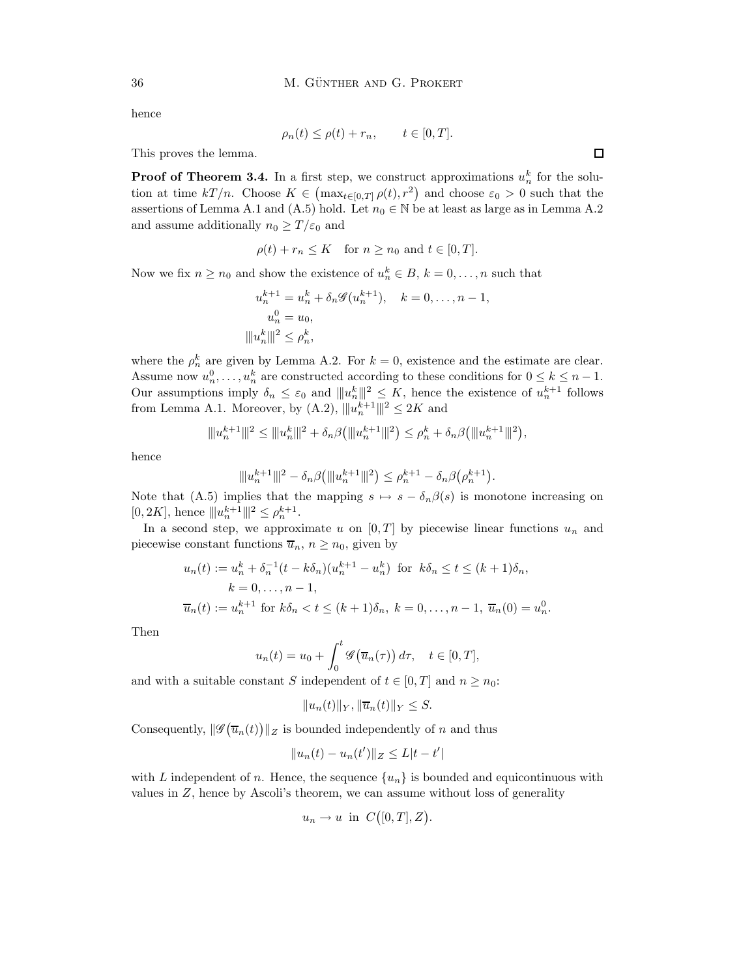hence

$$
\rho_n(t) \le \rho(t) + r_n, \qquad t \in [0, T].
$$

This proves the lemma.

**Proof of Theorem 3.4.** In a first step, we construct approximations  $u_n^k$  for the solution at time  $kT/n$ . Choose  $K \in (\max_{t \in [0,T]} \rho(t), r^2)$  and choose  $\varepsilon_0 > 0$  such that the assertions of Lemma A.1 and (A.5) hold. Let  $n_0 \in \mathbb{N}$  be at least as large as in Lemma A.2 and assume additionally  $n_0 \geq T/\varepsilon_0$  and

$$
\rho(t) + r_n \le K \quad \text{for } n \ge n_0 \text{ and } t \in [0, T].
$$

Now we fix  $n \ge n_0$  and show the existence of  $u_n^k \in B$ ,  $k = 0, \ldots, n$  such that

$$
u_n^{k+1} = u_n^k + \delta_n \mathscr{G}(u_n^{k+1}), \quad k = 0, \dots, n-1,
$$
  

$$
u_n^0 = u_0,
$$
  

$$
||u_n^k||^2 \le \rho_n^k,
$$

where the  $\rho_n^k$  are given by Lemma A.2. For  $k = 0$ , existence and the estimate are clear. Assume now  $u_n^0, \ldots, u_n^k$  are constructed according to these conditions for  $0 \leq k \leq n-1$ . Our assumptions imply  $\delta_n \leq \varepsilon_0$  and  $||u_n^k||_1^2 \leq K$ , hence the existence of  $u_n^{k+1}$  follows from Lemma A.1. Moreover, by  $(A.2)$ ,  $|||u_n^{k+1}|||^2 \le 2K$  and

$$
\|u_n^{k+1}\|^2 \le \|u_n^k\|^2 + \delta_n\beta(\|u_n^{k+1}\|^2) \le \rho_n^k + \delta_n\beta(\|u_n^{k+1}\|^2),
$$

hence

$$
| \|u_n^{k+1}\|^2 - \delta_n \beta \big( | \|u_n^{k+1}\|^2 \big) \leq \rho_n^{k+1} - \delta_n \beta \big( \rho_n^{k+1} \big).
$$

Note that (A.5) implies that the mapping  $s \mapsto s - \delta_n \beta(s)$  is monotone increasing on [0, 2K], hence  $||u_n^{k+1}||^2 \le \rho_n^{k+1}$ .

In a second step, we approximate u on  $[0, T]$  by piecewise linear functions  $u_n$  and piecewise constant functions  $\overline{u}_n, n \geq n_0$ , given by

$$
u_n(t) := u_n^k + \delta_n^{-1} (t - k\delta_n)(u_n^{k+1} - u_n^k) \text{ for } k\delta_n \le t \le (k+1)\delta_n,
$$
  
\n
$$
k = 0, \dots, n-1,
$$
  
\n
$$
\overline{u}_n(t) := u_n^{k+1} \text{ for } k\delta_n < t \le (k+1)\delta_n, \ k = 0, \dots, n-1, \ \overline{u}_n(0) = u_n^0.
$$

Then

$$
u_n(t) = u_0 + \int_0^t \mathscr{G}(\overline{u}_n(\tau)) d\tau, \quad t \in [0, T],
$$

and with a suitable constant S independent of  $t \in [0, T]$  and  $n \geq n_0$ :

$$
||u_n(t)||_Y, ||\overline{u}_n(t)||_Y \leq S.
$$

Consequently,  $\|\mathscr{G}(\overline{u}_n(t))\|_Z$  is bounded independently of n and thus

$$
||u_n(t) - u_n(t')||_Z \le L|t - t'|
$$

with L independent of n. Hence, the sequence  $\{u_n\}$  is bounded and equicontinuous with values in Z, hence by Ascoli's theorem, we can assume without loss of generality

$$
u_n \to u
$$
 in  $C([0,T], Z)$ .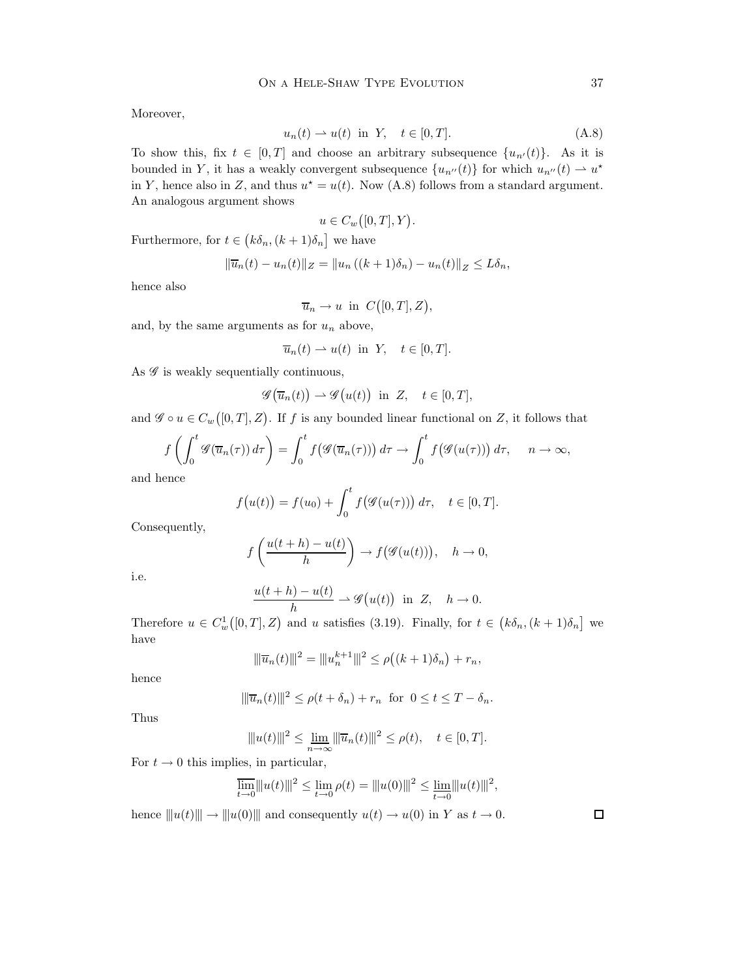Moreover,

$$
u_n(t) \rightharpoonup u(t) \quad \text{in} \quad Y, \quad t \in [0, T]. \tag{A.8}
$$

To show this, fix  $t \in [0, T]$  and choose an arbitrary subsequence  $\{u_{n'}(t)\}\$ . As it is bounded in Y, it has a weakly convergent subsequence  ${u_{n''}(t)}$  for which  $u_{n''}(t) \to u^*$ in Y, hence also in Z, and thus  $u^* = u(t)$ . Now (A.8) follows from a standard argument. An analogous argument shows

$$
u \in C_w([0,T],Y).
$$

Furthermore, for  $t \in (k\delta_n, (k+1)\delta_n]$  we have

$$
\|\overline{u}_n(t) - u_n(t)\|_Z = \|u_n\left((k+1)\delta_n\right) - u_n(t)\|_Z \le L\delta_n,
$$

hence also

$$
\overline{u}_n \to u
$$
 in  $C([0,T], Z)$ ,

and, by the same arguments as for  $u_n$  above,

$$
\overline{u}_n(t) \rightharpoonup u(t)
$$
 in Y,  $t \in [0, T]$ .

As  $\mathscr G$  is weakly sequentially continuous,

$$
\mathscr{G}\big(\overline{u}_n(t)\big) \rightharpoonup \mathscr{G}\big(u(t)\big) \quad \text{in} \ \ Z, \quad t \in [0,T],
$$

and  $\mathscr{G} \circ u \in C_w([0,T], Z)$ . If f is any bounded linear functional on Z, it follows that

$$
f\left(\int_0^t \mathscr{G}(\overline{u}_n(\tau)) d\tau\right) = \int_0^t f\big(\mathscr{G}(\overline{u}_n(\tau))\big) d\tau \to \int_0^t f\big(\mathscr{G}(u(\tau))\big) d\tau, \quad n \to \infty,
$$

and hence

$$
f(u(t)) = f(u_0) + \int_0^t f(\mathscr{G}(u(\tau))) d\tau, \quad t \in [0, T].
$$

Consequently,

$$
f\left(\frac{u(t+h)-u(t)}{h}\right) \to f(\mathscr{G}(u(t))), \quad h \to 0,
$$

i.e.

$$
\frac{u(t+h)-u(t)}{h} \rightharpoonup \mathscr{G}\big(u(t)\big) \quad \text{in} \quad Z, \quad h \to 0.
$$

Therefore  $u \in C_w^1([0,T], Z)$  and u satisfies (3.19). Finally, for  $t \in (k\delta_n, (k+1)\delta_n]$  we have

$$
\|\overline{u}_n(t)\|^2 = \|u_n^{k+1}\|^2 \le \rho((k+1)\delta_n) + r_n,
$$

hence

$$
\|\overline{u}_n(t)\|^2 \le \rho(t+\delta_n) + r_n \text{ for } 0 \le t \le T-\delta_n.
$$

Thus

$$
||u(t)||^{2} \le \lim_{n \to \infty} ||\overline{u}_{n}(t)||^{2} \le \rho(t), \quad t \in [0, T].
$$

For  $t \to 0$  this implies, in particular,

$$
\overline{\lim_{t\to 0}} \|u(t)\|^2 \leq \lim_{t\to 0} \rho(t) = \|u(0)\|^2 \leq \lim_{t\to 0} \|u(t)\|^2,
$$

hence  $||u(t)|| \rightarrow ||u(0)||$  and consequently  $u(t) \rightarrow u(0)$  in Y as  $t \rightarrow 0$ .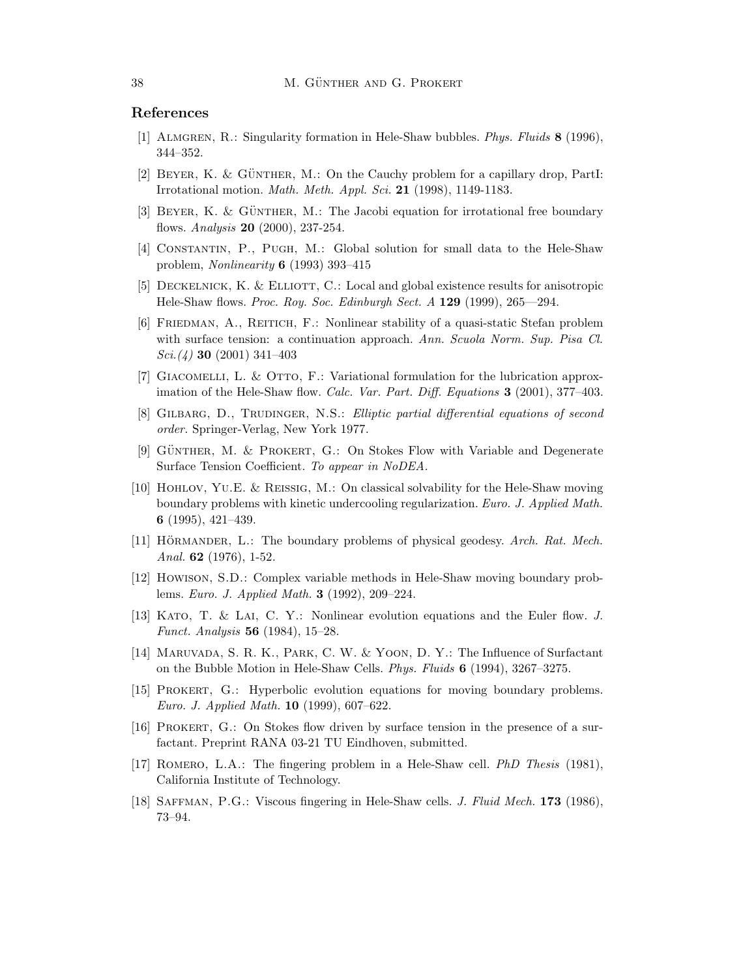#### References

- [1] Almgren, R.: Singularity formation in Hele-Shaw bubbles. Phys. Fluids 8 (1996), 344–352.
- [2] BEYER, K. & GÜNTHER, M.: On the Cauchy problem for a capillary drop, PartI: Irrotational motion. Math. Meth. Appl. Sci. 21 (1998), 1149-1183.
- [3] BEYER, K. & GÜNTHER, M.: The Jacobi equation for irrotational free boundary flows. Analysis 20 (2000), 237-254.
- [4] Constantin, P., Pugh, M.: Global solution for small data to the Hele-Shaw problem, Nonlinearity 6 (1993) 393–415
- [5] DECKELNICK, K. & ELLIOTT, C.: Local and global existence results for anisotropic Hele-Shaw flows. Proc. Roy. Soc. Edinburgh Sect. A 129 (1999), 265—294.
- [6] Friedman, A., Reitich, F.: Nonlinear stability of a quasi-static Stefan problem with surface tension: a continuation approach. Ann. Scuola Norm. Sup. Pisa Cl.  $Sci. (4)$  30 (2001) 341–403
- [7] GIACOMELLI, L. & OTTO, F.: Variational formulation for the lubrication approximation of the Hele-Shaw flow. Calc. Var. Part. Diff. Equations 3 (2001), 377–403.
- [8] GILBARG, D., TRUDINGER, N.S.: Elliptic partial differential equations of second order. Springer-Verlag, New York 1977.
- [9] GÜNTHER, M. & PROKERT, G.: On Stokes Flow with Variable and Degenerate Surface Tension Coefficient. To appear in NoDEA.
- [10] Hohlov, Yu.E. & Reissig, M.: On classical solvability for the Hele-Shaw moving boundary problems with kinetic undercooling regularization. Euro. J. Applied Math. 6 (1995), 421–439.
- [11] HÖRMANDER, L.: The boundary problems of physical geodesy. Arch. Rat. Mech. Anal. 62 (1976), 1-52.
- [12] Howison, S.D.: Complex variable methods in Hele-Shaw moving boundary problems. Euro. J. Applied Math. 3 (1992), 209–224.
- [13] Kato, T. & Lai, C. Y.: Nonlinear evolution equations and the Euler flow. J. Funct. Analysis 56 (1984), 15–28.
- [14] Maruvada, S. R. K., Park, C. W. & Yoon, D. Y.: The Influence of Surfactant on the Bubble Motion in Hele-Shaw Cells. Phys. Fluids 6 (1994), 3267–3275.
- [15] Prokert, G.: Hyperbolic evolution equations for moving boundary problems. Euro. J. Applied Math. 10 (1999), 607–622.
- [16] Prokert, G.: On Stokes flow driven by surface tension in the presence of a surfactant. Preprint RANA 03-21 TU Eindhoven, submitted.
- [17] Romero, L.A.: The fingering problem in a Hele-Shaw cell. PhD Thesis (1981), California Institute of Technology.
- [18] SAFFMAN, P.G.: Viscous fingering in Hele-Shaw cells. *J. Fluid Mech.* 173 (1986), 73–94.